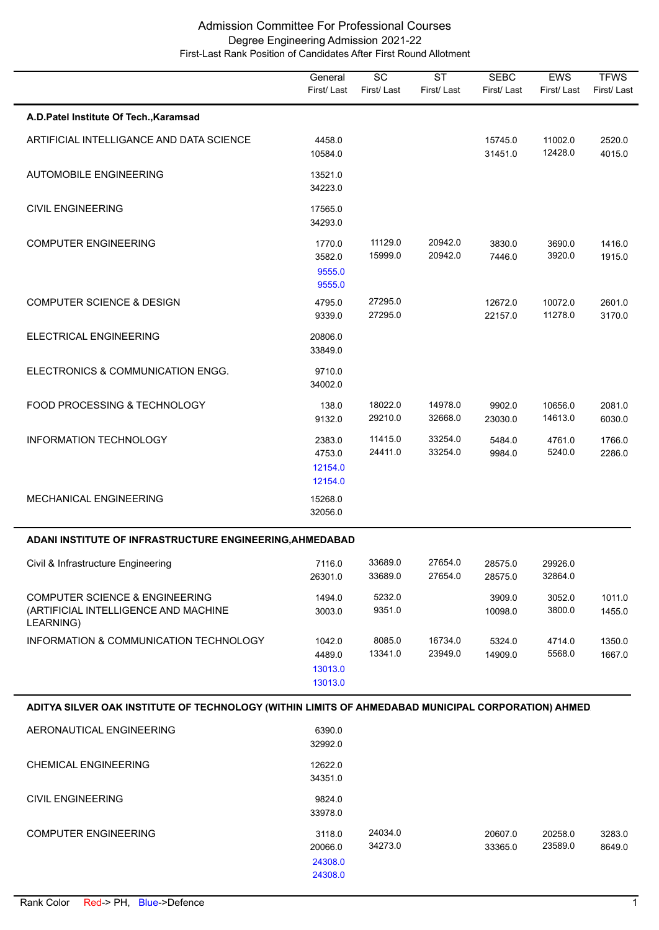|                                                                                                     | General<br>First/Last                   | $\overline{SC}$<br>First/Last | <b>ST</b><br>First/Last | <b>SEBC</b><br>First/Last | <b>EWS</b><br>First/Last | <b>TFWS</b><br>First/Last |
|-----------------------------------------------------------------------------------------------------|-----------------------------------------|-------------------------------|-------------------------|---------------------------|--------------------------|---------------------------|
| A.D.Patel Institute Of Tech., Karamsad                                                              |                                         |                               |                         |                           |                          |                           |
| ARTIFICIAL INTELLIGANCE AND DATA SCIENCE                                                            | 4458.0<br>10584.0                       |                               |                         | 15745.0<br>31451.0        | 11002.0<br>12428.0       | 2520.0<br>4015.0          |
| <b>AUTOMOBILE ENGINEERING</b>                                                                       | 13521.0<br>34223.0                      |                               |                         |                           |                          |                           |
| <b>CIVIL ENGINEERING</b>                                                                            | 17565.0<br>34293.0                      |                               |                         |                           |                          |                           |
| <b>COMPUTER ENGINEERING</b>                                                                         | 1770.0<br>3582.0<br>9555.0<br>9555.0    | 11129.0<br>15999.0            | 20942.0<br>20942.0      | 3830.0<br>7446.0          | 3690.0<br>3920.0         | 1416.0<br>1915.0          |
| <b>COMPUTER SCIENCE &amp; DESIGN</b>                                                                | 4795.0<br>9339.0                        | 27295.0<br>27295.0            |                         | 12672.0<br>22157.0        | 10072.0<br>11278.0       | 2601.0<br>3170.0          |
| ELECTRICAL ENGINEERING                                                                              | 20806.0<br>33849.0                      |                               |                         |                           |                          |                           |
| ELECTRONICS & COMMUNICATION ENGG.                                                                   | 9710.0<br>34002.0                       |                               |                         |                           |                          |                           |
| FOOD PROCESSING & TECHNOLOGY                                                                        | 138.0<br>9132.0                         | 18022.0<br>29210.0            | 14978.0<br>32668.0      | 9902.0<br>23030.0         | 10656.0<br>14613.0       | 2081.0<br>6030.0          |
| INFORMATION TECHNOLOGY                                                                              | 2383.0<br>4753.0<br>12154.0<br>12154.0  | 11415.0<br>24411.0            | 33254.0<br>33254.0      | 5484.0<br>9984.0          | 4761.0<br>5240.0         | 1766.0<br>2286.0          |
| <b>MECHANICAL ENGINEERING</b>                                                                       | 15268.0<br>32056.0                      |                               |                         |                           |                          |                           |
| ADANI INSTITUTE OF INFRASTRUCTURE ENGINEERING, AHMEDABAD                                            |                                         |                               |                         |                           |                          |                           |
| Civil & Infrastructure Engineering                                                                  | 7116.0<br>26301.0                       | 33689.0<br>33689.0            | 27654.0<br>27654.0      | 28575.0<br>28575.0        | 29926.0<br>32864.0       |                           |
| <b>COMPUTER SCIENCE &amp; ENGINEERING</b><br>(ARTIFICIAL INTELLIGENCE AND MACHINE<br>LEARNING)      | 1494.0<br>3003.0                        | 5232.0<br>9351.0              |                         | 3909.0<br>10098.0         | 3052.0<br>3800.0         | 1011.0<br>1455.0          |
| INFORMATION & COMMUNICATION TECHNOLOGY                                                              | 1042.0<br>4489.0<br>13013.0<br>13013.0  | 8085.0<br>13341.0             | 16734.0<br>23949.0      | 5324.0<br>14909.0         | 4714.0<br>5568.0         | 1350.0<br>1667.0          |
| ADITYA SILVER OAK INSTITUTE OF TECHNOLOGY (WITHIN LIMITS OF AHMEDABAD MUNICIPAL CORPORATION) AHMED. |                                         |                               |                         |                           |                          |                           |
| AERONAUTICAL ENGINEERING                                                                            | 6390.0<br>32992.0                       |                               |                         |                           |                          |                           |
| <b>CHEMICAL ENGINEERING</b>                                                                         | 12622.0<br>34351.0                      |                               |                         |                           |                          |                           |
| <b>CIVIL ENGINEERING</b>                                                                            | 9824.0<br>33978.0                       |                               |                         |                           |                          |                           |
| <b>COMPUTER ENGINEERING</b>                                                                         | 3118.0<br>20066.0<br>24308.0<br>24308.0 | 24034.0<br>34273.0            |                         | 20607.0<br>33365.0        | 20258.0<br>23589.0       | 3283.0<br>8649.0          |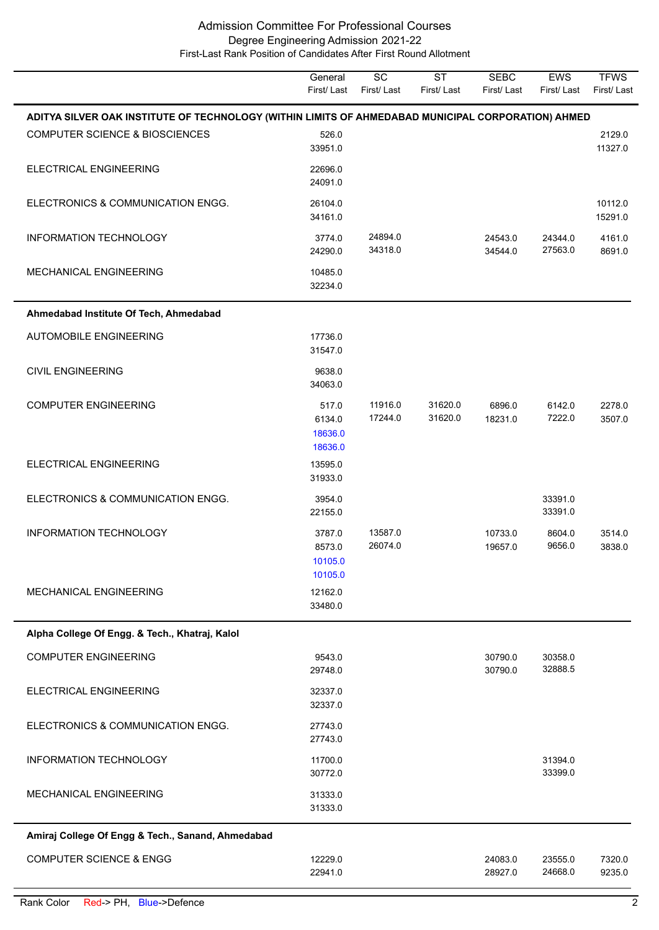|                                                                                                     | General<br>First/Last                  | $\overline{SC}$<br>First/Last | <b>ST</b><br>First/Last | <b>SEBC</b><br>First/ Last | EWS<br>First/Last  | <b>TFWS</b><br>First/Last |
|-----------------------------------------------------------------------------------------------------|----------------------------------------|-------------------------------|-------------------------|----------------------------|--------------------|---------------------------|
| ADITYA SILVER OAK INSTITUTE OF TECHNOLOGY (WITHIN LIMITS OF AHMEDABAD MUNICIPAL CORPORATION) AHMED. |                                        |                               |                         |                            |                    |                           |
| <b>COMPUTER SCIENCE &amp; BIOSCIENCES</b>                                                           | 526.0<br>33951.0                       |                               |                         |                            |                    | 2129.0<br>11327.0         |
| ELECTRICAL ENGINEERING                                                                              | 22696.0<br>24091.0                     |                               |                         |                            |                    |                           |
| ELECTRONICS & COMMUNICATION ENGG.                                                                   | 26104.0<br>34161.0                     |                               |                         |                            |                    | 10112.0<br>15291.0        |
| <b>INFORMATION TECHNOLOGY</b>                                                                       | 3774.0<br>24290.0                      | 24894.0<br>34318.0            |                         | 24543.0<br>34544.0         | 24344.0<br>27563.0 | 4161.0<br>8691.0          |
| MECHANICAL ENGINEERING                                                                              | 10485.0<br>32234.0                     |                               |                         |                            |                    |                           |
| Ahmedabad Institute Of Tech, Ahmedabad                                                              |                                        |                               |                         |                            |                    |                           |
| <b>AUTOMOBILE ENGINEERING</b>                                                                       | 17736.0<br>31547.0                     |                               |                         |                            |                    |                           |
| <b>CIVIL ENGINEERING</b>                                                                            | 9638.0<br>34063.0                      |                               |                         |                            |                    |                           |
| <b>COMPUTER ENGINEERING</b>                                                                         | 517.0<br>6134.0<br>18636.0<br>18636.0  | 11916.0<br>17244.0            | 31620.0<br>31620.0      | 6896.0<br>18231.0          | 6142.0<br>7222.0   | 2278.0<br>3507.0          |
| ELECTRICAL ENGINEERING                                                                              | 13595.0<br>31933.0                     |                               |                         |                            |                    |                           |
| ELECTRONICS & COMMUNICATION ENGG.                                                                   | 3954.0<br>22155.0                      |                               |                         |                            | 33391.0<br>33391.0 |                           |
| <b>INFORMATION TECHNOLOGY</b>                                                                       | 3787.0<br>8573.0<br>10105.0<br>10105.0 | 13587.0<br>26074.0            |                         | 10733.0<br>19657.0         | 8604.0<br>9656.0   | 3514.0<br>3838.0          |
| MECHANICAL ENGINEERING                                                                              | 12162.0<br>33480.0                     |                               |                         |                            |                    |                           |
| Alpha College Of Engg. & Tech., Khatraj, Kalol                                                      |                                        |                               |                         |                            |                    |                           |
| <b>COMPUTER ENGINEERING</b>                                                                         | 9543.0<br>29748.0                      |                               |                         | 30790.0<br>30790.0         | 30358.0<br>32888.5 |                           |
| ELECTRICAL ENGINEERING                                                                              | 32337.0<br>32337.0                     |                               |                         |                            |                    |                           |
| ELECTRONICS & COMMUNICATION ENGG.                                                                   | 27743.0<br>27743.0                     |                               |                         |                            |                    |                           |
| <b>INFORMATION TECHNOLOGY</b>                                                                       | 11700.0<br>30772.0                     |                               |                         |                            | 31394.0<br>33399.0 |                           |
| <b>MECHANICAL ENGINEERING</b>                                                                       | 31333.0<br>31333.0                     |                               |                         |                            |                    |                           |
| Amiraj College Of Engg & Tech., Sanand, Ahmedabad                                                   |                                        |                               |                         |                            |                    |                           |
| <b>COMPUTER SCIENCE &amp; ENGG</b>                                                                  | 12229.0<br>22941.0                     |                               |                         | 24083.0<br>28927.0         | 23555.0<br>24668.0 | 7320.0<br>9235.0          |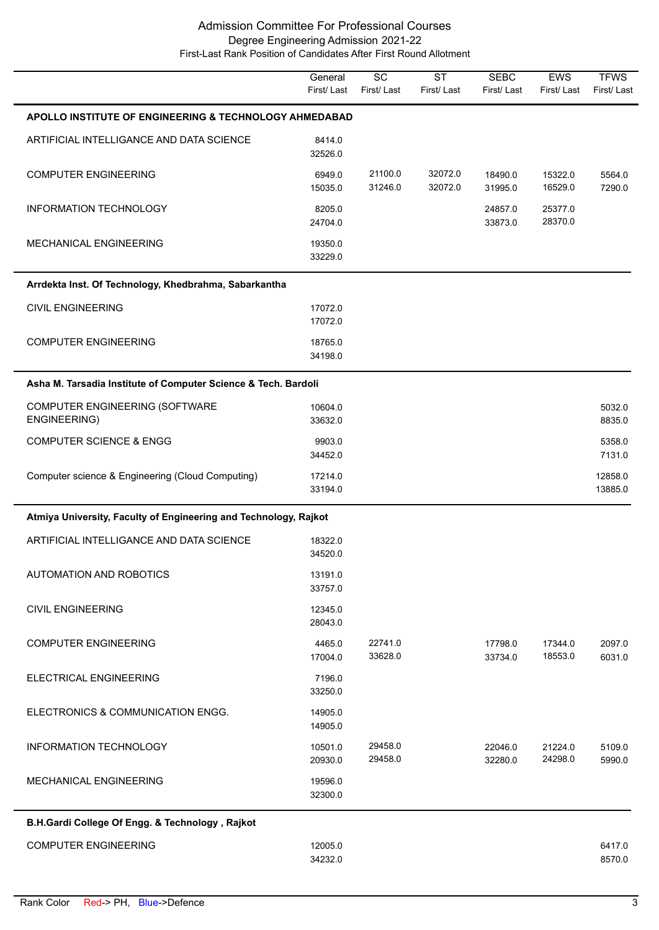|                                                                  | General<br>First/Last | $\overline{SC}$<br>First/Last | $\overline{\text{ST}}$<br>First/Last | <b>SEBC</b><br>First/Last | EWS<br>First/Last  | <b>TFWS</b><br>First/Last |  |  |
|------------------------------------------------------------------|-----------------------|-------------------------------|--------------------------------------|---------------------------|--------------------|---------------------------|--|--|
| APOLLO INSTITUTE OF ENGINEERING & TECHNOLOGY AHMEDABAD           |                       |                               |                                      |                           |                    |                           |  |  |
| ARTIFICIAL INTELLIGANCE AND DATA SCIENCE                         | 8414.0<br>32526.0     |                               |                                      |                           |                    |                           |  |  |
| <b>COMPUTER ENGINEERING</b>                                      | 6949.0<br>15035.0     | 21100.0<br>31246.0            | 32072.0<br>32072.0                   | 18490.0<br>31995.0        | 15322.0<br>16529.0 | 5564.0<br>7290.0          |  |  |
| INFORMATION TECHNOLOGY                                           | 8205.0<br>24704.0     |                               |                                      | 24857.0<br>33873.0        | 25377.0<br>28370.0 |                           |  |  |
| MECHANICAL ENGINEERING                                           | 19350.0<br>33229.0    |                               |                                      |                           |                    |                           |  |  |
| Arrdekta Inst. Of Technology, Khedbrahma, Sabarkantha            |                       |                               |                                      |                           |                    |                           |  |  |
| <b>CIVIL ENGINEERING</b>                                         | 17072.0<br>17072.0    |                               |                                      |                           |                    |                           |  |  |
| <b>COMPUTER ENGINEERING</b>                                      | 18765.0<br>34198.0    |                               |                                      |                           |                    |                           |  |  |
| Asha M. Tarsadia Institute of Computer Science & Tech. Bardoli   |                       |                               |                                      |                           |                    |                           |  |  |
| COMPUTER ENGINEERING (SOFTWARE<br>ENGINEERING)                   | 10604.0<br>33632.0    |                               |                                      |                           |                    | 5032.0<br>8835.0          |  |  |
| <b>COMPUTER SCIENCE &amp; ENGG</b>                               | 9903.0<br>34452.0     |                               |                                      |                           |                    | 5358.0<br>7131.0          |  |  |
| Computer science & Engineering (Cloud Computing)                 | 17214.0<br>33194.0    |                               |                                      |                           |                    | 12858.0<br>13885.0        |  |  |
| Atmiya University, Faculty of Engineering and Technology, Rajkot |                       |                               |                                      |                           |                    |                           |  |  |
| ARTIFICIAL INTELLIGANCE AND DATA SCIENCE                         | 18322.0<br>34520.0    |                               |                                      |                           |                    |                           |  |  |
| AUTOMATION AND ROBOTICS                                          | 13191.0<br>33757.0    |                               |                                      |                           |                    |                           |  |  |
| <b>CIVIL ENGINEERING</b>                                         | 12345.0<br>28043.0    |                               |                                      |                           |                    |                           |  |  |
| <b>COMPUTER ENGINEERING</b>                                      | 4465.0<br>17004.0     | 22741.0<br>33628.0            |                                      | 17798.0<br>33734.0        | 17344.0<br>18553.0 | 2097.0<br>6031.0          |  |  |
| ELECTRICAL ENGINEERING                                           | 7196.0<br>33250.0     |                               |                                      |                           |                    |                           |  |  |
| ELECTRONICS & COMMUNICATION ENGG.                                | 14905.0<br>14905.0    |                               |                                      |                           |                    |                           |  |  |
| INFORMATION TECHNOLOGY                                           | 10501.0<br>20930.0    | 29458.0<br>29458.0            |                                      | 22046.0<br>32280.0        | 21224.0<br>24298.0 | 5109.0<br>5990.0          |  |  |
| MECHANICAL ENGINEERING                                           | 19596.0<br>32300.0    |                               |                                      |                           |                    |                           |  |  |
| B.H.Gardi College Of Engg. & Technology, Rajkot                  |                       |                               |                                      |                           |                    |                           |  |  |
| <b>COMPUTER ENGINEERING</b>                                      | 12005.0<br>34232.0    |                               |                                      |                           |                    | 6417.0<br>8570.0          |  |  |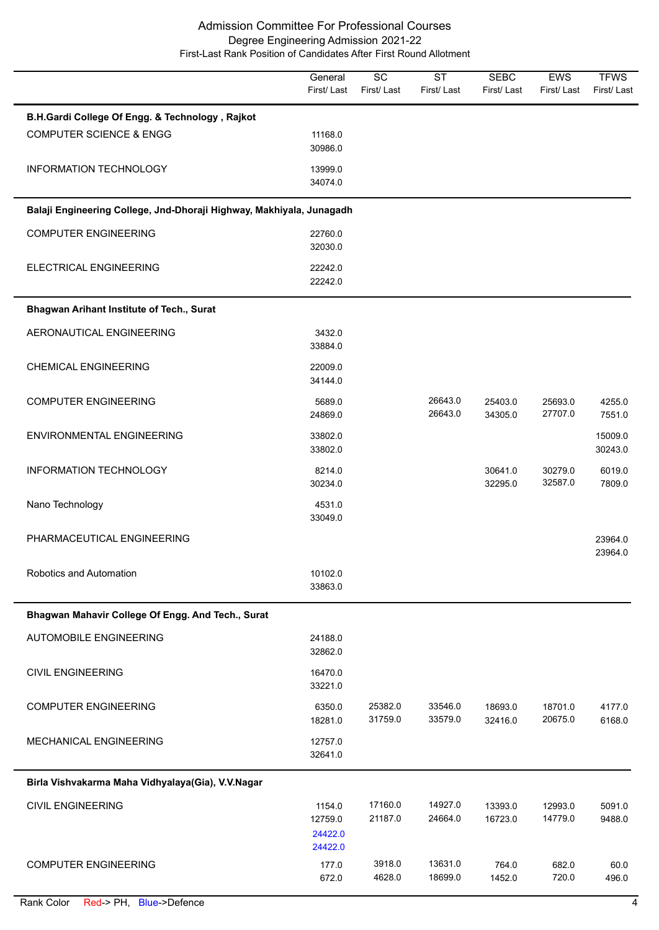|                                                                      | General<br>First/Last                   | $\overline{SC}$<br>First/Last | $\overline{\text{ST}}$<br>First/Last | <b>SEBC</b><br>First/Last | EWS<br>First/Last  | <b>TFWS</b><br>First/Last |
|----------------------------------------------------------------------|-----------------------------------------|-------------------------------|--------------------------------------|---------------------------|--------------------|---------------------------|
| B.H.Gardi College Of Engg. & Technology, Rajkot                      |                                         |                               |                                      |                           |                    |                           |
| <b>COMPUTER SCIENCE &amp; ENGG</b>                                   | 11168.0<br>30986.0                      |                               |                                      |                           |                    |                           |
| <b>INFORMATION TECHNOLOGY</b>                                        | 13999.0<br>34074.0                      |                               |                                      |                           |                    |                           |
| Balaji Engineering College, Jnd-Dhoraji Highway, Makhiyala, Junagadh |                                         |                               |                                      |                           |                    |                           |
| <b>COMPUTER ENGINEERING</b>                                          | 22760.0<br>32030.0                      |                               |                                      |                           |                    |                           |
| ELECTRICAL ENGINEERING                                               | 22242.0<br>22242.0                      |                               |                                      |                           |                    |                           |
| Bhagwan Arihant Institute of Tech., Surat                            |                                         |                               |                                      |                           |                    |                           |
| AERONAUTICAL ENGINEERING                                             | 3432.0<br>33884.0                       |                               |                                      |                           |                    |                           |
| <b>CHEMICAL ENGINEERING</b>                                          | 22009.0<br>34144.0                      |                               |                                      |                           |                    |                           |
| <b>COMPUTER ENGINEERING</b>                                          | 5689.0<br>24869.0                       |                               | 26643.0<br>26643.0                   | 25403.0<br>34305.0        | 25693.0<br>27707.0 | 4255.0<br>7551.0          |
| ENVIRONMENTAL ENGINEERING                                            | 33802.0<br>33802.0                      |                               |                                      |                           |                    | 15009.0<br>30243.0        |
| INFORMATION TECHNOLOGY                                               | 8214.0<br>30234.0                       |                               |                                      | 30641.0<br>32295.0        | 30279.0<br>32587.0 | 6019.0<br>7809.0          |
| Nano Technology                                                      | 4531.0<br>33049.0                       |                               |                                      |                           |                    |                           |
| PHARMACEUTICAL ENGINEERING                                           |                                         |                               |                                      |                           |                    | 23964.0<br>23964.0        |
| Robotics and Automation                                              | 10102.0<br>33863.0                      |                               |                                      |                           |                    |                           |
| Bhagwan Mahavir College Of Engg. And Tech., Surat                    |                                         |                               |                                      |                           |                    |                           |
| <b>AUTOMOBILE ENGINEERING</b>                                        | 24188.0<br>32862.0                      |                               |                                      |                           |                    |                           |
| <b>CIVIL ENGINEERING</b>                                             | 16470.0<br>33221.0                      |                               |                                      |                           |                    |                           |
| <b>COMPUTER ENGINEERING</b>                                          | 6350.0<br>18281.0                       | 25382.0<br>31759.0            | 33546.0<br>33579.0                   | 18693.0<br>32416.0        | 18701.0<br>20675.0 | 4177.0<br>6168.0          |
| MECHANICAL ENGINEERING                                               | 12757.0<br>32641.0                      |                               |                                      |                           |                    |                           |
| Birla Vishvakarma Maha Vidhyalaya(Gia), V.V.Nagar                    |                                         |                               |                                      |                           |                    |                           |
| <b>CIVIL ENGINEERING</b>                                             | 1154.0<br>12759.0<br>24422.0<br>24422.0 | 17160.0<br>21187.0            | 14927.0<br>24664.0                   | 13393.0<br>16723.0        | 12993.0<br>14779.0 | 5091.0<br>9488.0          |
| <b>COMPUTER ENGINEERING</b>                                          | 177.0<br>672.0                          | 3918.0<br>4628.0              | 13631.0<br>18699.0                   | 764.0<br>1452.0           | 682.0<br>720.0     | 60.0<br>496.0             |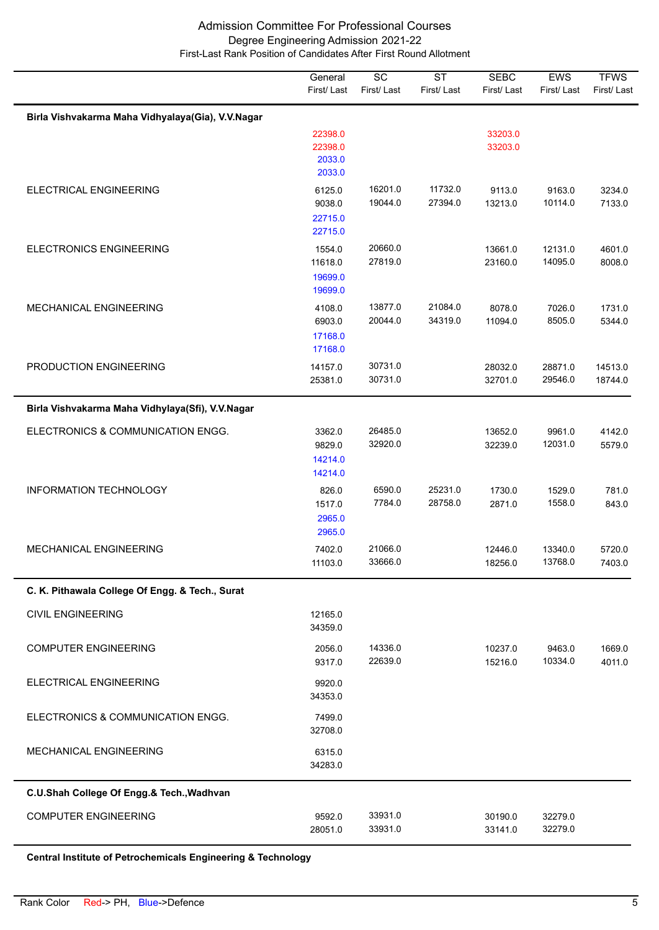|                                                   | General<br>First/Last                   | $\overline{SC}$<br>First/Last | <b>ST</b><br>First/Last | <b>SEBC</b><br>First/Last | EWS<br>First/Last  | <b>TFWS</b><br>First/Last |
|---------------------------------------------------|-----------------------------------------|-------------------------------|-------------------------|---------------------------|--------------------|---------------------------|
| Birla Vishvakarma Maha Vidhyalaya(Gia), V.V.Nagar |                                         |                               |                         |                           |                    |                           |
|                                                   | 22398.0<br>22398.0<br>2033.0<br>2033.0  |                               |                         | 33203.0<br>33203.0        |                    |                           |
| ELECTRICAL ENGINEERING                            | 6125.0<br>9038.0<br>22715.0<br>22715.0  | 16201.0<br>19044.0            | 11732.0<br>27394.0      | 9113.0<br>13213.0         | 9163.0<br>10114.0  | 3234.0<br>7133.0          |
| <b>ELECTRONICS ENGINEERING</b>                    | 1554.0<br>11618.0<br>19699.0<br>19699.0 | 20660.0<br>27819.0            |                         | 13661.0<br>23160.0        | 12131.0<br>14095.0 | 4601.0<br>8008.0          |
| MECHANICAL ENGINEERING                            | 4108.0<br>6903.0<br>17168.0<br>17168.0  | 13877.0<br>20044.0            | 21084.0<br>34319.0      | 8078.0<br>11094.0         | 7026.0<br>8505.0   | 1731.0<br>5344.0          |
| PRODUCTION ENGINEERING                            | 14157.0<br>25381.0                      | 30731.0<br>30731.0            |                         | 28032.0<br>32701.0        | 28871.0<br>29546.0 | 14513.0<br>18744.0        |
| Birla Vishvakarma Maha Vidhylaya(Sfi), V.V.Nagar  |                                         |                               |                         |                           |                    |                           |
| ELECTRONICS & COMMUNICATION ENGG.                 | 3362.0<br>9829.0<br>14214.0<br>14214.0  | 26485.0<br>32920.0            |                         | 13652.0<br>32239.0        | 9961.0<br>12031.0  | 4142.0<br>5579.0          |
| <b>INFORMATION TECHNOLOGY</b>                     | 826.0<br>1517.0<br>2965.0<br>2965.0     | 6590.0<br>7784.0              | 25231.0<br>28758.0      | 1730.0<br>2871.0          | 1529.0<br>1558.0   | 781.0<br>843.0            |
| <b>MECHANICAL ENGINEERING</b>                     | 7402.0<br>11103.0                       | 21066.0<br>33666.0            |                         | 12446.0<br>18256.0        | 13340.0<br>13768.0 | 5720.0<br>7403.0          |
| C. K. Pithawala College Of Engg. & Tech., Surat   |                                         |                               |                         |                           |                    |                           |
| <b>CIVIL ENGINEERING</b>                          | 12165.0<br>34359.0                      |                               |                         |                           |                    |                           |
| <b>COMPUTER ENGINEERING</b>                       | 2056.0<br>9317.0                        | 14336.0<br>22639.0            |                         | 10237.0<br>15216.0        | 9463.0<br>10334.0  | 1669.0<br>4011.0          |
| ELECTRICAL ENGINEERING                            | 9920.0<br>34353.0                       |                               |                         |                           |                    |                           |
| ELECTRONICS & COMMUNICATION ENGG.                 | 7499.0<br>32708.0                       |                               |                         |                           |                    |                           |
| <b>MECHANICAL ENGINEERING</b>                     | 6315.0<br>34283.0                       |                               |                         |                           |                    |                           |
| C.U.Shah College Of Engg.& Tech., Wadhvan         |                                         |                               |                         |                           |                    |                           |
| <b>COMPUTER ENGINEERING</b>                       | 9592.0<br>28051.0                       | 33931.0<br>33931.0            |                         | 30190.0<br>33141.0        | 32279.0<br>32279.0 |                           |

**Central Institute of Petrochemicals Engineering & Technology**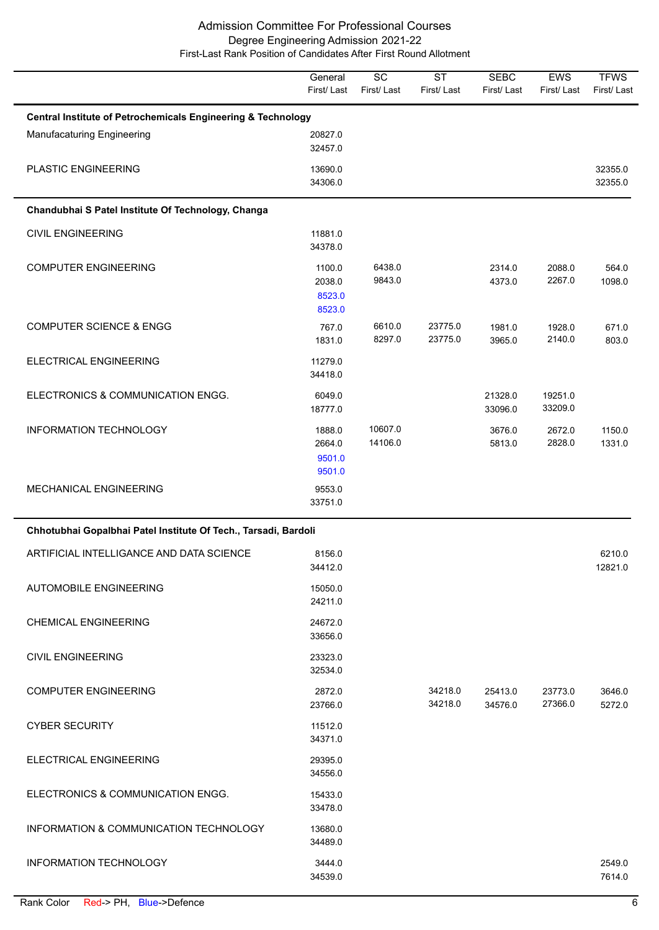|                                                                         | General<br>First/Last                | $\overline{SC}$<br>First/Last | $\overline{\text{ST}}$<br>First/Last | <b>SEBC</b><br>First/Last | EWS<br>First/Last  | <b>TFWS</b><br>First/Last |  |  |
|-------------------------------------------------------------------------|--------------------------------------|-------------------------------|--------------------------------------|---------------------------|--------------------|---------------------------|--|--|
| <b>Central Institute of Petrochemicals Engineering &amp; Technology</b> |                                      |                               |                                      |                           |                    |                           |  |  |
| <b>Manufacaturing Engineering</b>                                       | 20827.0<br>32457.0                   |                               |                                      |                           |                    |                           |  |  |
| PLASTIC ENGINEERING                                                     | 13690.0<br>34306.0                   |                               |                                      |                           |                    | 32355.0<br>32355.0        |  |  |
| Chandubhai S Patel Institute Of Technology, Changa                      |                                      |                               |                                      |                           |                    |                           |  |  |
| <b>CIVIL ENGINEERING</b>                                                | 11881.0<br>34378.0                   |                               |                                      |                           |                    |                           |  |  |
| <b>COMPUTER ENGINEERING</b>                                             | 1100.0<br>2038.0<br>8523.0<br>8523.0 | 6438.0<br>9843.0              |                                      | 2314.0<br>4373.0          | 2088.0<br>2267.0   | 564.0<br>1098.0           |  |  |
| <b>COMPUTER SCIENCE &amp; ENGG</b>                                      | 767.0<br>1831.0                      | 6610.0<br>8297.0              | 23775.0<br>23775.0                   | 1981.0<br>3965.0          | 1928.0<br>2140.0   | 671.0<br>803.0            |  |  |
| ELECTRICAL ENGINEERING                                                  | 11279.0<br>34418.0                   |                               |                                      |                           |                    |                           |  |  |
| ELECTRONICS & COMMUNICATION ENGG.                                       | 6049.0<br>18777.0                    |                               |                                      | 21328.0<br>33096.0        | 19251.0<br>33209.0 |                           |  |  |
| INFORMATION TECHNOLOGY                                                  | 1888.0<br>2664.0<br>9501.0<br>9501.0 | 10607.0<br>14106.0            |                                      | 3676.0<br>5813.0          | 2672.0<br>2828.0   | 1150.0<br>1331.0          |  |  |
| MECHANICAL ENGINEERING                                                  | 9553.0<br>33751.0                    |                               |                                      |                           |                    |                           |  |  |
| Chhotubhai Gopalbhai Patel Institute Of Tech., Tarsadi, Bardoli         |                                      |                               |                                      |                           |                    |                           |  |  |
| ARTIFICIAL INTELLIGANCE AND DATA SCIENCE                                | 8156.0<br>34412.0                    |                               |                                      |                           |                    | 6210.0<br>12821.0         |  |  |
| <b>AUTOMOBILE ENGINEERING</b>                                           | 15050.0<br>24211.0                   |                               |                                      |                           |                    |                           |  |  |
| <b>CHEMICAL ENGINEERING</b>                                             | 24672.0<br>33656.0                   |                               |                                      |                           |                    |                           |  |  |
| <b>CIVIL ENGINEERING</b>                                                | 23323.0<br>32534.0                   |                               |                                      |                           |                    |                           |  |  |
| <b>COMPUTER ENGINEERING</b>                                             | 2872.0<br>23766.0                    |                               | 34218.0<br>34218.0                   | 25413.0<br>34576.0        | 23773.0<br>27366.0 | 3646.0<br>5272.0          |  |  |
| <b>CYBER SECURITY</b>                                                   | 11512.0<br>34371.0                   |                               |                                      |                           |                    |                           |  |  |
| ELECTRICAL ENGINEERING                                                  | 29395.0<br>34556.0                   |                               |                                      |                           |                    |                           |  |  |
| ELECTRONICS & COMMUNICATION ENGG.                                       | 15433.0<br>33478.0                   |                               |                                      |                           |                    |                           |  |  |
| INFORMATION & COMMUNICATION TECHNOLOGY                                  | 13680.0<br>34489.0                   |                               |                                      |                           |                    |                           |  |  |
| INFORMATION TECHNOLOGY                                                  | 3444.0<br>34539.0                    |                               |                                      |                           |                    | 2549.0<br>7614.0          |  |  |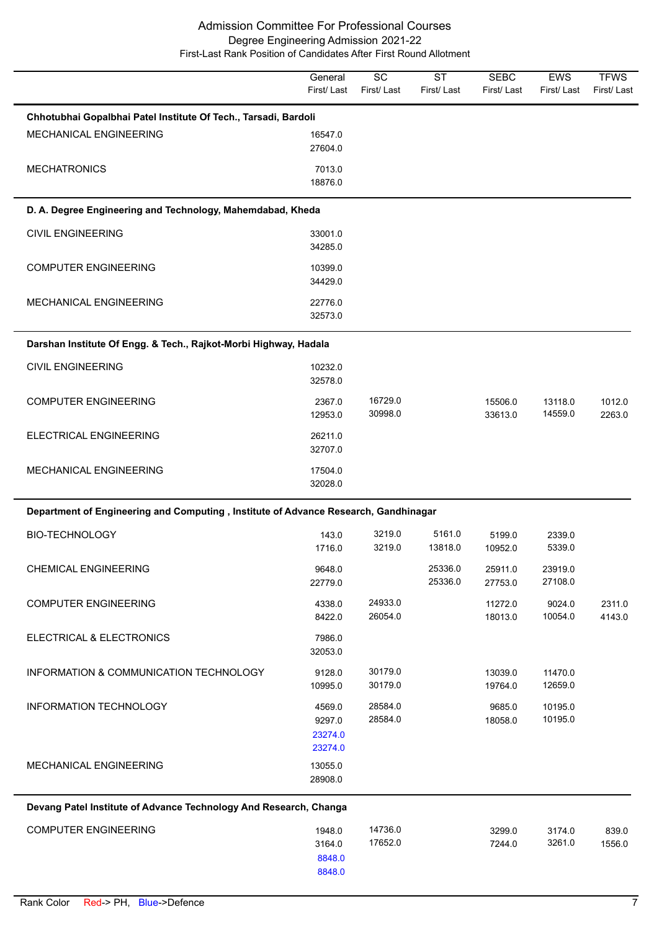|                                                                                     | General<br>First/Last | SC<br>First/Last   | <b>ST</b><br>First/Last | <b>SEBC</b><br>First/ Last | <b>EWS</b><br>First/Last | <b>TFWS</b><br>First/Last |
|-------------------------------------------------------------------------------------|-----------------------|--------------------|-------------------------|----------------------------|--------------------------|---------------------------|
| Chhotubhai Gopalbhai Patel Institute Of Tech., Tarsadi, Bardoli                     |                       |                    |                         |                            |                          |                           |
| MECHANICAL ENGINEERING                                                              | 16547.0               |                    |                         |                            |                          |                           |
|                                                                                     | 27604.0               |                    |                         |                            |                          |                           |
| <b>MECHATRONICS</b>                                                                 | 7013.0<br>18876.0     |                    |                         |                            |                          |                           |
| D. A. Degree Engineering and Technology, Mahemdabad, Kheda                          |                       |                    |                         |                            |                          |                           |
| <b>CIVIL ENGINEERING</b>                                                            | 33001.0               |                    |                         |                            |                          |                           |
|                                                                                     | 34285.0               |                    |                         |                            |                          |                           |
| <b>COMPUTER ENGINEERING</b>                                                         | 10399.0<br>34429.0    |                    |                         |                            |                          |                           |
| MECHANICAL ENGINEERING                                                              | 22776.0               |                    |                         |                            |                          |                           |
|                                                                                     | 32573.0               |                    |                         |                            |                          |                           |
| Darshan Institute Of Engg. & Tech., Rajkot-Morbi Highway, Hadala                    |                       |                    |                         |                            |                          |                           |
| <b>CIVIL ENGINEERING</b>                                                            | 10232.0               |                    |                         |                            |                          |                           |
|                                                                                     | 32578.0               |                    |                         |                            |                          |                           |
| <b>COMPUTER ENGINEERING</b>                                                         | 2367.0<br>12953.0     | 16729.0<br>30998.0 |                         | 15506.0<br>33613.0         | 13118.0<br>14559.0       | 1012.0<br>2263.0          |
| ELECTRICAL ENGINEERING                                                              | 26211.0               |                    |                         |                            |                          |                           |
|                                                                                     | 32707.0               |                    |                         |                            |                          |                           |
| MECHANICAL ENGINEERING                                                              | 17504.0<br>32028.0    |                    |                         |                            |                          |                           |
| Department of Engineering and Computing, Institute of Advance Research, Gandhinagar |                       |                    |                         |                            |                          |                           |
| <b>BIO-TECHNOLOGY</b>                                                               | 143.0                 | 3219.0             | 5161.0                  | 5199.0                     | 2339.0                   |                           |
|                                                                                     | 1716.0                | 3219.0             | 13818.0                 | 10952.0                    | 5339.0                   |                           |
| <b>CHEMICAL ENGINEERING</b>                                                         | 9648.0<br>22779.0     |                    | 25336.0<br>25336.0      | 25911.0<br>27753.0         | 23919.0<br>27108.0       |                           |
| <b>COMPUTER ENGINEERING</b>                                                         | 4338.0                | 24933.0            |                         | 11272.0                    | 9024.0                   | 2311.0                    |
|                                                                                     | 8422.0                | 26054.0            |                         | 18013.0                    | 10054.0                  | 4143.0                    |
| ELECTRICAL & ELECTRONICS                                                            | 7986.0<br>32053.0     |                    |                         |                            |                          |                           |
| INFORMATION & COMMUNICATION TECHNOLOGY                                              | 9128.0<br>10995.0     | 30179.0<br>30179.0 |                         | 13039.0<br>19764.0         | 11470.0<br>12659.0       |                           |
| INFORMATION TECHNOLOGY                                                              | 4569.0                | 28584.0            |                         | 9685.0                     | 10195.0                  |                           |
|                                                                                     | 9297.0                | 28584.0            |                         | 18058.0                    | 10195.0                  |                           |
|                                                                                     | 23274.0<br>23274.0    |                    |                         |                            |                          |                           |
| MECHANICAL ENGINEERING                                                              | 13055.0               |                    |                         |                            |                          |                           |
|                                                                                     | 28908.0               |                    |                         |                            |                          |                           |
| Devang Patel Institute of Advance Technology And Research, Changa                   |                       |                    |                         |                            |                          |                           |
| <b>COMPUTER ENGINEERING</b>                                                         | 1948.0                | 14736.0            |                         | 3299.0                     | 3174.0                   | 839.0                     |
|                                                                                     | 3164.0<br>8848.0      | 17652.0            |                         | 7244.0                     | 3261.0                   | 1556.0                    |
|                                                                                     | 8848.0                |                    |                         |                            |                          |                           |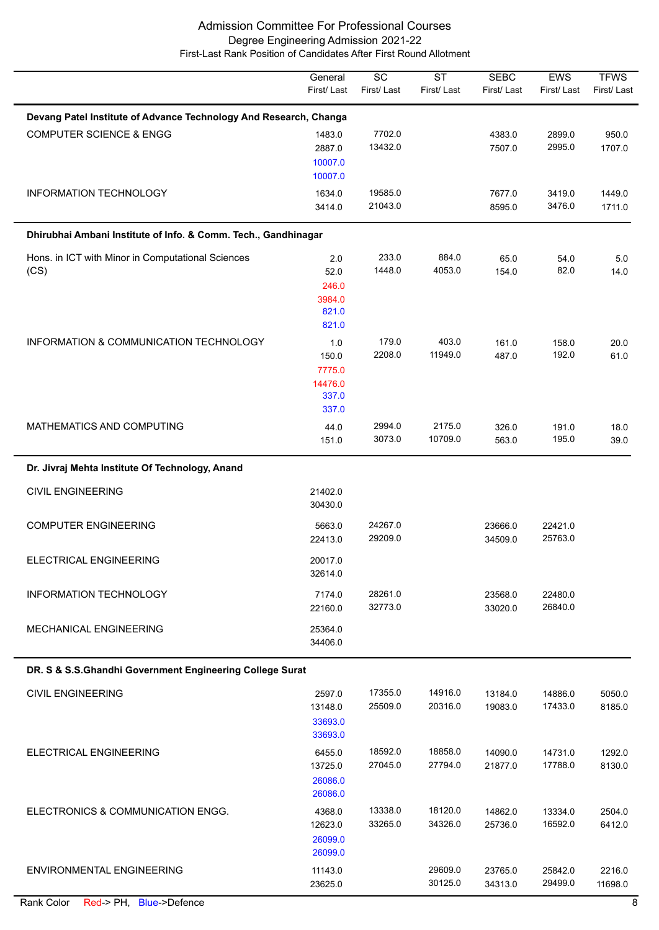|                                                                   | General<br>First/Last                               | $\overline{SC}$<br>First/Last | $\overline{\text{ST}}$<br>First/Last | <b>SEBC</b><br>First/ Last | EWS<br>First/Last  | <b>TFWS</b><br>First/Last |  |  |  |
|-------------------------------------------------------------------|-----------------------------------------------------|-------------------------------|--------------------------------------|----------------------------|--------------------|---------------------------|--|--|--|
| Devang Patel Institute of Advance Technology And Research, Changa |                                                     |                               |                                      |                            |                    |                           |  |  |  |
| <b>COMPUTER SCIENCE &amp; ENGG</b>                                | 1483.0<br>2887.0<br>10007.0<br>10007.0              | 7702.0<br>13432.0             |                                      | 4383.0<br>7507.0           | 2899.0<br>2995.0   | 950.0<br>1707.0           |  |  |  |
| <b>INFORMATION TECHNOLOGY</b>                                     | 1634.0<br>3414.0                                    | 19585.0<br>21043.0            |                                      | 7677.0<br>8595.0           | 3419.0<br>3476.0   | 1449.0<br>1711.0          |  |  |  |
| Dhirubhai Ambani Institute of Info. & Comm. Tech., Gandhinagar    |                                                     |                               |                                      |                            |                    |                           |  |  |  |
| Hons. in ICT with Minor in Computational Sciences<br>(CS)         | 2.0<br>52.0<br>246.0<br>3984.0<br>821.0<br>821.0    | 233.0<br>1448.0               | 884.0<br>4053.0                      | 65.0<br>154.0              | 54.0<br>82.0       | 5.0<br>14.0               |  |  |  |
| INFORMATION & COMMUNICATION TECHNOLOGY                            | 1.0<br>150.0<br>7775.0<br>14476.0<br>337.0<br>337.0 | 179.0<br>2208.0               | 403.0<br>11949.0                     | 161.0<br>487.0             | 158.0<br>192.0     | 20.0<br>61.0              |  |  |  |
| MATHEMATICS AND COMPUTING                                         | 44.0<br>151.0                                       | 2994.0<br>3073.0              | 2175.0<br>10709.0                    | 326.0<br>563.0             | 191.0<br>195.0     | 18.0<br>39.0              |  |  |  |
| Dr. Jivraj Mehta Institute Of Technology, Anand                   |                                                     |                               |                                      |                            |                    |                           |  |  |  |
| <b>CIVIL ENGINEERING</b>                                          | 21402.0<br>30430.0                                  |                               |                                      |                            |                    |                           |  |  |  |
| <b>COMPUTER ENGINEERING</b>                                       | 5663.0<br>22413.0                                   | 24267.0<br>29209.0            |                                      | 23666.0<br>34509.0         | 22421.0<br>25763.0 |                           |  |  |  |
| ELECTRICAL ENGINEERING                                            | 20017.0<br>32614.0                                  |                               |                                      |                            |                    |                           |  |  |  |
| INFORMATION TECHNOLOGY                                            | 7174.0<br>22160.0                                   | 28261.0<br>32773.0            |                                      | 23568.0<br>33020.0         | 22480.0<br>26840.0 |                           |  |  |  |
| <b>MECHANICAL ENGINEERING</b>                                     | 25364.0<br>34406.0                                  |                               |                                      |                            |                    |                           |  |  |  |
| DR. S & S.S.Ghandhi Government Engineering College Surat          |                                                     |                               |                                      |                            |                    |                           |  |  |  |
| <b>CIVIL ENGINEERING</b>                                          | 2597.0<br>13148.0<br>33693.0<br>33693.0             | 17355.0<br>25509.0            | 14916.0<br>20316.0                   | 13184.0<br>19083.0         | 14886.0<br>17433.0 | 5050.0<br>8185.0          |  |  |  |
| ELECTRICAL ENGINEERING                                            | 6455.0<br>13725.0<br>26086.0<br>26086.0             | 18592.0<br>27045.0            | 18858.0<br>27794.0                   | 14090.0<br>21877.0         | 14731.0<br>17788.0 | 1292.0<br>8130.0          |  |  |  |
| ELECTRONICS & COMMUNICATION ENGG.                                 | 4368.0<br>12623.0<br>26099.0<br>26099.0             | 13338.0<br>33265.0            | 18120.0<br>34326.0                   | 14862.0<br>25736.0         | 13334.0<br>16592.0 | 2504.0<br>6412.0          |  |  |  |
| ENVIRONMENTAL ENGINEERING                                         | 11143.0<br>23625.0                                  |                               | 29609.0<br>30125.0                   | 23765.0<br>34313.0         | 25842.0<br>29499.0 | 2216.0<br>11698.0         |  |  |  |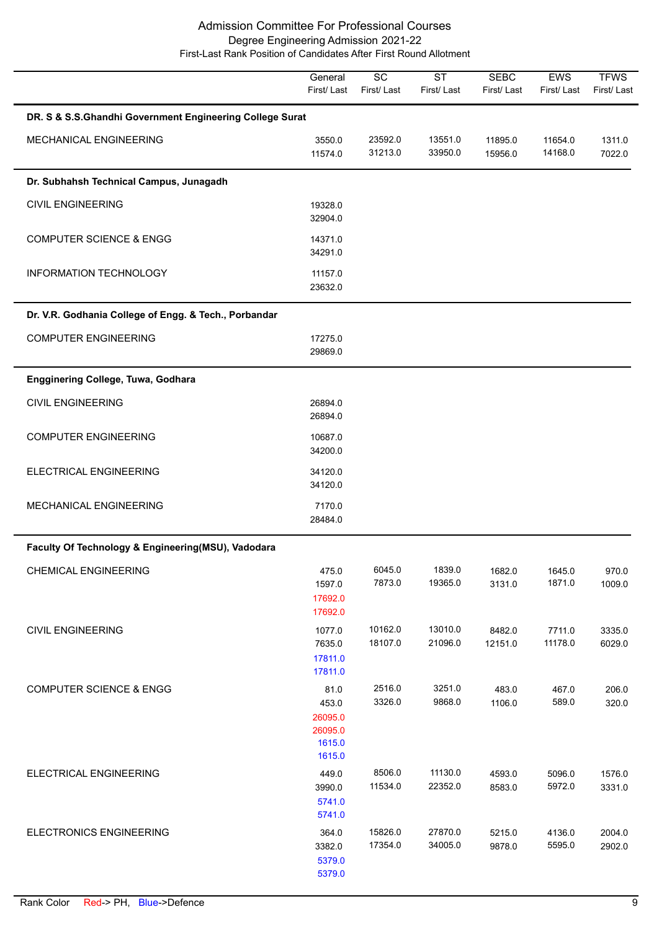|                                                          | General<br>First/Last                                   | $\overline{SC}$<br>First/Last | <b>ST</b><br>First/Last | <b>SEBC</b><br>First/Last | EWS<br>First/Last  | <b>TFWS</b><br>First/Last |
|----------------------------------------------------------|---------------------------------------------------------|-------------------------------|-------------------------|---------------------------|--------------------|---------------------------|
| DR. S & S.S.Ghandhi Government Engineering College Surat |                                                         |                               |                         |                           |                    |                           |
| MECHANICAL ENGINEERING                                   | 3550.0<br>11574.0                                       | 23592.0<br>31213.0            | 13551.0<br>33950.0      | 11895.0<br>15956.0        | 11654.0<br>14168.0 | 1311.0<br>7022.0          |
| Dr. Subhahsh Technical Campus, Junagadh                  |                                                         |                               |                         |                           |                    |                           |
| <b>CIVIL ENGINEERING</b>                                 | 19328.0<br>32904.0                                      |                               |                         |                           |                    |                           |
| <b>COMPUTER SCIENCE &amp; ENGG</b>                       | 14371.0<br>34291.0                                      |                               |                         |                           |                    |                           |
| INFORMATION TECHNOLOGY                                   | 11157.0<br>23632.0                                      |                               |                         |                           |                    |                           |
| Dr. V.R. Godhania College of Engg. & Tech., Porbandar    |                                                         |                               |                         |                           |                    |                           |
| <b>COMPUTER ENGINEERING</b>                              | 17275.0<br>29869.0                                      |                               |                         |                           |                    |                           |
| Engginering College, Tuwa, Godhara                       |                                                         |                               |                         |                           |                    |                           |
| <b>CIVIL ENGINEERING</b>                                 | 26894.0<br>26894.0                                      |                               |                         |                           |                    |                           |
| <b>COMPUTER ENGINEERING</b>                              | 10687.0<br>34200.0                                      |                               |                         |                           |                    |                           |
| ELECTRICAL ENGINEERING                                   | 34120.0<br>34120.0                                      |                               |                         |                           |                    |                           |
| MECHANICAL ENGINEERING                                   | 7170.0<br>28484.0                                       |                               |                         |                           |                    |                           |
| Faculty Of Technology & Engineering(MSU), Vadodara       |                                                         |                               |                         |                           |                    |                           |
| <b>CHEMICAL ENGINEERING</b>                              | 475.0<br>1597.0<br>17692.0<br>17692.0                   | 6045.0<br>7873.0              | 1839.0<br>19365.0       | 1682.0<br>3131.0          | 1645.0<br>1871.0   | 970.0<br>1009.0           |
| <b>CIVIL ENGINEERING</b>                                 | 1077.0<br>7635.0<br>17811.0<br>17811.0                  | 10162.0<br>18107.0            | 13010.0<br>21096.0      | 8482.0<br>12151.0         | 7711.0<br>11178.0  | 3335.0<br>6029.0          |
| <b>COMPUTER SCIENCE &amp; ENGG</b>                       | 81.0<br>453.0<br>26095.0<br>26095.0<br>1615.0<br>1615.0 | 2516.0<br>3326.0              | 3251.0<br>9868.0        | 483.0<br>1106.0           | 467.0<br>589.0     | 206.0<br>320.0            |
| ELECTRICAL ENGINEERING                                   | 449.0<br>3990.0<br>5741.0<br>5741.0                     | 8506.0<br>11534.0             | 11130.0<br>22352.0      | 4593.0<br>8583.0          | 5096.0<br>5972.0   | 1576.0<br>3331.0          |
| <b>ELECTRONICS ENGINEERING</b>                           | 364.0<br>3382.0<br>5379.0<br>5379.0                     | 15826.0<br>17354.0            | 27870.0<br>34005.0      | 5215.0<br>9878.0          | 4136.0<br>5595.0   | 2004.0<br>2902.0          |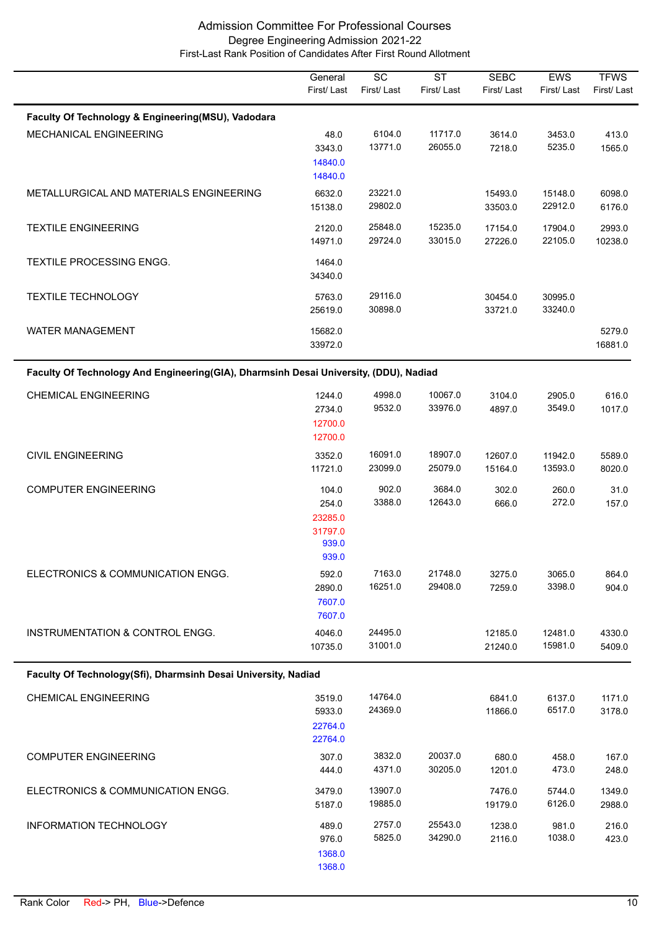|                                                                                       | General<br>First/Last                                  | $\overline{SC}$<br>First/Last | $\overline{\text{ST}}$<br>First/Last | <b>SEBC</b><br>First/Last | <b>EWS</b><br>First/Last | <b>TFWS</b><br>First/Last |
|---------------------------------------------------------------------------------------|--------------------------------------------------------|-------------------------------|--------------------------------------|---------------------------|--------------------------|---------------------------|
|                                                                                       |                                                        |                               |                                      |                           |                          |                           |
| Faculty Of Technology & Engineering(MSU), Vadodara                                    |                                                        |                               |                                      |                           |                          |                           |
| <b>MECHANICAL ENGINEERING</b>                                                         | 48.0<br>3343.0<br>14840.0<br>14840.0                   | 6104.0<br>13771.0             | 11717.0<br>26055.0                   | 3614.0<br>7218.0          | 3453.0<br>5235.0         | 413.0<br>1565.0           |
| METALLURGICAL AND MATERIALS ENGINEERING                                               | 6632.0<br>15138.0                                      | 23221.0<br>29802.0            |                                      | 15493.0<br>33503.0        | 15148.0<br>22912.0       | 6098.0<br>6176.0          |
| <b>TEXTILE ENGINEERING</b>                                                            | 2120.0<br>14971.0                                      | 25848.0<br>29724.0            | 15235.0<br>33015.0                   | 17154.0<br>27226.0        | 17904.0<br>22105.0       | 2993.0<br>10238.0         |
| TEXTILE PROCESSING ENGG.                                                              | 1464.0<br>34340.0                                      |                               |                                      |                           |                          |                           |
| <b>TEXTILE TECHNOLOGY</b>                                                             | 5763.0<br>25619.0                                      | 29116.0<br>30898.0            |                                      | 30454.0<br>33721.0        | 30995.0<br>33240.0       |                           |
| <b>WATER MANAGEMENT</b>                                                               | 15682.0<br>33972.0                                     |                               |                                      |                           |                          | 5279.0<br>16881.0         |
| Faculty Of Technology And Engineering(GIA), Dharmsinh Desai University, (DDU), Nadiad |                                                        |                               |                                      |                           |                          |                           |
| <b>CHEMICAL ENGINEERING</b>                                                           | 1244.0<br>2734.0<br>12700.0<br>12700.0                 | 4998.0<br>9532.0              | 10067.0<br>33976.0                   | 3104.0<br>4897.0          | 2905.0<br>3549.0         | 616.0<br>1017.0           |
| <b>CIVIL ENGINEERING</b>                                                              | 3352.0<br>11721.0                                      | 16091.0<br>23099.0            | 18907.0<br>25079.0                   | 12607.0<br>15164.0        | 11942.0<br>13593.0       | 5589.0<br>8020.0          |
| <b>COMPUTER ENGINEERING</b>                                                           | 104.0<br>254.0<br>23285.0<br>31797.0<br>939.0<br>939.0 | 902.0<br>3388.0               | 3684.0<br>12643.0                    | 302.0<br>666.0            | 260.0<br>272.0           | 31.0<br>157.0             |
| ELECTRONICS & COMMUNICATION ENGG.                                                     | 592.0<br>2890.0<br>7607.0<br>7607.0                    | 7163.0<br>16251.0             | 21748.0<br>29408.0                   | 3275.0<br>7259.0          | 3065.0<br>3398.0         | 864.0<br>904.0            |
| INSTRUMENTATION & CONTROL ENGG.                                                       | 4046.0<br>10735.0                                      | 24495.0<br>31001.0            |                                      | 12185.0<br>21240.0        | 12481.0<br>15981.0       | 4330.0<br>5409.0          |
| Faculty Of Technology(Sfi), Dharmsinh Desai University, Nadiad                        |                                                        |                               |                                      |                           |                          |                           |
| <b>CHEMICAL ENGINEERING</b>                                                           | 3519.0<br>5933.0<br>22764.0<br>22764.0                 | 14764.0<br>24369.0            |                                      | 6841.0<br>11866.0         | 6137.0<br>6517.0         | 1171.0<br>3178.0          |
| <b>COMPUTER ENGINEERING</b>                                                           | 307.0<br>444.0                                         | 3832.0<br>4371.0              | 20037.0<br>30205.0                   | 680.0<br>1201.0           | 458.0<br>473.0           | 167.0<br>248.0            |
| ELECTRONICS & COMMUNICATION ENGG.                                                     | 3479.0<br>5187.0                                       | 13907.0<br>19885.0            |                                      | 7476.0<br>19179.0         | 5744.0<br>6126.0         | 1349.0<br>2988.0          |
| INFORMATION TECHNOLOGY                                                                | 489.0<br>976.0<br>1368.0<br>1368.0                     | 2757.0<br>5825.0              | 25543.0<br>34290.0                   | 1238.0<br>2116.0          | 981.0<br>1038.0          | 216.0<br>423.0            |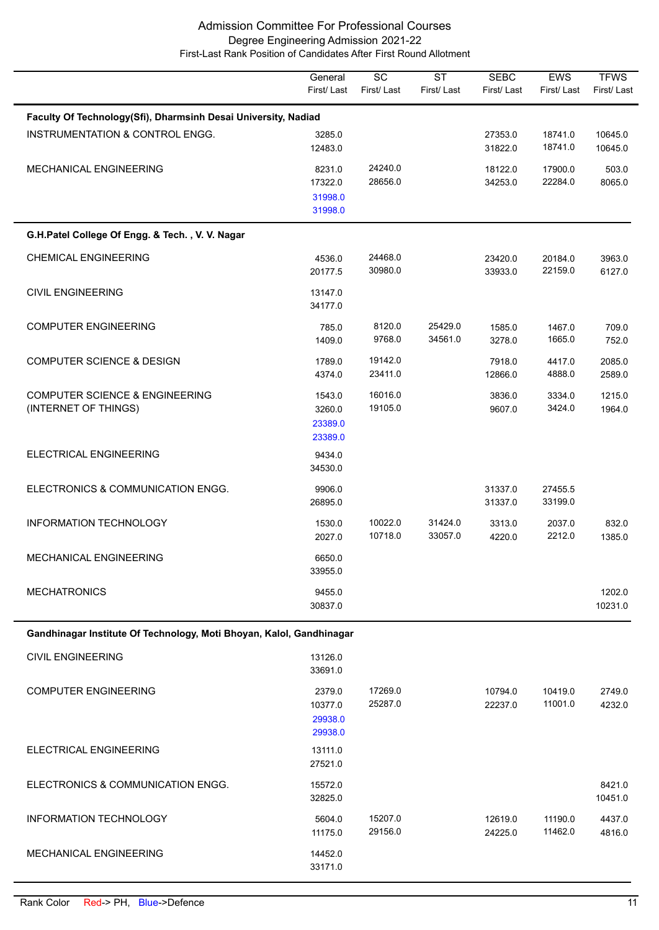|                                                                      | General<br>First/Last                   | $\overline{SC}$<br>First/Last | $\overline{\text{ST}}$<br>First/Last | <b>SEBC</b><br>First/Last | <b>EWS</b><br>First/Last | <b>TFWS</b><br>First/Last |
|----------------------------------------------------------------------|-----------------------------------------|-------------------------------|--------------------------------------|---------------------------|--------------------------|---------------------------|
| Faculty Of Technology(Sfi), Dharmsinh Desai University, Nadiad       |                                         |                               |                                      |                           |                          |                           |
| INSTRUMENTATION & CONTROL ENGG.                                      | 3285.0<br>12483.0                       |                               |                                      | 27353.0<br>31822.0        | 18741.0<br>18741.0       | 10645.0<br>10645.0        |
| MECHANICAL ENGINEERING                                               | 8231.0<br>17322.0<br>31998.0<br>31998.0 | 24240.0<br>28656.0            |                                      | 18122.0<br>34253.0        | 17900.0<br>22284.0       | 503.0<br>8065.0           |
| G.H.Patel College Of Engg. & Tech., V. V. Nagar                      |                                         |                               |                                      |                           |                          |                           |
| <b>CHEMICAL ENGINEERING</b>                                          | 4536.0<br>20177.5                       | 24468.0<br>30980.0            |                                      | 23420.0<br>33933.0        | 20184.0<br>22159.0       | 3963.0<br>6127.0          |
| <b>CIVIL ENGINEERING</b>                                             | 13147.0<br>34177.0                      |                               |                                      |                           |                          |                           |
| <b>COMPUTER ENGINEERING</b>                                          | 785.0<br>1409.0                         | 8120.0<br>9768.0              | 25429.0<br>34561.0                   | 1585.0<br>3278.0          | 1467.0<br>1665.0         | 709.0<br>752.0            |
| <b>COMPUTER SCIENCE &amp; DESIGN</b>                                 | 1789.0<br>4374.0                        | 19142.0<br>23411.0            |                                      | 7918.0<br>12866.0         | 4417.0<br>4888.0         | 2085.0<br>2589.0          |
| <b>COMPUTER SCIENCE &amp; ENGINEERING</b><br>(INTERNET OF THINGS)    | 1543.0<br>3260.0<br>23389.0<br>23389.0  | 16016.0<br>19105.0            |                                      | 3836.0<br>9607.0          | 3334.0<br>3424.0         | 1215.0<br>1964.0          |
| ELECTRICAL ENGINEERING                                               | 9434.0<br>34530.0                       |                               |                                      |                           |                          |                           |
| ELECTRONICS & COMMUNICATION ENGG.                                    | 9906.0<br>26895.0                       |                               |                                      | 31337.0<br>31337.0        | 27455.5<br>33199.0       |                           |
| INFORMATION TECHNOLOGY                                               | 1530.0<br>2027.0                        | 10022.0<br>10718.0            | 31424.0<br>33057.0                   | 3313.0<br>4220.0          | 2037.0<br>2212.0         | 832.0<br>1385.0           |
| <b>MECHANICAL ENGINEERING</b>                                        | 6650.0<br>33955.0                       |                               |                                      |                           |                          |                           |
| <b>MECHATRONICS</b>                                                  | 9455.0<br>30837.0                       |                               |                                      |                           |                          | 1202.0<br>10231.0         |
| Gandhinagar Institute Of Technology, Moti Bhoyan, Kalol, Gandhinagar |                                         |                               |                                      |                           |                          |                           |
| <b>CIVIL ENGINEERING</b>                                             | 13126.0<br>33691.0                      |                               |                                      |                           |                          |                           |
| <b>COMPUTER ENGINEERING</b>                                          | 2379.0<br>10377.0<br>29938.0<br>29938.0 | 17269.0<br>25287.0            |                                      | 10794.0<br>22237.0        | 10419.0<br>11001.0       | 2749.0<br>4232.0          |
| ELECTRICAL ENGINEERING                                               | 13111.0<br>27521.0                      |                               |                                      |                           |                          |                           |
| ELECTRONICS & COMMUNICATION ENGG.                                    | 15572.0<br>32825.0                      |                               |                                      |                           |                          | 8421.0<br>10451.0         |
| <b>INFORMATION TECHNOLOGY</b>                                        | 5604.0<br>11175.0                       | 15207.0<br>29156.0            |                                      | 12619.0<br>24225.0        | 11190.0<br>11462.0       | 4437.0<br>4816.0          |
| MECHANICAL ENGINEERING                                               | 14452.0<br>33171.0                      |                               |                                      |                           |                          |                           |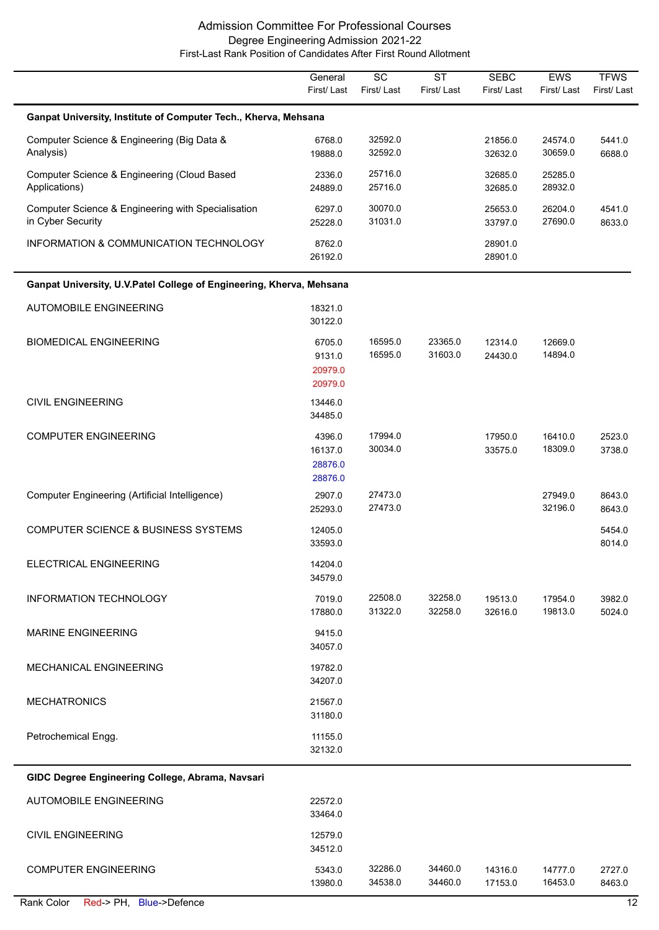|                                                                         | General<br>First/Last                   | $\overline{SC}$<br>First/Last | $\overline{\text{ST}}$<br>First/Last | <b>SEBC</b><br>First/Last | EWS<br>First/Last  | <b>TFWS</b><br>First/Last |
|-------------------------------------------------------------------------|-----------------------------------------|-------------------------------|--------------------------------------|---------------------------|--------------------|---------------------------|
| Ganpat University, Institute of Computer Tech., Kherva, Mehsana         |                                         |                               |                                      |                           |                    |                           |
| Computer Science & Engineering (Big Data &<br>Analysis)                 | 6768.0<br>19888.0                       | 32592.0<br>32592.0            |                                      | 21856.0<br>32632.0        | 24574.0<br>30659.0 | 5441.0<br>6688.0          |
| Computer Science & Engineering (Cloud Based<br>Applications)            | 2336.0<br>24889.0                       | 25716.0<br>25716.0            |                                      | 32685.0<br>32685.0        | 25285.0<br>28932.0 |                           |
| Computer Science & Engineering with Specialisation<br>in Cyber Security | 6297.0<br>25228.0                       | 30070.0<br>31031.0            |                                      | 25653.0<br>33797.0        | 26204.0<br>27690.0 | 4541.0<br>8633.0          |
| INFORMATION & COMMUNICATION TECHNOLOGY                                  | 8762.0<br>26192.0                       |                               |                                      | 28901.0<br>28901.0        |                    |                           |
| Ganpat University, U.V.Patel College of Engineering, Kherva, Mehsana    |                                         |                               |                                      |                           |                    |                           |
| <b>AUTOMOBILE ENGINEERING</b>                                           | 18321.0<br>30122.0                      |                               |                                      |                           |                    |                           |
| <b>BIOMEDICAL ENGINEERING</b>                                           | 6705.0<br>9131.0<br>20979.0<br>20979.0  | 16595.0<br>16595.0            | 23365.0<br>31603.0                   | 12314.0<br>24430.0        | 12669.0<br>14894.0 |                           |
| <b>CIVIL ENGINEERING</b>                                                | 13446.0<br>34485.0                      |                               |                                      |                           |                    |                           |
| <b>COMPUTER ENGINEERING</b>                                             | 4396.0<br>16137.0<br>28876.0<br>28876.0 | 17994.0<br>30034.0            |                                      | 17950.0<br>33575.0        | 16410.0<br>18309.0 | 2523.0<br>3738.0          |
| Computer Engineering (Artificial Intelligence)                          | 2907.0<br>25293.0                       | 27473.0<br>27473.0            |                                      |                           | 27949.0<br>32196.0 | 8643.0<br>8643.0          |
| <b>COMPUTER SCIENCE &amp; BUSINESS SYSTEMS</b>                          | 12405.0<br>33593.0                      |                               |                                      |                           |                    | 5454.0<br>8014.0          |
| ELECTRICAL ENGINEERING                                                  | 14204.0<br>34579.0                      |                               |                                      |                           |                    |                           |
| INFORMATION TECHNOLOGY                                                  | 7019.0<br>17880.0                       | 22508.0<br>31322.0            | 32258.0<br>32258.0                   | 19513.0<br>32616.0        | 17954.0<br>19813.0 | 3982.0<br>5024.0          |
| <b>MARINE ENGINEERING</b>                                               | 9415.0<br>34057.0                       |                               |                                      |                           |                    |                           |
| <b>MECHANICAL ENGINEERING</b>                                           | 19782.0<br>34207.0                      |                               |                                      |                           |                    |                           |
| <b>MECHATRONICS</b>                                                     | 21567.0<br>31180.0                      |                               |                                      |                           |                    |                           |
| Petrochemical Engg.                                                     | 11155.0<br>32132.0                      |                               |                                      |                           |                    |                           |
| GIDC Degree Engineering College, Abrama, Navsari                        |                                         |                               |                                      |                           |                    |                           |
| AUTOMOBILE ENGINEERING                                                  | 22572.0                                 |                               |                                      |                           |                    |                           |

| AUTOMOBILE ENGINEERING      | 22572.0<br>33464.0 |                    |                    |                    |                    |                  |
|-----------------------------|--------------------|--------------------|--------------------|--------------------|--------------------|------------------|
| CIVIL ENGINEERING           | 12579.0<br>34512.0 |                    |                    |                    |                    |                  |
| <b>COMPUTER ENGINEERING</b> | 5343.0<br>13980.0  | 32286.0<br>34538.0 | 34460.0<br>34460.0 | 14316.0<br>17153.0 | 14777.0<br>16453.0 | 2727.0<br>8463.0 |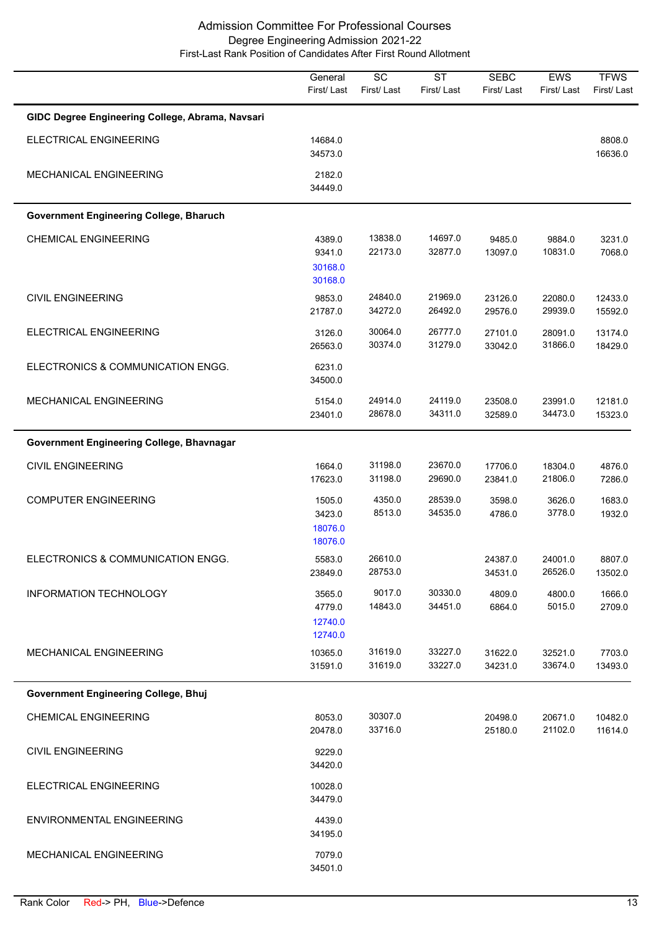|                                                  | General<br>First/Last                  | $\overline{SC}$<br>First/Last | <b>ST</b><br>First/Last | <b>SEBC</b><br>First/Last | EWS<br>First/Last  | <b>TFWS</b><br>First/Last |
|--------------------------------------------------|----------------------------------------|-------------------------------|-------------------------|---------------------------|--------------------|---------------------------|
| GIDC Degree Engineering College, Abrama, Navsari |                                        |                               |                         |                           |                    |                           |
| ELECTRICAL ENGINEERING                           | 14684.0<br>34573.0                     |                               |                         |                           |                    | 8808.0<br>16636.0         |
| MECHANICAL ENGINEERING                           | 2182.0<br>34449.0                      |                               |                         |                           |                    |                           |
| <b>Government Engineering College, Bharuch</b>   |                                        |                               |                         |                           |                    |                           |
| <b>CHEMICAL ENGINEERING</b>                      | 4389.0<br>9341.0<br>30168.0<br>30168.0 | 13838.0<br>22173.0            | 14697.0<br>32877.0      | 9485.0<br>13097.0         | 9884.0<br>10831.0  | 3231.0<br>7068.0          |
| <b>CIVIL ENGINEERING</b>                         | 9853.0<br>21787.0                      | 24840.0<br>34272.0            | 21969.0<br>26492.0      | 23126.0<br>29576.0        | 22080.0<br>29939.0 | 12433.0<br>15592.0        |
| ELECTRICAL ENGINEERING                           | 3126.0<br>26563.0                      | 30064.0<br>30374.0            | 26777.0<br>31279.0      | 27101.0<br>33042.0        | 28091.0<br>31866.0 | 13174.0<br>18429.0        |
| ELECTRONICS & COMMUNICATION ENGG.                | 6231.0<br>34500.0                      |                               |                         |                           |                    |                           |
| MECHANICAL ENGINEERING                           | 5154.0<br>23401.0                      | 24914.0<br>28678.0            | 24119.0<br>34311.0      | 23508.0<br>32589.0        | 23991.0<br>34473.0 | 12181.0<br>15323.0        |
| Government Engineering College, Bhavnagar        |                                        |                               |                         |                           |                    |                           |
| <b>CIVIL ENGINEERING</b>                         | 1664.0<br>17623.0                      | 31198.0<br>31198.0            | 23670.0<br>29690.0      | 17706.0<br>23841.0        | 18304.0<br>21806.0 | 4876.0<br>7286.0          |
| <b>COMPUTER ENGINEERING</b>                      | 1505.0<br>3423.0<br>18076.0<br>18076.0 | 4350.0<br>8513.0              | 28539.0<br>34535.0      | 3598.0<br>4786.0          | 3626.0<br>3778.0   | 1683.0<br>1932.0          |
| ELECTRONICS & COMMUNICATION ENGG.                | 5583.0<br>23849.0                      | 26610.0<br>28753.0            |                         | 24387.0<br>34531.0        | 24001.0<br>26526.0 | 8807.0<br>13502.0         |
| <b>INFORMATION TECHNOLOGY</b>                    | 3565.0<br>4779.0<br>12740.0<br>12740.0 | 9017.0<br>14843.0             | 30330.0<br>34451.0      | 4809.0<br>6864.0          | 4800.0<br>5015.0   | 1666.0<br>2709.0          |
| MECHANICAL ENGINEERING                           | 10365.0<br>31591.0                     | 31619.0<br>31619.0            | 33227.0<br>33227.0      | 31622.0<br>34231.0        | 32521.0<br>33674.0 | 7703.0<br>13493.0         |
| <b>Government Engineering College, Bhuj</b>      |                                        |                               |                         |                           |                    |                           |
| <b>CHEMICAL ENGINEERING</b>                      | 8053.0<br>20478.0                      | 30307.0<br>33716.0            |                         | 20498.0<br>25180.0        | 20671.0<br>21102.0 | 10482.0<br>11614.0        |
| <b>CIVIL ENGINEERING</b>                         | 9229.0<br>34420.0                      |                               |                         |                           |                    |                           |
| ELECTRICAL ENGINEERING                           | 10028.0<br>34479.0                     |                               |                         |                           |                    |                           |
| ENVIRONMENTAL ENGINEERING                        | 4439.0<br>34195.0                      |                               |                         |                           |                    |                           |
| MECHANICAL ENGINEERING                           | 7079.0<br>34501.0                      |                               |                         |                           |                    |                           |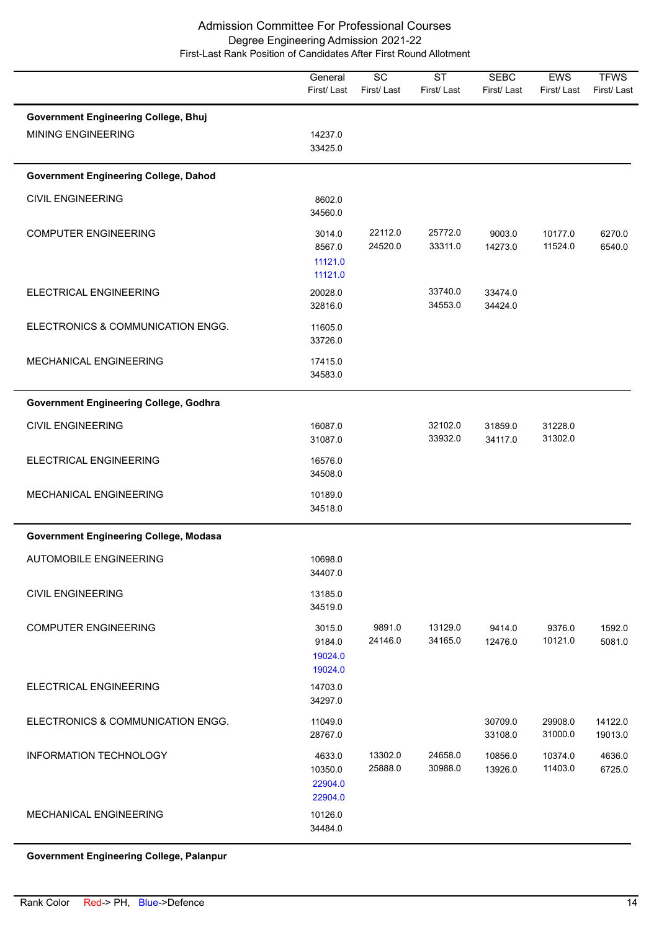|                                                                   | General<br>First/Last                   | $\overline{SC}$<br>First/Last | $\overline{\text{ST}}$<br>First/Last | <b>SEBC</b><br>First/Last | EWS<br>First/Last  | <b>TFWS</b><br>First/Last |
|-------------------------------------------------------------------|-----------------------------------------|-------------------------------|--------------------------------------|---------------------------|--------------------|---------------------------|
| <b>Government Engineering College, Bhuj</b><br>MINING ENGINEERING | 14237.0<br>33425.0                      |                               |                                      |                           |                    |                           |
| <b>Government Engineering College, Dahod</b>                      |                                         |                               |                                      |                           |                    |                           |
| <b>CIVIL ENGINEERING</b>                                          | 8602.0<br>34560.0                       |                               |                                      |                           |                    |                           |
| <b>COMPUTER ENGINEERING</b>                                       | 3014.0<br>8567.0<br>11121.0<br>11121.0  | 22112.0<br>24520.0            | 25772.0<br>33311.0                   | 9003.0<br>14273.0         | 10177.0<br>11524.0 | 6270.0<br>6540.0          |
| ELECTRICAL ENGINEERING                                            | 20028.0<br>32816.0                      |                               | 33740.0<br>34553.0                   | 33474.0<br>34424.0        |                    |                           |
| ELECTRONICS & COMMUNICATION ENGG.                                 | 11605.0<br>33726.0                      |                               |                                      |                           |                    |                           |
| MECHANICAL ENGINEERING                                            | 17415.0<br>34583.0                      |                               |                                      |                           |                    |                           |
| <b>Government Engineering College, Godhra</b>                     |                                         |                               |                                      |                           |                    |                           |
| <b>CIVIL ENGINEERING</b>                                          | 16087.0<br>31087.0                      |                               | 32102.0<br>33932.0                   | 31859.0<br>34117.0        | 31228.0<br>31302.0 |                           |
| ELECTRICAL ENGINEERING                                            | 16576.0<br>34508.0                      |                               |                                      |                           |                    |                           |
| MECHANICAL ENGINEERING                                            | 10189.0<br>34518.0                      |                               |                                      |                           |                    |                           |
| <b>Government Engineering College, Modasa</b>                     |                                         |                               |                                      |                           |                    |                           |
| <b>AUTOMOBILE ENGINEERING</b>                                     | 10698.0<br>34407.0                      |                               |                                      |                           |                    |                           |
| <b>CIVIL ENGINEERING</b>                                          | 13185.0<br>34519.0                      |                               |                                      |                           |                    |                           |
| <b>COMPUTER ENGINEERING</b>                                       | 3015.0<br>9184.0<br>19024.0<br>19024.0  | 9891.0<br>24146.0             | 13129.0<br>34165.0                   | 9414.0<br>12476.0         | 9376.0<br>10121.0  | 1592.0<br>5081.0          |
| ELECTRICAL ENGINEERING                                            | 14703.0<br>34297.0                      |                               |                                      |                           |                    |                           |
| ELECTRONICS & COMMUNICATION ENGG.                                 | 11049.0<br>28767.0                      |                               |                                      | 30709.0<br>33108.0        | 29908.0<br>31000.0 | 14122.0<br>19013.0        |
| <b>INFORMATION TECHNOLOGY</b>                                     | 4633.0<br>10350.0<br>22904.0<br>22904.0 | 13302.0<br>25888.0            | 24658.0<br>30988.0                   | 10856.0<br>13926.0        | 10374.0<br>11403.0 | 4636.0<br>6725.0          |
| MECHANICAL ENGINEERING                                            | 10126.0<br>34484.0                      |                               |                                      |                           |                    |                           |

**Government Engineering College, Palanpur**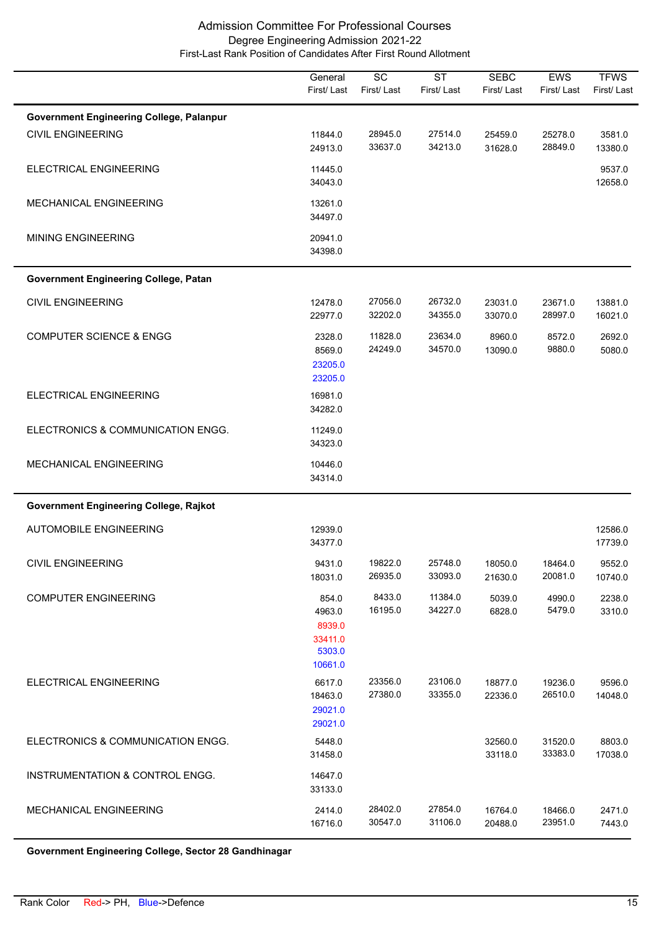|                                                 | General<br>First/Last                                     | $\overline{SC}$<br>First/Last | $\overline{\text{ST}}$<br>First/Last | <b>SEBC</b><br>First/Last | EWS<br>First/Last  | <b>TFWS</b><br>First/Last |
|-------------------------------------------------|-----------------------------------------------------------|-------------------------------|--------------------------------------|---------------------------|--------------------|---------------------------|
| <b>Government Engineering College, Palanpur</b> |                                                           |                               |                                      |                           |                    |                           |
| <b>CIVIL ENGINEERING</b>                        | 11844.0<br>24913.0                                        | 28945.0<br>33637.0            | 27514.0<br>34213.0                   | 25459.0<br>31628.0        | 25278.0<br>28849.0 | 3581.0<br>13380.0         |
| ELECTRICAL ENGINEERING                          | 11445.0<br>34043.0                                        |                               |                                      |                           |                    | 9537.0<br>12658.0         |
| MECHANICAL ENGINEERING                          | 13261.0<br>34497.0                                        |                               |                                      |                           |                    |                           |
| <b>MINING ENGINEERING</b>                       | 20941.0<br>34398.0                                        |                               |                                      |                           |                    |                           |
| <b>Government Engineering College, Patan</b>    |                                                           |                               |                                      |                           |                    |                           |
| <b>CIVIL ENGINEERING</b>                        | 12478.0<br>22977.0                                        | 27056.0<br>32202.0            | 26732.0<br>34355.0                   | 23031.0<br>33070.0        | 23671.0<br>28997.0 | 13881.0<br>16021.0        |
| <b>COMPUTER SCIENCE &amp; ENGG</b>              | 2328.0<br>8569.0<br>23205.0<br>23205.0                    | 11828.0<br>24249.0            | 23634.0<br>34570.0                   | 8960.0<br>13090.0         | 8572.0<br>9880.0   | 2692.0<br>5080.0          |
| ELECTRICAL ENGINEERING                          | 16981.0<br>34282.0                                        |                               |                                      |                           |                    |                           |
| ELECTRONICS & COMMUNICATION ENGG.               | 11249.0<br>34323.0                                        |                               |                                      |                           |                    |                           |
| MECHANICAL ENGINEERING                          | 10446.0<br>34314.0                                        |                               |                                      |                           |                    |                           |
| Government Engineering College, Rajkot          |                                                           |                               |                                      |                           |                    |                           |
| <b>AUTOMOBILE ENGINEERING</b>                   | 12939.0<br>34377.0                                        |                               |                                      |                           |                    | 12586.0<br>17739.0        |
| <b>CIVIL ENGINEERING</b>                        | 9431.0<br>18031.0                                         | 19822.0<br>26935.0            | 25748.0<br>33093.0                   | 18050.0<br>21630.0        | 18464.0<br>20081.0 | 9552.0<br>10740.0         |
| <b>COMPUTER ENGINEERING</b>                     | 854.0<br>4963.0<br>8939.0<br>33411.0<br>5303.0<br>10661.0 | 8433.0<br>16195.0             | 11384.0<br>34227.0                   | 5039.0<br>6828.0          | 4990.0<br>5479.0   | 2238.0<br>3310.0          |
| ELECTRICAL ENGINEERING                          | 6617.0<br>18463.0<br>29021.0<br>29021.0                   | 23356.0<br>27380.0            | 23106.0<br>33355.0                   | 18877.0<br>22336.0        | 19236.0<br>26510.0 | 9596.0<br>14048.0         |
| ELECTRONICS & COMMUNICATION ENGG.               | 5448.0<br>31458.0                                         |                               |                                      | 32560.0<br>33118.0        | 31520.0<br>33383.0 | 8803.0<br>17038.0         |
| INSTRUMENTATION & CONTROL ENGG.                 | 14647.0<br>33133.0                                        |                               |                                      |                           |                    |                           |
| MECHANICAL ENGINEERING                          | 2414.0<br>16716.0                                         | 28402.0<br>30547.0            | 27854.0<br>31106.0                   | 16764.0<br>20488.0        | 18466.0<br>23951.0 | 2471.0<br>7443.0          |

**Government Engineering College, Sector 28 Gandhinagar**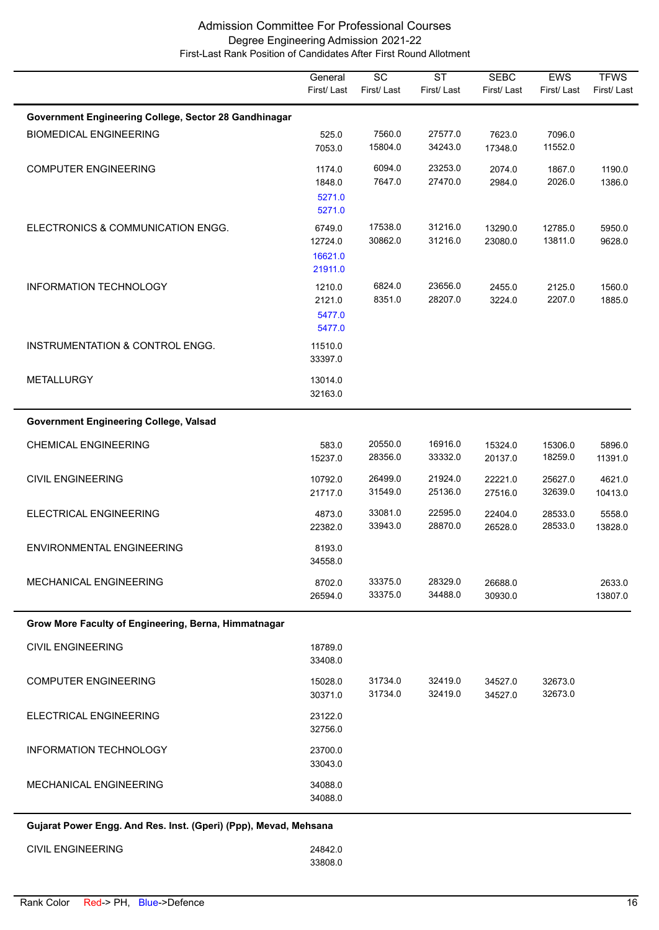|                                                                  | General<br>First/Last                   | $\overline{SC}$<br>First/Last | $\overline{\text{ST}}$<br>First/Last | <b>SEBC</b><br>First/Last | EWS<br>First/Last  | <b>TFWS</b><br>First/Last |
|------------------------------------------------------------------|-----------------------------------------|-------------------------------|--------------------------------------|---------------------------|--------------------|---------------------------|
| Government Engineering College, Sector 28 Gandhinagar            |                                         |                               |                                      |                           |                    |                           |
| <b>BIOMEDICAL ENGINEERING</b>                                    | 525.0<br>7053.0                         | 7560.0<br>15804.0             | 27577.0<br>34243.0                   | 7623.0<br>17348.0         | 7096.0<br>11552.0  |                           |
| <b>COMPUTER ENGINEERING</b>                                      | 1174.0<br>1848.0<br>5271.0<br>5271.0    | 6094.0<br>7647.0              | 23253.0<br>27470.0                   | 2074.0<br>2984.0          | 1867.0<br>2026.0   | 1190.0<br>1386.0          |
| ELECTRONICS & COMMUNICATION ENGG.                                | 6749.0<br>12724.0<br>16621.0<br>21911.0 | 17538.0<br>30862.0            | 31216.0<br>31216.0                   | 13290.0<br>23080.0        | 12785.0<br>13811.0 | 5950.0<br>9628.0          |
| <b>INFORMATION TECHNOLOGY</b>                                    | 1210.0<br>2121.0<br>5477.0<br>5477.0    | 6824.0<br>8351.0              | 23656.0<br>28207.0                   | 2455.0<br>3224.0          | 2125.0<br>2207.0   | 1560.0<br>1885.0          |
| INSTRUMENTATION & CONTROL ENGG.                                  | 11510.0<br>33397.0                      |                               |                                      |                           |                    |                           |
| <b>METALLURGY</b>                                                | 13014.0<br>32163.0                      |                               |                                      |                           |                    |                           |
| <b>Government Engineering College, Valsad</b>                    |                                         |                               |                                      |                           |                    |                           |
| <b>CHEMICAL ENGINEERING</b>                                      | 583.0<br>15237.0                        | 20550.0<br>28356.0            | 16916.0<br>33332.0                   | 15324.0<br>20137.0        | 15306.0<br>18259.0 | 5896.0<br>11391.0         |
| <b>CIVIL ENGINEERING</b>                                         | 10792.0<br>21717.0                      | 26499.0<br>31549.0            | 21924.0<br>25136.0                   | 22221.0<br>27516.0        | 25627.0<br>32639.0 | 4621.0<br>10413.0         |
| ELECTRICAL ENGINEERING                                           | 4873.0<br>22382.0                       | 33081.0<br>33943.0            | 22595.0<br>28870.0                   | 22404.0<br>26528.0        | 28533.0<br>28533.0 | 5558.0<br>13828.0         |
| ENVIRONMENTAL ENGINEERING                                        | 8193.0<br>34558.0                       |                               |                                      |                           |                    |                           |
| <b>MECHANICAL ENGINEERING</b>                                    | 8702.0<br>26594.0                       | 33375.0<br>33375.0            | 28329.0<br>34488.0                   | 26688.0<br>30930.0        |                    | 2633.0<br>13807.0         |
| Grow More Faculty of Engineering, Berna, Himmatnagar             |                                         |                               |                                      |                           |                    |                           |
| <b>CIVIL ENGINEERING</b>                                         | 18789.0<br>33408.0                      |                               |                                      |                           |                    |                           |
| <b>COMPUTER ENGINEERING</b>                                      | 15028.0<br>30371.0                      | 31734.0<br>31734.0            | 32419.0<br>32419.0                   | 34527.0<br>34527.0        | 32673.0<br>32673.0 |                           |
| ELECTRICAL ENGINEERING                                           | 23122.0<br>32756.0                      |                               |                                      |                           |                    |                           |
| <b>INFORMATION TECHNOLOGY</b>                                    | 23700.0<br>33043.0                      |                               |                                      |                           |                    |                           |
| <b>MECHANICAL ENGINEERING</b>                                    | 34088.0<br>34088.0                      |                               |                                      |                           |                    |                           |
| Gujarat Power Engg. And Res. Inst. (Gperi) (Ppp), Mevad, Mehsana |                                         |                               |                                      |                           |                    |                           |

 33808.0 CIVIL ENGINEERING 24842.0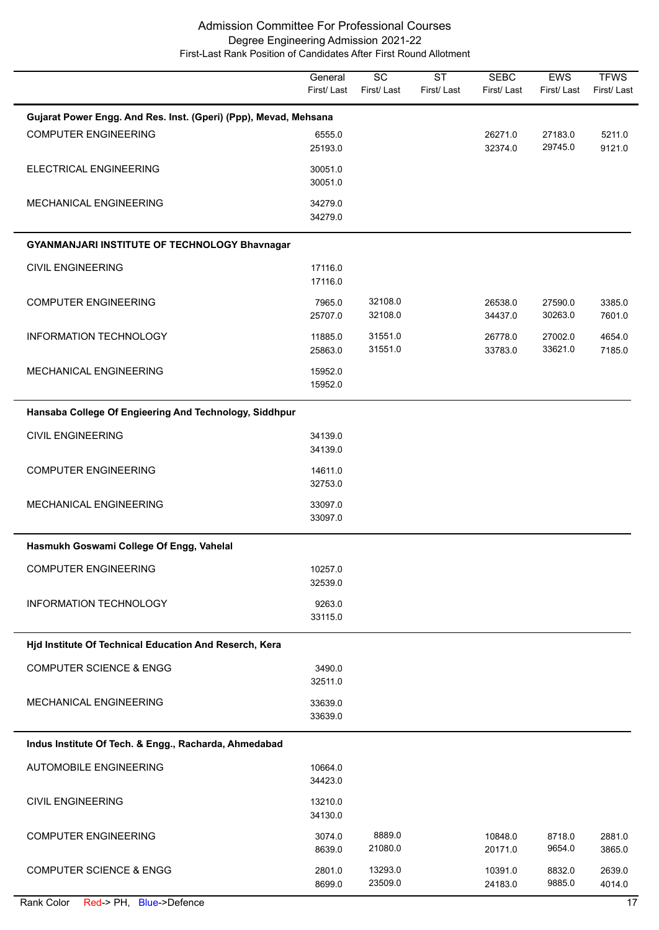|                                                                  | General<br>First/Last | $\overline{SC}$<br>First/Last | $\overline{\text{ST}}$<br>First/Last | <b>SEBC</b><br>First/Last | EWS<br>First/Last  | <b>TFWS</b><br>First/Last |  |  |  |
|------------------------------------------------------------------|-----------------------|-------------------------------|--------------------------------------|---------------------------|--------------------|---------------------------|--|--|--|
| Gujarat Power Engg. And Res. Inst. (Gperi) (Ppp), Mevad, Mehsana |                       |                               |                                      |                           |                    |                           |  |  |  |
| <b>COMPUTER ENGINEERING</b>                                      | 6555.0<br>25193.0     |                               |                                      | 26271.0<br>32374.0        | 27183.0<br>29745.0 | 5211.0<br>9121.0          |  |  |  |
| ELECTRICAL ENGINEERING                                           | 30051.0<br>30051.0    |                               |                                      |                           |                    |                           |  |  |  |
| MECHANICAL ENGINEERING                                           | 34279.0<br>34279.0    |                               |                                      |                           |                    |                           |  |  |  |
| GYANMANJARI INSTITUTE OF TECHNOLOGY Bhavnagar                    |                       |                               |                                      |                           |                    |                           |  |  |  |
| <b>CIVIL ENGINEERING</b>                                         | 17116.0<br>17116.0    |                               |                                      |                           |                    |                           |  |  |  |
| <b>COMPUTER ENGINEERING</b>                                      | 7965.0<br>25707.0     | 32108.0<br>32108.0            |                                      | 26538.0<br>34437.0        | 27590.0<br>30263.0 | 3385.0<br>7601.0          |  |  |  |
| INFORMATION TECHNOLOGY                                           | 11885.0<br>25863.0    | 31551.0<br>31551.0            |                                      | 26778.0<br>33783.0        | 27002.0<br>33621.0 | 4654.0<br>7185.0          |  |  |  |
| MECHANICAL ENGINEERING                                           | 15952.0<br>15952.0    |                               |                                      |                           |                    |                           |  |  |  |
| Hansaba College Of Engieering And Technology, Siddhpur           |                       |                               |                                      |                           |                    |                           |  |  |  |
| <b>CIVIL ENGINEERING</b>                                         | 34139.0<br>34139.0    |                               |                                      |                           |                    |                           |  |  |  |
| <b>COMPUTER ENGINEERING</b>                                      | 14611.0<br>32753.0    |                               |                                      |                           |                    |                           |  |  |  |
| MECHANICAL ENGINEERING                                           | 33097.0<br>33097.0    |                               |                                      |                           |                    |                           |  |  |  |
| Hasmukh Goswami College Of Engg, Vahelal                         |                       |                               |                                      |                           |                    |                           |  |  |  |
| <b>COMPUTER ENGINEERING</b>                                      | 10257.0<br>32539.0    |                               |                                      |                           |                    |                           |  |  |  |
| <b>INFORMATION TECHNOLOGY</b>                                    | 9263.0<br>33115.0     |                               |                                      |                           |                    |                           |  |  |  |
| Hjd Institute Of Technical Education And Reserch, Kera           |                       |                               |                                      |                           |                    |                           |  |  |  |
| <b>COMPUTER SCIENCE &amp; ENGG</b>                               | 3490.0<br>32511.0     |                               |                                      |                           |                    |                           |  |  |  |
| <b>MECHANICAL ENGINEERING</b>                                    | 33639.0<br>33639.0    |                               |                                      |                           |                    |                           |  |  |  |
| Indus Institute Of Tech. & Engg., Racharda, Ahmedabad            |                       |                               |                                      |                           |                    |                           |  |  |  |
| <b>AUTOMOBILE ENGINEERING</b>                                    | 10664.0<br>34423.0    |                               |                                      |                           |                    |                           |  |  |  |
| <b>CIVIL ENGINEERING</b>                                         | 13210.0<br>34130.0    |                               |                                      |                           |                    |                           |  |  |  |
| <b>COMPUTER ENGINEERING</b>                                      | 3074.0<br>8639.0      | 8889.0<br>21080.0             |                                      | 10848.0<br>20171.0        | 8718.0<br>9654.0   | 2881.0<br>3865.0          |  |  |  |
| <b>COMPUTER SCIENCE &amp; ENGG</b>                               | 2801.0<br>8699.0      | 13293.0<br>23509.0            |                                      | 10391.0<br>24183.0        | 8832.0<br>9885.0   | 2639.0<br>4014.0          |  |  |  |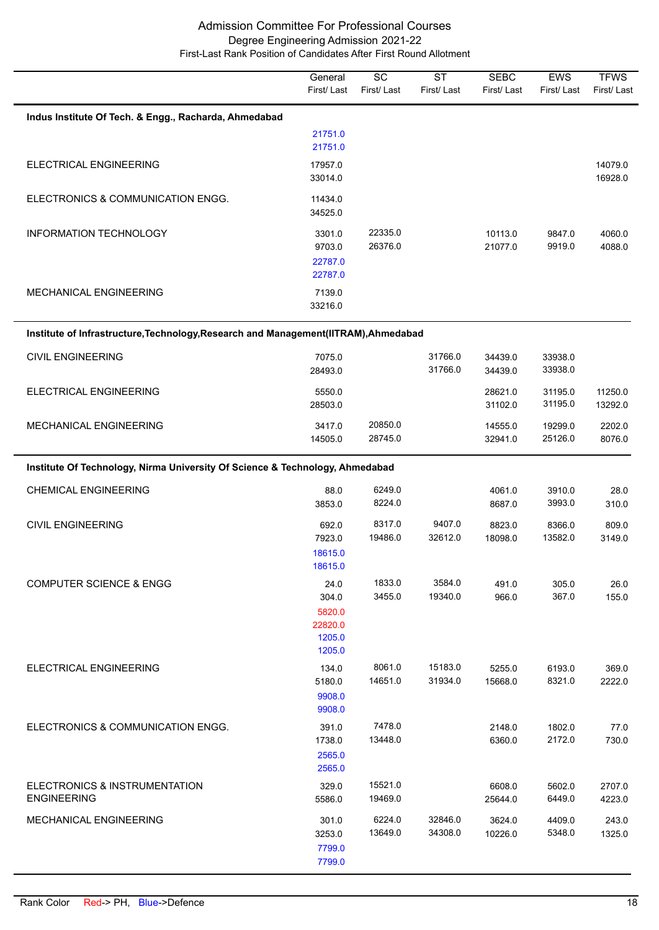|                                                                                      | General<br>First/Last                                  | $\overline{SC}$<br>First/Last | $\overline{\text{ST}}$<br>First/Last | <b>SEBC</b><br>First/Last | <b>EWS</b><br>First/Last | <b>TFWS</b><br>First/Last |
|--------------------------------------------------------------------------------------|--------------------------------------------------------|-------------------------------|--------------------------------------|---------------------------|--------------------------|---------------------------|
| Indus Institute Of Tech. & Engg., Racharda, Ahmedabad                                |                                                        |                               |                                      |                           |                          |                           |
|                                                                                      | 21751.0<br>21751.0                                     |                               |                                      |                           |                          |                           |
| ELECTRICAL ENGINEERING                                                               | 17957.0<br>33014.0                                     |                               |                                      |                           |                          | 14079.0<br>16928.0        |
| ELECTRONICS & COMMUNICATION ENGG.                                                    | 11434.0<br>34525.0                                     |                               |                                      |                           |                          |                           |
| INFORMATION TECHNOLOGY                                                               | 3301.0<br>9703.0<br>22787.0<br>22787.0                 | 22335.0<br>26376.0            |                                      | 10113.0<br>21077.0        | 9847.0<br>9919.0         | 4060.0<br>4088.0          |
| MECHANICAL ENGINEERING                                                               | 7139.0<br>33216.0                                      |                               |                                      |                           |                          |                           |
| Institute of Infrastructure, Technology, Research and Management (IITRAM), Ahmedabad |                                                        |                               |                                      |                           |                          |                           |
| <b>CIVIL ENGINEERING</b>                                                             | 7075.0<br>28493.0                                      |                               | 31766.0<br>31766.0                   | 34439.0<br>34439.0        | 33938.0<br>33938.0       |                           |
| ELECTRICAL ENGINEERING                                                               | 5550.0<br>28503.0                                      |                               |                                      | 28621.0<br>31102.0        | 31195.0<br>31195.0       | 11250.0<br>13292.0        |
| MECHANICAL ENGINEERING                                                               | 3417.0<br>14505.0                                      | 20850.0<br>28745.0            |                                      | 14555.0<br>32941.0        | 19299.0<br>25126.0       | 2202.0<br>8076.0          |
| Institute Of Technology, Nirma University Of Science & Technology, Ahmedabad         |                                                        |                               |                                      |                           |                          |                           |
| <b>CHEMICAL ENGINEERING</b>                                                          | 88.0<br>3853.0                                         | 6249.0<br>8224.0              |                                      | 4061.0<br>8687.0          | 3910.0<br>3993.0         | 28.0<br>310.0             |
| <b>CIVIL ENGINEERING</b>                                                             | 692.0<br>7923.0<br>18615.0<br>18615.0                  | 8317.0<br>19486.0             | 9407.0<br>32612.0                    | 8823.0<br>18098.0         | 8366.0<br>13582.0        | 809.0<br>3149.0           |
| <b>COMPUTER SCIENCE &amp; ENGG</b>                                                   | 24.0<br>304.0<br>5820.0<br>22820.0<br>1205.0<br>1205.0 | 1833.0<br>3455.0              | 3584.0<br>19340.0                    | 491.0<br>966.0            | 305.0<br>367.0           | 26.0<br>155.0             |
| <b>ELECTRICAL ENGINEERING</b>                                                        | 134.0<br>5180.0<br>9908.0<br>9908.0                    | 8061.0<br>14651.0             | 15183.0<br>31934.0                   | 5255.0<br>15668.0         | 6193.0<br>8321.0         | 369.0<br>2222.0           |
| ELECTRONICS & COMMUNICATION ENGG.                                                    | 391.0<br>1738.0<br>2565.0<br>2565.0                    | 7478.0<br>13448.0             |                                      | 2148.0<br>6360.0          | 1802.0<br>2172.0         | 77.0<br>730.0             |
| ELECTRONICS & INSTRUMENTATION<br><b>ENGINEERING</b>                                  | 329.0<br>5586.0                                        | 15521.0<br>19469.0            |                                      | 6608.0<br>25644.0         | 5602.0<br>6449.0         | 2707.0<br>4223.0          |
| MECHANICAL ENGINEERING                                                               | 301.0<br>3253.0<br>7799.0<br>7799.0                    | 6224.0<br>13649.0             | 32846.0<br>34308.0                   | 3624.0<br>10226.0         | 4409.0<br>5348.0         | 243.0<br>1325.0           |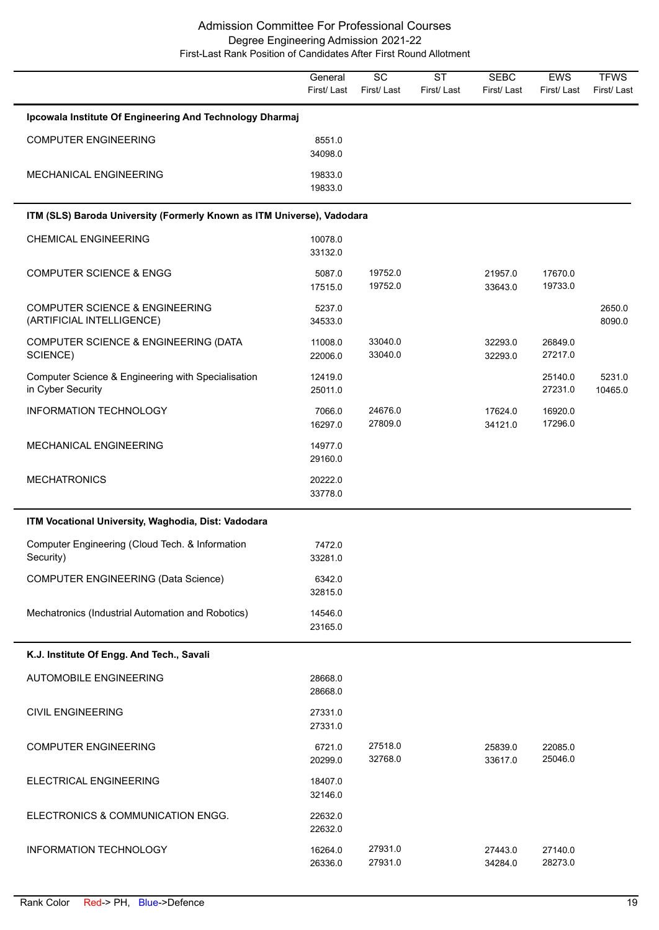|                                                                         | General<br>First/Last | $\overline{SC}$<br>First/Last | <b>ST</b><br>First/Last | <b>SEBC</b><br>First/Last | EWS<br>First/Last  | <b>TFWS</b><br>First/Last |
|-------------------------------------------------------------------------|-----------------------|-------------------------------|-------------------------|---------------------------|--------------------|---------------------------|
| Ipcowala Institute Of Engineering And Technology Dharmaj                |                       |                               |                         |                           |                    |                           |
| <b>COMPUTER ENGINEERING</b>                                             | 8551.0<br>34098.0     |                               |                         |                           |                    |                           |
| MECHANICAL ENGINEERING                                                  | 19833.0<br>19833.0    |                               |                         |                           |                    |                           |
| ITM (SLS) Baroda University (Formerly Known as ITM Universe), Vadodara  |                       |                               |                         |                           |                    |                           |
| <b>CHEMICAL ENGINEERING</b>                                             | 10078.0<br>33132.0    |                               |                         |                           |                    |                           |
| <b>COMPUTER SCIENCE &amp; ENGG</b>                                      | 5087.0<br>17515.0     | 19752.0<br>19752.0            |                         | 21957.0<br>33643.0        | 17670.0<br>19733.0 |                           |
| <b>COMPUTER SCIENCE &amp; ENGINEERING</b><br>(ARTIFICIAL INTELLIGENCE)  | 5237.0<br>34533.0     |                               |                         |                           |                    | 2650.0<br>8090.0          |
| COMPUTER SCIENCE & ENGINEERING (DATA<br>SCIENCE)                        | 11008.0<br>22006.0    | 33040.0<br>33040.0            |                         | 32293.0<br>32293.0        | 26849.0<br>27217.0 |                           |
| Computer Science & Engineering with Specialisation<br>in Cyber Security | 12419.0<br>25011.0    |                               |                         |                           | 25140.0<br>27231.0 | 5231.0<br>10465.0         |
| INFORMATION TECHNOLOGY                                                  | 7066.0<br>16297.0     | 24676.0<br>27809.0            |                         | 17624.0<br>34121.0        | 16920.0<br>17296.0 |                           |
| MECHANICAL ENGINEERING                                                  | 14977.0<br>29160.0    |                               |                         |                           |                    |                           |
| <b>MECHATRONICS</b>                                                     | 20222.0<br>33778.0    |                               |                         |                           |                    |                           |
| ITM Vocational University, Waghodia, Dist: Vadodara                     |                       |                               |                         |                           |                    |                           |
| Computer Engineering (Cloud Tech. & Information<br>Security)            | 7472.0<br>33281.0     |                               |                         |                           |                    |                           |
| <b>COMPUTER ENGINEERING (Data Science)</b>                              | 6342.0<br>32815.0     |                               |                         |                           |                    |                           |
| Mechatronics (Industrial Automation and Robotics)                       | 14546.0<br>23165.0    |                               |                         |                           |                    |                           |
| K.J. Institute Of Engg. And Tech., Savali                               |                       |                               |                         |                           |                    |                           |
| <b>AUTOMOBILE ENGINEERING</b>                                           | 28668.0<br>28668.0    |                               |                         |                           |                    |                           |
| <b>CIVIL ENGINEERING</b>                                                | 27331.0<br>27331.0    |                               |                         |                           |                    |                           |
| <b>COMPUTER ENGINEERING</b>                                             | 6721.0<br>20299.0     | 27518.0<br>32768.0            |                         | 25839.0<br>33617.0        | 22085.0<br>25046.0 |                           |
| ELECTRICAL ENGINEERING                                                  | 18407.0<br>32146.0    |                               |                         |                           |                    |                           |
| ELECTRONICS & COMMUNICATION ENGG.                                       | 22632.0<br>22632.0    |                               |                         |                           |                    |                           |
| INFORMATION TECHNOLOGY                                                  | 16264.0<br>26336.0    | 27931.0<br>27931.0            |                         | 27443.0<br>34284.0        | 27140.0<br>28273.0 |                           |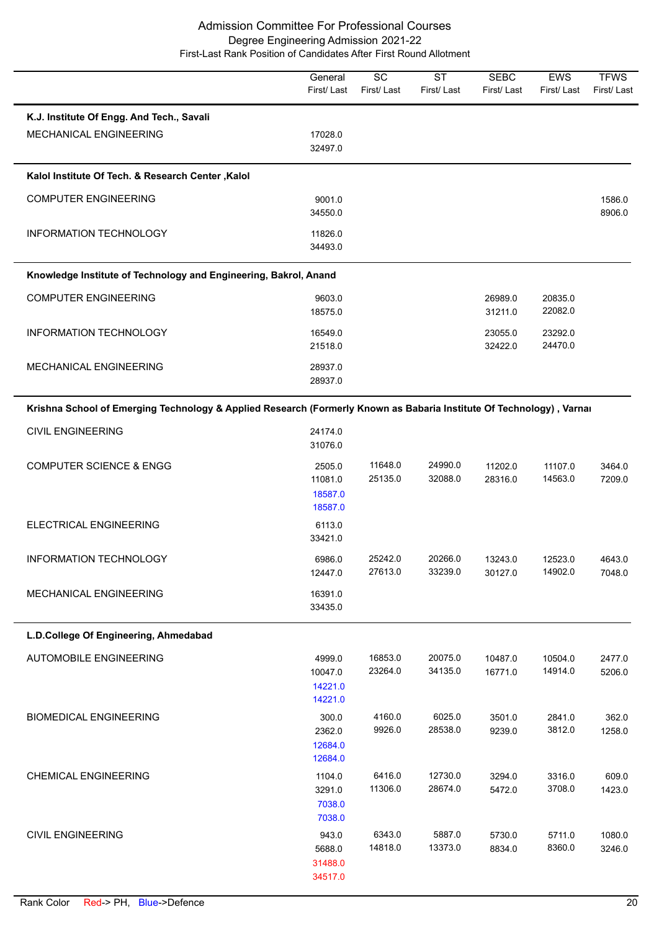|                                                                                                                      | General<br>First/Last                   | SC<br>First/Last   | $\overline{\text{ST}}$<br>First/Last | <b>SEBC</b><br>First/Last | <b>EWS</b><br>First/Last | <b>TFWS</b><br>First/Last |
|----------------------------------------------------------------------------------------------------------------------|-----------------------------------------|--------------------|--------------------------------------|---------------------------|--------------------------|---------------------------|
| K.J. Institute Of Engg. And Tech., Savali<br>MECHANICAL ENGINEERING                                                  | 17028.0<br>32497.0                      |                    |                                      |                           |                          |                           |
| Kalol Institute Of Tech. & Research Center, Kalol                                                                    |                                         |                    |                                      |                           |                          |                           |
| <b>COMPUTER ENGINEERING</b>                                                                                          | 9001.0<br>34550.0                       |                    |                                      |                           |                          | 1586.0<br>8906.0          |
| INFORMATION TECHNOLOGY                                                                                               | 11826.0<br>34493.0                      |                    |                                      |                           |                          |                           |
| Knowledge Institute of Technology and Engineering, Bakrol, Anand                                                     |                                         |                    |                                      |                           |                          |                           |
| <b>COMPUTER ENGINEERING</b>                                                                                          | 9603.0<br>18575.0                       |                    |                                      | 26989.0<br>31211.0        | 20835.0<br>22082.0       |                           |
| <b>INFORMATION TECHNOLOGY</b>                                                                                        | 16549.0<br>21518.0                      |                    |                                      | 23055.0<br>32422.0        | 23292.0<br>24470.0       |                           |
| MECHANICAL ENGINEERING                                                                                               | 28937.0<br>28937.0                      |                    |                                      |                           |                          |                           |
| Krishna School of Emerging Technology & Applied Research (Formerly Known as Babaria Institute Of Technology), Varnai |                                         |                    |                                      |                           |                          |                           |
| <b>CIVIL ENGINEERING</b>                                                                                             | 24174.0<br>31076.0                      |                    |                                      |                           |                          |                           |
| <b>COMPUTER SCIENCE &amp; ENGG</b>                                                                                   | 2505.0<br>11081.0<br>18587.0<br>18587.0 | 11648.0<br>25135.0 | 24990.0<br>32088.0                   | 11202.0<br>28316.0        | 11107.0<br>14563.0       | 3464.0<br>7209.0          |
| ELECTRICAL ENGINEERING                                                                                               | 6113.0<br>33421.0                       |                    |                                      |                           |                          |                           |
| INFORMATION TECHNOLOGY                                                                                               | 6986.0<br>12447.0                       | 25242.0<br>27613.0 | 20266.0<br>33239.0                   | 13243.0<br>30127.0        | 12523.0<br>14902.0       | 4643.0<br>7048.0          |
| MECHANICAL ENGINEERING                                                                                               | 16391.0<br>33435.0                      |                    |                                      |                           |                          |                           |
| L.D.College Of Engineering, Ahmedabad                                                                                |                                         |                    |                                      |                           |                          |                           |
| <b>AUTOMOBILE ENGINEERING</b>                                                                                        | 4999.0<br>10047.0<br>14221.0<br>14221.0 | 16853.0<br>23264.0 | 20075.0<br>34135.0                   | 10487.0<br>16771.0        | 10504.0<br>14914.0       | 2477.0<br>5206.0          |
| <b>BIOMEDICAL ENGINEERING</b>                                                                                        | 300.0<br>2362.0<br>12684.0<br>12684.0   | 4160.0<br>9926.0   | 6025.0<br>28538.0                    | 3501.0<br>9239.0          | 2841.0<br>3812.0         | 362.0<br>1258.0           |
| <b>CHEMICAL ENGINEERING</b>                                                                                          | 1104.0<br>3291.0<br>7038.0<br>7038.0    | 6416.0<br>11306.0  | 12730.0<br>28674.0                   | 3294.0<br>5472.0          | 3316.0<br>3708.0         | 609.0<br>1423.0           |
| <b>CIVIL ENGINEERING</b>                                                                                             | 943.0<br>5688.0<br>31488.0<br>34517.0   | 6343.0<br>14818.0  | 5887.0<br>13373.0                    | 5730.0<br>8834.0          | 5711.0<br>8360.0         | 1080.0<br>3246.0          |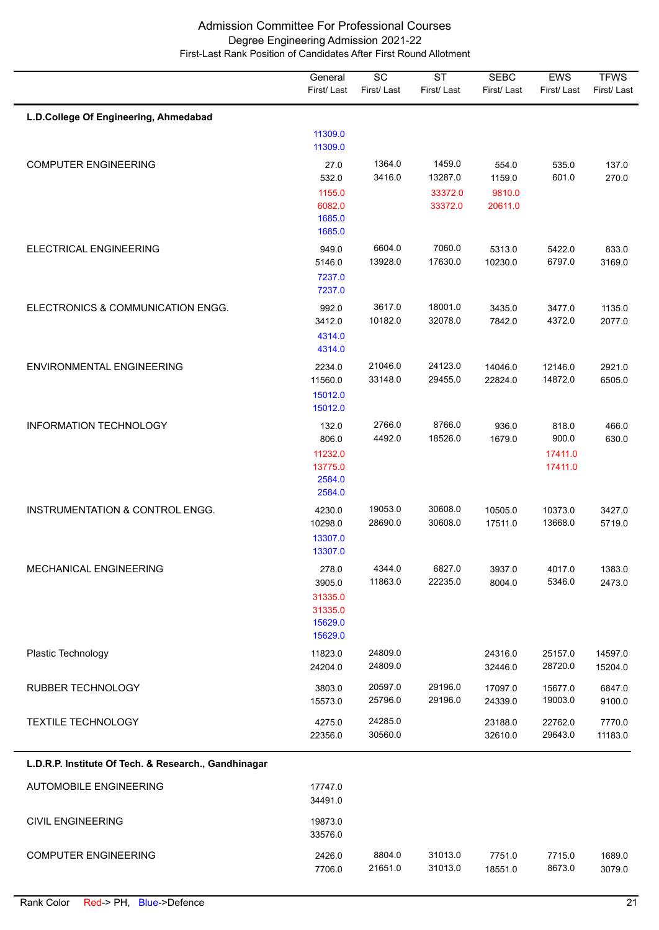|                                                      | General<br>First/Last                                       | $\overline{SC}$<br>First/Last | <b>ST</b><br>First/Last | <b>SEBC</b><br>First/Last | EWS<br>First/Last                    | <b>TFWS</b><br>First/Last |
|------------------------------------------------------|-------------------------------------------------------------|-------------------------------|-------------------------|---------------------------|--------------------------------------|---------------------------|
| L.D.College Of Engineering, Ahmedabad                |                                                             |                               |                         |                           |                                      |                           |
|                                                      | 11309.0<br>11309.0                                          |                               |                         |                           |                                      |                           |
| <b>COMPUTER ENGINEERING</b>                          | 27.0<br>532.0                                               | 1364.0<br>3416.0              | 1459.0<br>13287.0       | 554.0<br>1159.0           | 535.0<br>601.0                       | 137.0<br>270.0            |
|                                                      | 1155.0<br>6082.0<br>1685.0<br>1685.0                        |                               | 33372.0<br>33372.0      | 9810.0<br>20611.0         |                                      |                           |
| ELECTRICAL ENGINEERING                               | 949.0<br>5146.0<br>7237.0<br>7237.0                         | 6604.0<br>13928.0             | 7060.0<br>17630.0       | 5313.0<br>10230.0         | 5422.0<br>6797.0                     | 833.0<br>3169.0           |
| ELECTRONICS & COMMUNICATION ENGG.                    | 992.0<br>3412.0<br>4314.0<br>4314.0                         | 3617.0<br>10182.0             | 18001.0<br>32078.0      | 3435.0<br>7842.0          | 3477.0<br>4372.0                     | 1135.0<br>2077.0          |
| <b>ENVIRONMENTAL ENGINEERING</b>                     | 2234.0<br>11560.0<br>15012.0<br>15012.0                     | 21046.0<br>33148.0            | 24123.0<br>29455.0      | 14046.0<br>22824.0        | 12146.0<br>14872.0                   | 2921.0<br>6505.0          |
| <b>INFORMATION TECHNOLOGY</b>                        | 132.0<br>806.0<br>11232.0<br>13775.0<br>2584.0<br>2584.0    | 2766.0<br>4492.0              | 8766.0<br>18526.0       | 936.0<br>1679.0           | 818.0<br>900.0<br>17411.0<br>17411.0 | 466.0<br>630.0            |
| INSTRUMENTATION & CONTROL ENGG.                      | 4230.0<br>10298.0<br>13307.0<br>13307.0                     | 19053.0<br>28690.0            | 30608.0<br>30608.0      | 10505.0<br>17511.0        | 10373.0<br>13668.0                   | 3427.0<br>5719.0          |
| MECHANICAL ENGINEERING                               | 278.0<br>3905.0<br>31335.0<br>31335.0<br>15629.0<br>15629.0 | 4344.0<br>11863.0             | 6827.0<br>22235.0       | 3937.0<br>8004.0          | 4017.0<br>5346.0                     | 1383.0<br>2473.0          |
| Plastic Technology                                   | 11823.0<br>24204.0                                          | 24809.0<br>24809.0            |                         | 24316.0<br>32446.0        | 25157.0<br>28720.0                   | 14597.0<br>15204.0        |
| RUBBER TECHNOLOGY                                    | 3803.0<br>15573.0                                           | 20597.0<br>25796.0            | 29196.0<br>29196.0      | 17097.0<br>24339.0        | 15677.0<br>19003.0                   | 6847.0<br>9100.0          |
| <b>TEXTILE TECHNOLOGY</b>                            | 4275.0<br>22356.0                                           | 24285.0<br>30560.0            |                         | 23188.0<br>32610.0        | 22762.0<br>29643.0                   | 7770.0<br>11183.0         |
| L.D.R.P. Institute Of Tech. & Research., Gandhinagar |                                                             |                               |                         |                           |                                      |                           |
| AUTOMOBILE ENGINEERING                               | 17747.0<br>34491.0                                          |                               |                         |                           |                                      |                           |
| <b>CIVIL ENGINEERING</b>                             | 19873.0<br>33576.0                                          |                               |                         |                           |                                      |                           |
| <b>COMPUTER ENGINEERING</b>                          | 2426.0<br>7706.0                                            | 8804.0<br>21651.0             | 31013.0<br>31013.0      | 7751.0<br>18551.0         | 7715.0<br>8673.0                     | 1689.0<br>3079.0          |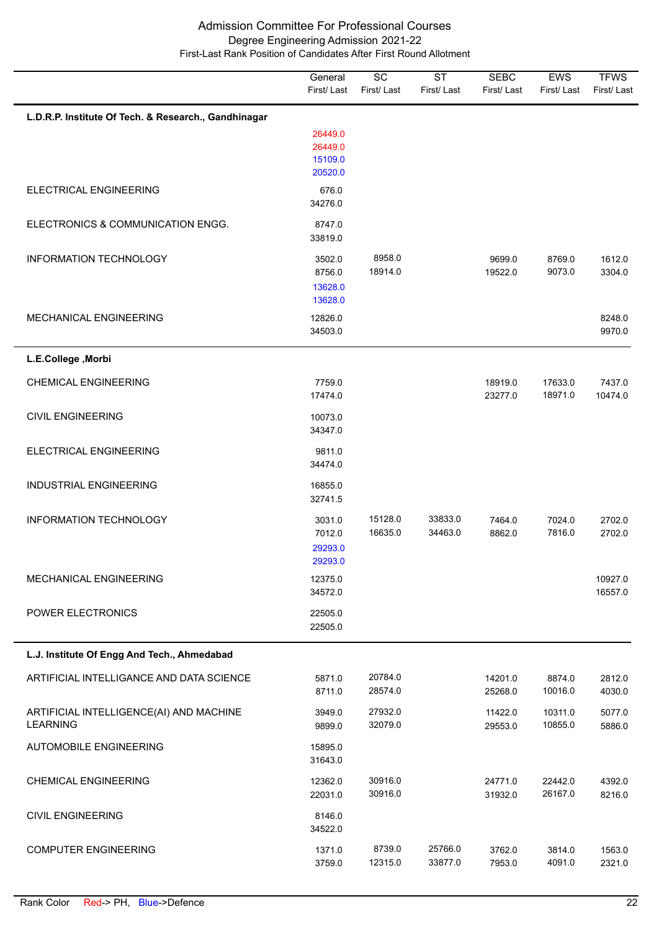|                                                            | General<br>First/Last                    | $\overline{SC}$<br>First/Last | $\overline{\text{ST}}$<br>First/Last | <b>SEBC</b><br>First/Last | EWS<br>First/Last  | <b>TFWS</b><br>First/Last |
|------------------------------------------------------------|------------------------------------------|-------------------------------|--------------------------------------|---------------------------|--------------------|---------------------------|
| L.D.R.P. Institute Of Tech. & Research., Gandhinagar       |                                          |                               |                                      |                           |                    |                           |
|                                                            | 26449.0<br>26449.0<br>15109.0<br>20520.0 |                               |                                      |                           |                    |                           |
| ELECTRICAL ENGINEERING                                     | 676.0<br>34276.0                         |                               |                                      |                           |                    |                           |
| ELECTRONICS & COMMUNICATION ENGG.                          | 8747.0<br>33819.0                        |                               |                                      |                           |                    |                           |
| INFORMATION TECHNOLOGY                                     | 3502.0<br>8756.0<br>13628.0<br>13628.0   | 8958.0<br>18914.0             |                                      | 9699.0<br>19522.0         | 8769.0<br>9073.0   | 1612.0<br>3304.0          |
| MECHANICAL ENGINEERING                                     | 12826.0<br>34503.0                       |                               |                                      |                           |                    | 8248.0<br>9970.0          |
| L.E.College, Morbi                                         |                                          |                               |                                      |                           |                    |                           |
| <b>CHEMICAL ENGINEERING</b>                                | 7759.0<br>17474.0                        |                               |                                      | 18919.0<br>23277.0        | 17633.0<br>18971.0 | 7437.0<br>10474.0         |
| <b>CIVIL ENGINEERING</b>                                   | 10073.0<br>34347.0                       |                               |                                      |                           |                    |                           |
| ELECTRICAL ENGINEERING                                     | 9811.0<br>34474.0                        |                               |                                      |                           |                    |                           |
| <b>INDUSTRIAL ENGINEERING</b>                              | 16855.0<br>32741.5                       |                               |                                      |                           |                    |                           |
| <b>INFORMATION TECHNOLOGY</b>                              | 3031.0<br>7012.0<br>29293.0<br>29293.0   | 15128.0<br>16635.0            | 33833.0<br>34463.0                   | 7464.0<br>8862.0          | 7024.0<br>7816.0   | 2702.0<br>2702.0          |
| <b>MECHANICAL ENGINEERING</b>                              | 12375.0<br>34572.0                       |                               |                                      |                           |                    | 10927.0<br>16557.0        |
| POWER ELECTRONICS                                          | 22505.0<br>22505.0                       |                               |                                      |                           |                    |                           |
| L.J. Institute Of Engg And Tech., Ahmedabad                |                                          |                               |                                      |                           |                    |                           |
| ARTIFICIAL INTELLIGANCE AND DATA SCIENCE                   | 5871.0<br>8711.0                         | 20784.0<br>28574.0            |                                      | 14201.0<br>25268.0        | 8874.0<br>10016.0  | 2812.0<br>4030.0          |
| ARTIFICIAL INTELLIGENCE(AI) AND MACHINE<br><b>LEARNING</b> | 3949.0<br>9899.0                         | 27932.0<br>32079.0            |                                      | 11422.0<br>29553.0        | 10311.0<br>10855.0 | 5077.0<br>5886.0          |
| <b>AUTOMOBILE ENGINEERING</b>                              | 15895.0<br>31643.0                       |                               |                                      |                           |                    |                           |
| <b>CHEMICAL ENGINEERING</b>                                | 12362.0<br>22031.0                       | 30916.0<br>30916.0            |                                      | 24771.0<br>31932.0        | 22442.0<br>26167.0 | 4392.0<br>8216.0          |
| <b>CIVIL ENGINEERING</b>                                   | 8146.0<br>34522.0                        |                               |                                      |                           |                    |                           |
| <b>COMPUTER ENGINEERING</b>                                | 1371.0<br>3759.0                         | 8739.0<br>12315.0             | 25766.0<br>33877.0                   | 3762.0<br>7953.0          | 3814.0<br>4091.0   | 1563.0<br>2321.0          |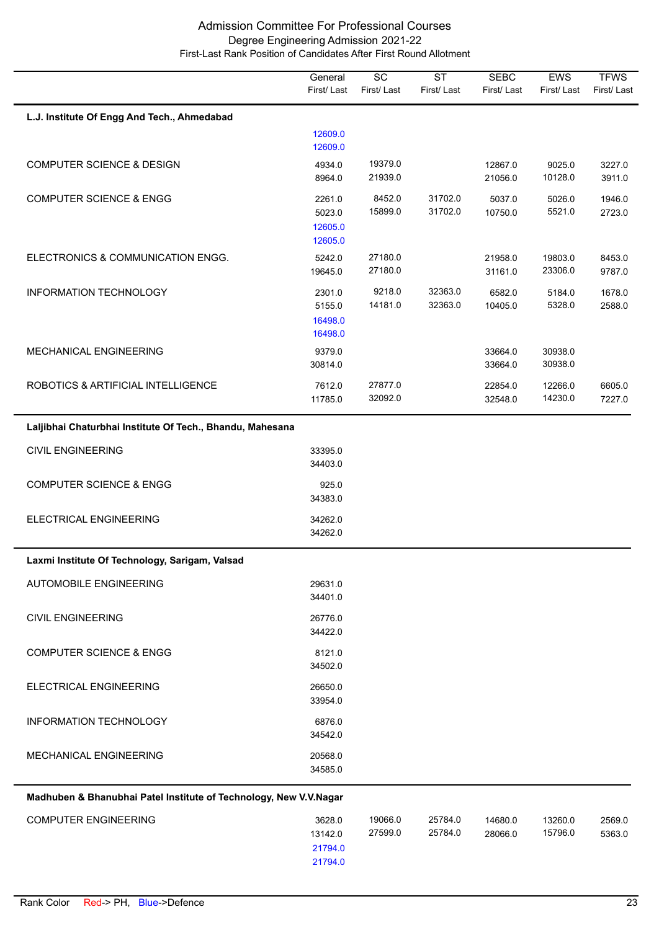|                                                                   | General<br>First/Last                   | $\overline{SC}$<br>First/Last | $\overline{\text{ST}}$<br>First/Last | <b>SEBC</b><br>First/Last | EWS<br>First/Last  | <b>TFWS</b><br>First/Last |
|-------------------------------------------------------------------|-----------------------------------------|-------------------------------|--------------------------------------|---------------------------|--------------------|---------------------------|
|                                                                   |                                         |                               |                                      |                           |                    |                           |
| L.J. Institute Of Engg And Tech., Ahmedabad                       | 12609.0<br>12609.0                      |                               |                                      |                           |                    |                           |
| <b>COMPUTER SCIENCE &amp; DESIGN</b>                              | 4934.0<br>8964.0                        | 19379.0<br>21939.0            |                                      | 12867.0<br>21056.0        | 9025.0<br>10128.0  | 3227.0<br>3911.0          |
| <b>COMPUTER SCIENCE &amp; ENGG</b>                                | 2261.0<br>5023.0<br>12605.0<br>12605.0  | 8452.0<br>15899.0             | 31702.0<br>31702.0                   | 5037.0<br>10750.0         | 5026.0<br>5521.0   | 1946.0<br>2723.0          |
| ELECTRONICS & COMMUNICATION ENGG.                                 | 5242.0<br>19645.0                       | 27180.0<br>27180.0            |                                      | 21958.0<br>31161.0        | 19803.0<br>23306.0 | 8453.0<br>9787.0          |
| <b>INFORMATION TECHNOLOGY</b>                                     | 2301.0<br>5155.0<br>16498.0<br>16498.0  | 9218.0<br>14181.0             | 32363.0<br>32363.0                   | 6582.0<br>10405.0         | 5184.0<br>5328.0   | 1678.0<br>2588.0          |
| MECHANICAL ENGINEERING                                            | 9379.0<br>30814.0                       |                               |                                      | 33664.0<br>33664.0        | 30938.0<br>30938.0 |                           |
| ROBOTICS & ARTIFICIAL INTELLIGENCE                                | 7612.0<br>11785.0                       | 27877.0<br>32092.0            |                                      | 22854.0<br>32548.0        | 12266.0<br>14230.0 | 6605.0<br>7227.0          |
| Laljibhai Chaturbhai Institute Of Tech., Bhandu, Mahesana         |                                         |                               |                                      |                           |                    |                           |
| <b>CIVIL ENGINEERING</b>                                          | 33395.0<br>34403.0                      |                               |                                      |                           |                    |                           |
| <b>COMPUTER SCIENCE &amp; ENGG</b>                                | 925.0<br>34383.0                        |                               |                                      |                           |                    |                           |
| ELECTRICAL ENGINEERING                                            | 34262.0<br>34262.0                      |                               |                                      |                           |                    |                           |
| Laxmi Institute Of Technology, Sarigam, Valsad                    |                                         |                               |                                      |                           |                    |                           |
| AUTOMOBILE ENGINEERING                                            | 29631.0<br>34401.0                      |                               |                                      |                           |                    |                           |
| <b>CIVIL ENGINEERING</b>                                          | 26776.0<br>34422.0                      |                               |                                      |                           |                    |                           |
| <b>COMPUTER SCIENCE &amp; ENGG</b>                                | 8121.0<br>34502.0                       |                               |                                      |                           |                    |                           |
| ELECTRICAL ENGINEERING                                            | 26650.0<br>33954.0                      |                               |                                      |                           |                    |                           |
| <b>INFORMATION TECHNOLOGY</b>                                     | 6876.0<br>34542.0                       |                               |                                      |                           |                    |                           |
| MECHANICAL ENGINEERING                                            | 20568.0<br>34585.0                      |                               |                                      |                           |                    |                           |
| Madhuben & Bhanubhai Patel Institute of Technology, New V.V.Nagar |                                         |                               |                                      |                           |                    |                           |
| <b>COMPUTER ENGINEERING</b>                                       | 3628.0<br>13142.0<br>21794.0<br>21794.0 | 19066.0<br>27599.0            | 25784.0<br>25784.0                   | 14680.0<br>28066.0        | 13260.0<br>15796.0 | 2569.0<br>5363.0          |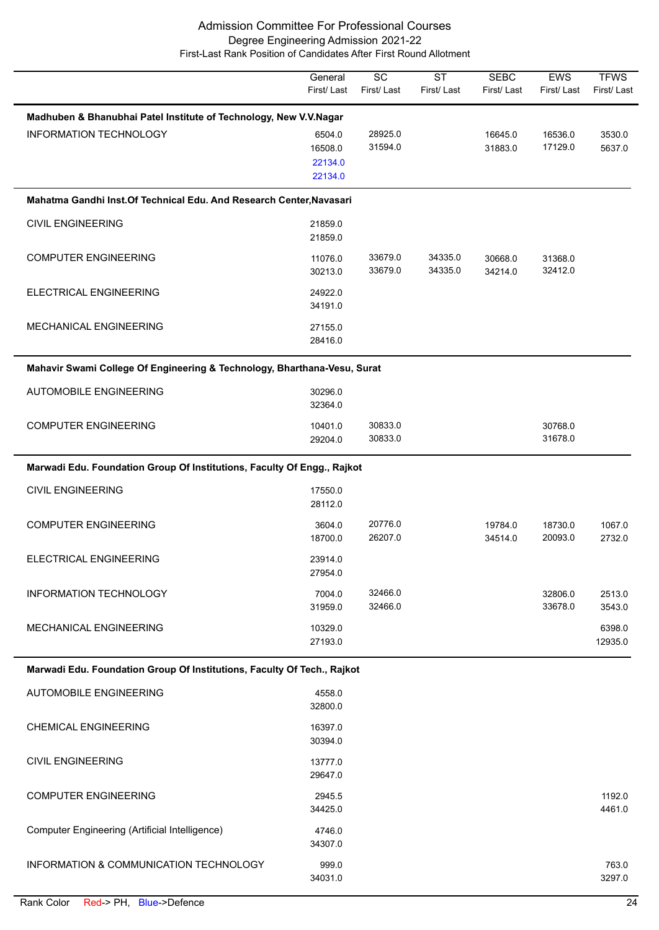|                                                                          | General<br>First/Last                   | SC<br>First/Last   | <b>ST</b><br>First/Last | <b>SEBC</b><br>First/Last | EWS<br>First/Last  | <b>TFWS</b><br>First/Last |
|--------------------------------------------------------------------------|-----------------------------------------|--------------------|-------------------------|---------------------------|--------------------|---------------------------|
| Madhuben & Bhanubhai Patel Institute of Technology, New V.V.Nagar        |                                         |                    |                         |                           |                    |                           |
| <b>INFORMATION TECHNOLOGY</b>                                            | 6504.0<br>16508.0<br>22134.0<br>22134.0 | 28925.0<br>31594.0 |                         | 16645.0<br>31883.0        | 16536.0<br>17129.0 | 3530.0<br>5637.0          |
| Mahatma Gandhi Inst. Of Technical Edu. And Research Center, Navasari     |                                         |                    |                         |                           |                    |                           |
| <b>CIVIL ENGINEERING</b>                                                 | 21859.0<br>21859.0                      |                    |                         |                           |                    |                           |
| <b>COMPUTER ENGINEERING</b>                                              | 11076.0<br>30213.0                      | 33679.0<br>33679.0 | 34335.0<br>34335.0      | 30668.0<br>34214.0        | 31368.0<br>32412.0 |                           |
| ELECTRICAL ENGINEERING                                                   | 24922.0<br>34191.0                      |                    |                         |                           |                    |                           |
| MECHANICAL ENGINEERING                                                   | 27155.0<br>28416.0                      |                    |                         |                           |                    |                           |
| Mahavir Swami College Of Engineering & Technology, Bharthana-Vesu, Surat |                                         |                    |                         |                           |                    |                           |
| <b>AUTOMOBILE ENGINEERING</b>                                            | 30296.0<br>32364.0                      |                    |                         |                           |                    |                           |
| <b>COMPUTER ENGINEERING</b>                                              | 10401.0<br>29204.0                      | 30833.0<br>30833.0 |                         |                           | 30768.0<br>31678.0 |                           |
| Marwadi Edu. Foundation Group Of Institutions, Faculty Of Engg., Rajkot  |                                         |                    |                         |                           |                    |                           |
| <b>CIVIL ENGINEERING</b>                                                 | 17550.0<br>28112.0                      |                    |                         |                           |                    |                           |
| <b>COMPUTER ENGINEERING</b>                                              | 3604.0<br>18700.0                       | 20776.0<br>26207.0 |                         | 19784.0<br>34514.0        | 18730.0<br>20093.0 | 1067.0<br>2732.0          |
| ELECTRICAL ENGINEERING                                                   | 23914.0<br>27954.0                      |                    |                         |                           |                    |                           |
| INFORMATION TECHNOLOGY                                                   | 7004.0<br>31959.0                       | 32466.0<br>32466.0 |                         |                           | 32806.0<br>33678.0 | 2513.0<br>3543.0          |
| <b>MECHANICAL ENGINEERING</b>                                            | 10329.0<br>27193.0                      |                    |                         |                           |                    | 6398.0<br>12935.0         |
| Marwadi Edu. Foundation Group Of Institutions, Faculty Of Tech., Rajkot  |                                         |                    |                         |                           |                    |                           |
| <b>AUTOMOBILE ENGINEERING</b>                                            | 4558.0<br>32800.0                       |                    |                         |                           |                    |                           |
| <b>CHEMICAL ENGINEERING</b>                                              | 16397.0<br>30394.0                      |                    |                         |                           |                    |                           |
| <b>CIVIL ENGINEERING</b>                                                 | 13777.0<br>29647.0                      |                    |                         |                           |                    |                           |
| <b>COMPUTER ENGINEERING</b>                                              | 2945.5<br>34425.0                       |                    |                         |                           |                    | 1192.0<br>4461.0          |
| Computer Engineering (Artificial Intelligence)                           | 4746.0<br>34307.0                       |                    |                         |                           |                    |                           |
| INFORMATION & COMMUNICATION TECHNOLOGY                                   | 999.0<br>34031.0                        |                    |                         |                           |                    | 763.0<br>3297.0           |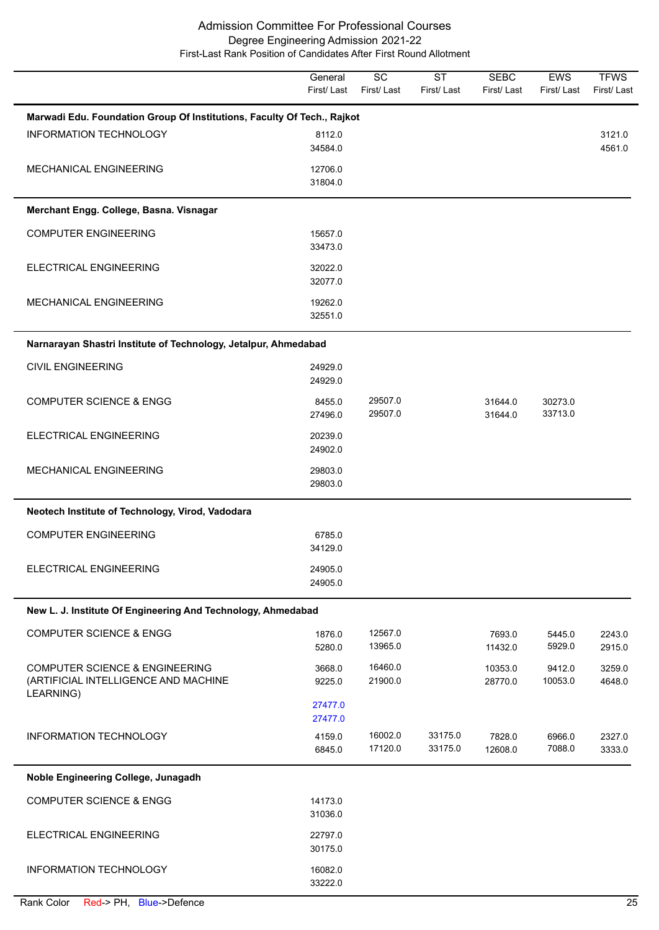|                                                                                                | General<br>First/Last | $\overline{SC}$<br>First/Last | $\overline{\text{ST}}$<br>First/Last | <b>SEBC</b><br>First/Last | <b>EWS</b><br>First/Last | <b>TFWS</b><br>First/Last |
|------------------------------------------------------------------------------------------------|-----------------------|-------------------------------|--------------------------------------|---------------------------|--------------------------|---------------------------|
| Marwadi Edu. Foundation Group Of Institutions, Faculty Of Tech., Rajkot                        |                       |                               |                                      |                           |                          |                           |
| <b>INFORMATION TECHNOLOGY</b>                                                                  | 8112.0<br>34584.0     |                               |                                      |                           |                          | 3121.0<br>4561.0          |
| MECHANICAL ENGINEERING                                                                         | 12706.0<br>31804.0    |                               |                                      |                           |                          |                           |
| Merchant Engg. College, Basna. Visnagar                                                        |                       |                               |                                      |                           |                          |                           |
| <b>COMPUTER ENGINEERING</b>                                                                    | 15657.0<br>33473.0    |                               |                                      |                           |                          |                           |
| ELECTRICAL ENGINEERING                                                                         | 32022.0<br>32077.0    |                               |                                      |                           |                          |                           |
| MECHANICAL ENGINEERING                                                                         | 19262.0<br>32551.0    |                               |                                      |                           |                          |                           |
| Narnarayan Shastri Institute of Technology, Jetalpur, Ahmedabad                                |                       |                               |                                      |                           |                          |                           |
| <b>CIVIL ENGINEERING</b>                                                                       | 24929.0<br>24929.0    |                               |                                      |                           |                          |                           |
| <b>COMPUTER SCIENCE &amp; ENGG</b>                                                             | 8455.0<br>27496.0     | 29507.0<br>29507.0            |                                      | 31644.0<br>31644.0        | 30273.0<br>33713.0       |                           |
| ELECTRICAL ENGINEERING                                                                         | 20239.0<br>24902.0    |                               |                                      |                           |                          |                           |
| MECHANICAL ENGINEERING                                                                         | 29803.0<br>29803.0    |                               |                                      |                           |                          |                           |
| Neotech Institute of Technology, Virod, Vadodara                                               |                       |                               |                                      |                           |                          |                           |
| <b>COMPUTER ENGINEERING</b>                                                                    | 6785.0<br>34129.0     |                               |                                      |                           |                          |                           |
| ELECTRICAL ENGINEERING                                                                         | 24905.0<br>24905.0    |                               |                                      |                           |                          |                           |
| New L. J. Institute Of Engineering And Technology, Ahmedabad                                   |                       |                               |                                      |                           |                          |                           |
| <b>COMPUTER SCIENCE &amp; ENGG</b>                                                             | 1876.0<br>5280.0      | 12567.0<br>13965.0            |                                      | 7693.0<br>11432.0         | 5445.0<br>5929.0         | 2243.0<br>2915.0          |
| <b>COMPUTER SCIENCE &amp; ENGINEERING</b><br>(ARTIFICIAL INTELLIGENCE AND MACHINE<br>LEARNING) | 3668.0<br>9225.0      | 16460.0<br>21900.0            |                                      | 10353.0<br>28770.0        | 9412.0<br>10053.0        | 3259.0<br>4648.0          |
|                                                                                                | 27477.0<br>27477.0    |                               |                                      |                           |                          |                           |
| INFORMATION TECHNOLOGY                                                                         | 4159.0<br>6845.0      | 16002.0<br>17120.0            | 33175.0<br>33175.0                   | 7828.0<br>12608.0         | 6966.0<br>7088.0         | 2327.0<br>3333.0          |
| Noble Engineering College, Junagadh                                                            |                       |                               |                                      |                           |                          |                           |
| <b>COMPUTER SCIENCE &amp; ENGG</b>                                                             | 14173.0<br>31036.0    |                               |                                      |                           |                          |                           |
| ELECTRICAL ENGINEERING                                                                         | 22797.0<br>30175.0    |                               |                                      |                           |                          |                           |
| INFORMATION TECHNOLOGY                                                                         | 16082.0<br>33222.0    |                               |                                      |                           |                          |                           |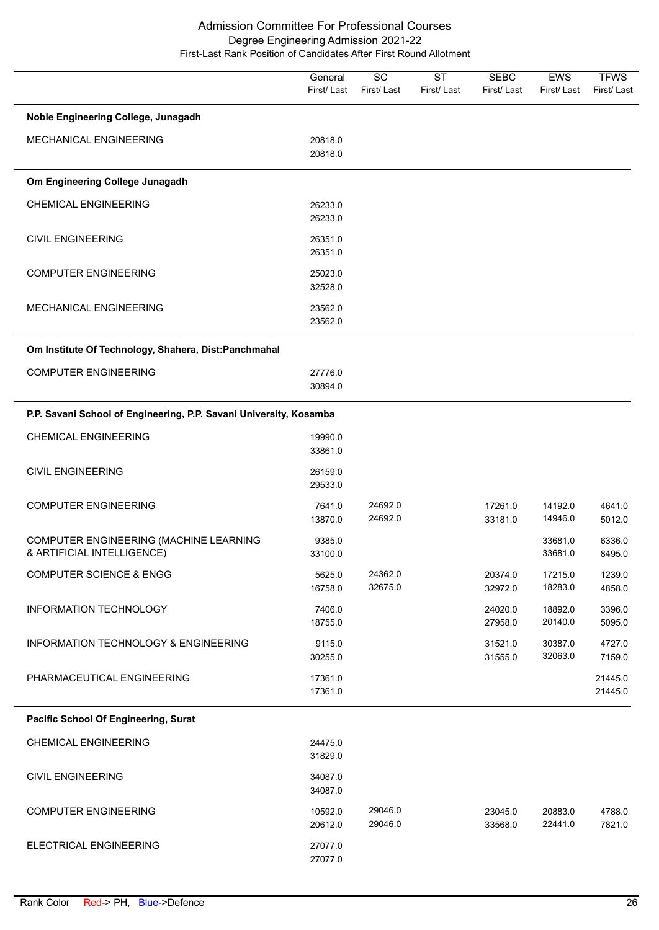|                                                                      | General<br>First/Last | $\overline{SC}$<br>First/Last | <b>ST</b><br>First/Last | <b>SEBC</b><br>First/Last | <b>EWS</b><br>First/Last | <b>TFWS</b><br>First/Last |
|----------------------------------------------------------------------|-----------------------|-------------------------------|-------------------------|---------------------------|--------------------------|---------------------------|
| Noble Engineering College, Junagadh                                  |                       |                               |                         |                           |                          |                           |
| MECHANICAL ENGINEERING                                               | 20818.0<br>20818.0    |                               |                         |                           |                          |                           |
| Om Engineering College Junagadh                                      |                       |                               |                         |                           |                          |                           |
| <b>CHEMICAL ENGINEERING</b>                                          | 26233.0<br>26233.0    |                               |                         |                           |                          |                           |
| <b>CIVIL ENGINEERING</b>                                             | 26351.0<br>26351.0    |                               |                         |                           |                          |                           |
| <b>COMPUTER ENGINEERING</b>                                          | 25023.0<br>32528.0    |                               |                         |                           |                          |                           |
| MECHANICAL ENGINEERING                                               | 23562.0<br>23562.0    |                               |                         |                           |                          |                           |
| Om Institute Of Technology, Shahera, Dist:Panchmahal                 |                       |                               |                         |                           |                          |                           |
| <b>COMPUTER ENGINEERING</b>                                          | 27776.0<br>30894.0    |                               |                         |                           |                          |                           |
| P.P. Savani School of Engineering, P.P. Savani University, Kosamba   |                       |                               |                         |                           |                          |                           |
| <b>CHEMICAL ENGINEERING</b>                                          | 19990.0<br>33861.0    |                               |                         |                           |                          |                           |
| <b>CIVIL ENGINEERING</b>                                             | 26159.0<br>29533.0    |                               |                         |                           |                          |                           |
| <b>COMPUTER ENGINEERING</b>                                          | 7641.0<br>13870.0     | 24692.0<br>24692.0            |                         | 17261.0<br>33181.0        | 14192.0<br>14946.0       | 4641.0<br>5012.0          |
| COMPUTER ENGINEERING (MACHINE LEARNING<br>& ARTIFICIAL INTELLIGENCE) | 9385.0<br>33100.0     |                               |                         |                           | 33681.0<br>33681.0       | 6336.0<br>8495.0          |
| <b>COMPUTER SCIENCE &amp; ENGG</b>                                   | 5625.0<br>16758.0     | 24362.0<br>32675.0            |                         | 20374.0<br>32972.0        | 17215.0<br>18283.0       | 1239.0<br>4858.0          |
| INFORMATION TECHNOLOGY                                               | 7406.0<br>18755.0     |                               |                         | 24020.0<br>27958.0        | 18892.0<br>20140.0       | 3396.0<br>5095.0          |
| INFORMATION TECHNOLOGY & ENGINEERING                                 | 9115.0<br>30255.0     |                               |                         | 31521.0<br>31555.0        | 30387.0<br>32063.0       | 4727.0<br>7159.0          |
| PHARMACEUTICAL ENGINEERING                                           | 17361.0<br>17361.0    |                               |                         |                           |                          | 21445.0<br>21445.0        |
| Pacific School Of Engineering, Surat                                 |                       |                               |                         |                           |                          |                           |
| <b>CHEMICAL ENGINEERING</b>                                          | 24475.0<br>31829.0    |                               |                         |                           |                          |                           |
| <b>CIVIL ENGINEERING</b>                                             | 34087.0<br>34087.0    |                               |                         |                           |                          |                           |
| <b>COMPUTER ENGINEERING</b>                                          | 10592.0<br>20612.0    | 29046.0<br>29046.0            |                         | 23045.0<br>33568.0        | 20883.0<br>22441.0       | 4788.0<br>7821.0          |
| ELECTRICAL ENGINEERING                                               | 27077.0<br>27077.0    |                               |                         |                           |                          |                           |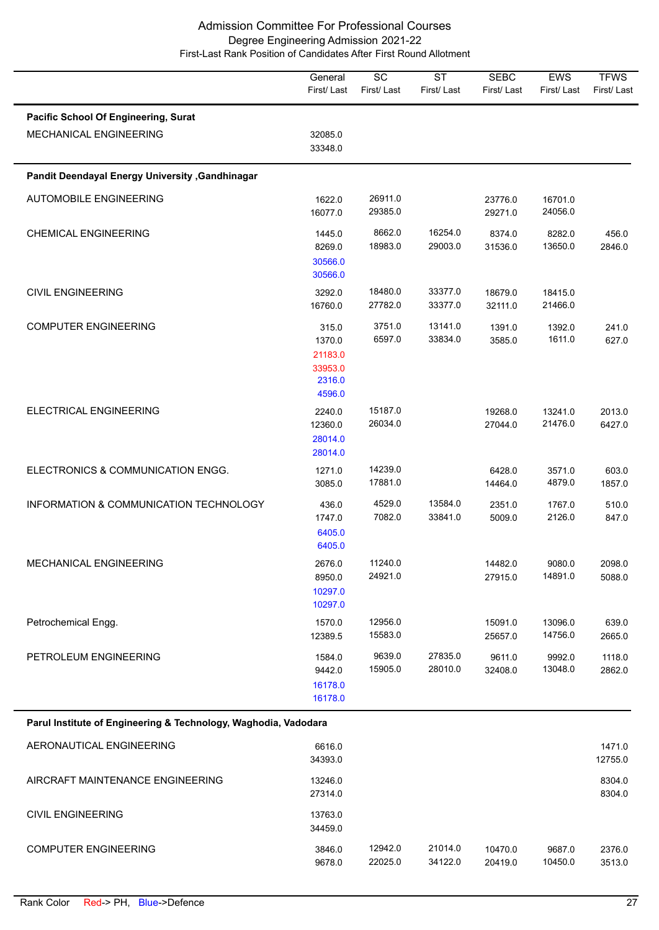|                                                                 | General<br>First/Last                                     | $\overline{SC}$<br>First/Last | $\overline{\text{ST}}$<br>First/Last | <b>SEBC</b><br>First/Last | EWS<br>First/Last  | <b>TFWS</b><br>First/Last |
|-----------------------------------------------------------------|-----------------------------------------------------------|-------------------------------|--------------------------------------|---------------------------|--------------------|---------------------------|
| Pacific School Of Engineering, Surat<br>MECHANICAL ENGINEERING  | 32085.0<br>33348.0                                        |                               |                                      |                           |                    |                           |
| Pandit Deendayal Energy University , Gandhinagar                |                                                           |                               |                                      |                           |                    |                           |
| <b>AUTOMOBILE ENGINEERING</b>                                   | 1622.0<br>16077.0                                         | 26911.0<br>29385.0            |                                      | 23776.0<br>29271.0        | 16701.0<br>24056.0 |                           |
| <b>CHEMICAL ENGINEERING</b>                                     | 1445.0<br>8269.0<br>30566.0<br>30566.0                    | 8662.0<br>18983.0             | 16254.0<br>29003.0                   | 8374.0<br>31536.0         | 8282.0<br>13650.0  | 456.0<br>2846.0           |
| <b>CIVIL ENGINEERING</b>                                        | 3292.0<br>16760.0                                         | 18480.0<br>27782.0            | 33377.0<br>33377.0                   | 18679.0<br>32111.0        | 18415.0<br>21466.0 |                           |
| <b>COMPUTER ENGINEERING</b>                                     | 315.0<br>1370.0<br>21183.0<br>33953.0<br>2316.0<br>4596.0 | 3751.0<br>6597.0              | 13141.0<br>33834.0                   | 1391.0<br>3585.0          | 1392.0<br>1611.0   | 241.0<br>627.0            |
| ELECTRICAL ENGINEERING                                          | 2240.0<br>12360.0<br>28014.0<br>28014.0                   | 15187.0<br>26034.0            |                                      | 19268.0<br>27044.0        | 13241.0<br>21476.0 | 2013.0<br>6427.0          |
| ELECTRONICS & COMMUNICATION ENGG.                               | 1271.0<br>3085.0                                          | 14239.0<br>17881.0            |                                      | 6428.0<br>14464.0         | 3571.0<br>4879.0   | 603.0<br>1857.0           |
| INFORMATION & COMMUNICATION TECHNOLOGY                          | 436.0<br>1747.0<br>6405.0<br>6405.0                       | 4529.0<br>7082.0              | 13584.0<br>33841.0                   | 2351.0<br>5009.0          | 1767.0<br>2126.0   | 510.0<br>847.0            |
| MECHANICAL ENGINEERING                                          | 2676.0<br>8950.0<br>10297.0<br>10297.0                    | 11240.0<br>24921.0            |                                      | 14482.0<br>27915.0        | 9080.0<br>14891.0  | 2098.0<br>5088.0          |
| Petrochemical Engg.                                             | 1570.0<br>12389.5                                         | 12956.0<br>15583.0            |                                      | 15091.0<br>25657.0        | 13096.0<br>14756.0 | 639.0<br>2665.0           |
| PETROLEUM ENGINEERING                                           | 1584.0<br>9442.0<br>16178.0<br>16178.0                    | 9639.0<br>15905.0             | 27835.0<br>28010.0                   | 9611.0<br>32408.0         | 9992.0<br>13048.0  | 1118.0<br>2862.0          |
| Parul Institute of Engineering & Technology, Waghodia, Vadodara |                                                           |                               |                                      |                           |                    |                           |
| AERONAUTICAL ENGINEERING                                        | 6616.0<br>34393.0                                         |                               |                                      |                           |                    | 1471.0<br>12755.0         |
| AIRCRAFT MAINTENANCE ENGINEERING                                | 13246.0<br>27314.0                                        |                               |                                      |                           |                    | 8304.0<br>8304.0          |
| <b>CIVIL ENGINEERING</b>                                        | 13763.0<br>34459.0                                        |                               |                                      |                           |                    |                           |
| <b>COMPUTER ENGINEERING</b>                                     | 3846.0<br>9678.0                                          | 12942.0<br>22025.0            | 21014.0<br>34122.0                   | 10470.0<br>20419.0        | 9687.0<br>10450.0  | 2376.0<br>3513.0          |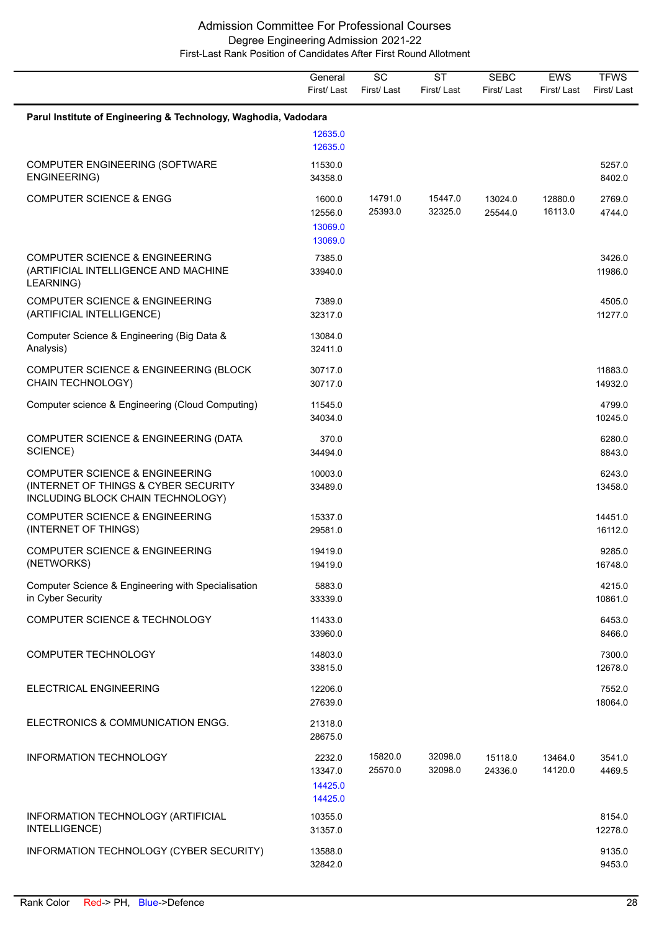|                                                                                                                        | General<br>First/Last                   | SC<br>First/Last   | <b>ST</b><br>First/Last | <b>SEBC</b><br>First/Last | <b>EWS</b><br>First/Last | <b>TFWS</b><br>First/Last |
|------------------------------------------------------------------------------------------------------------------------|-----------------------------------------|--------------------|-------------------------|---------------------------|--------------------------|---------------------------|
| Parul Institute of Engineering & Technology, Waghodia, Vadodara                                                        |                                         |                    |                         |                           |                          |                           |
|                                                                                                                        | 12635.0<br>12635.0                      |                    |                         |                           |                          |                           |
| COMPUTER ENGINEERING (SOFTWARE<br>ENGINEERING)                                                                         | 11530.0<br>34358.0                      |                    |                         |                           |                          | 5257.0<br>8402.0          |
| <b>COMPUTER SCIENCE &amp; ENGG</b>                                                                                     | 1600.0<br>12556.0<br>13069.0<br>13069.0 | 14791.0<br>25393.0 | 15447.0<br>32325.0      | 13024.0<br>25544.0        | 12880.0<br>16113.0       | 2769.0<br>4744.0          |
| <b>COMPUTER SCIENCE &amp; ENGINEERING</b><br>(ARTIFICIAL INTELLIGENCE AND MACHINE<br>LEARNING)                         | 7385.0<br>33940.0                       |                    |                         |                           |                          | 3426.0<br>11986.0         |
| <b>COMPUTER SCIENCE &amp; ENGINEERING</b><br>(ARTIFICIAL INTELLIGENCE)                                                 | 7389.0<br>32317.0                       |                    |                         |                           |                          | 4505.0<br>11277.0         |
| Computer Science & Engineering (Big Data &<br>Analysis)                                                                | 13084.0<br>32411.0                      |                    |                         |                           |                          |                           |
| COMPUTER SCIENCE & ENGINEERING (BLOCK<br>CHAIN TECHNOLOGY)                                                             | 30717.0<br>30717.0                      |                    |                         |                           |                          | 11883.0<br>14932.0        |
| Computer science & Engineering (Cloud Computing)                                                                       | 11545.0<br>34034.0                      |                    |                         |                           |                          | 4799.0<br>10245.0         |
| COMPUTER SCIENCE & ENGINEERING (DATA<br>SCIENCE)                                                                       | 370.0<br>34494.0                        |                    |                         |                           |                          | 6280.0<br>8843.0          |
| <b>COMPUTER SCIENCE &amp; ENGINEERING</b><br>(INTERNET OF THINGS & CYBER SECURITY<br>INCLUDING BLOCK CHAIN TECHNOLOGY) | 10003.0<br>33489.0                      |                    |                         |                           |                          | 6243.0<br>13458.0         |
| <b>COMPUTER SCIENCE &amp; ENGINEERING</b><br>(INTERNET OF THINGS)                                                      | 15337.0<br>29581.0                      |                    |                         |                           |                          | 14451.0<br>16112.0        |
| <b>COMPUTER SCIENCE &amp; ENGINEERING</b><br>(NETWORKS)                                                                | 19419.0<br>19419.0                      |                    |                         |                           |                          | 9285.0<br>16748.0         |
| Computer Science & Engineering with Specialisation<br>in Cyber Security                                                | 5883.0<br>33339.0                       |                    |                         |                           |                          | 4215.0<br>10861.0         |
| <b>COMPUTER SCIENCE &amp; TECHNOLOGY</b>                                                                               | 11433.0<br>33960.0                      |                    |                         |                           |                          | 6453.0<br>8466.0          |
| <b>COMPUTER TECHNOLOGY</b>                                                                                             | 14803.0<br>33815.0                      |                    |                         |                           |                          | 7300.0<br>12678.0         |
| ELECTRICAL ENGINEERING                                                                                                 | 12206.0<br>27639.0                      |                    |                         |                           |                          | 7552.0<br>18064.0         |
| ELECTRONICS & COMMUNICATION ENGG.                                                                                      | 21318.0<br>28675.0                      |                    |                         |                           |                          |                           |
| INFORMATION TECHNOLOGY                                                                                                 | 2232.0<br>13347.0<br>14425.0<br>14425.0 | 15820.0<br>25570.0 | 32098.0<br>32098.0      | 15118.0<br>24336.0        | 13464.0<br>14120.0       | 3541.0<br>4469.5          |
| INFORMATION TECHNOLOGY (ARTIFICIAL<br>INTELLIGENCE)                                                                    | 10355.0<br>31357.0                      |                    |                         |                           |                          | 8154.0<br>12278.0         |
| INFORMATION TECHNOLOGY (CYBER SECURITY)                                                                                | 13588.0<br>32842.0                      |                    |                         |                           |                          | 9135.0<br>9453.0          |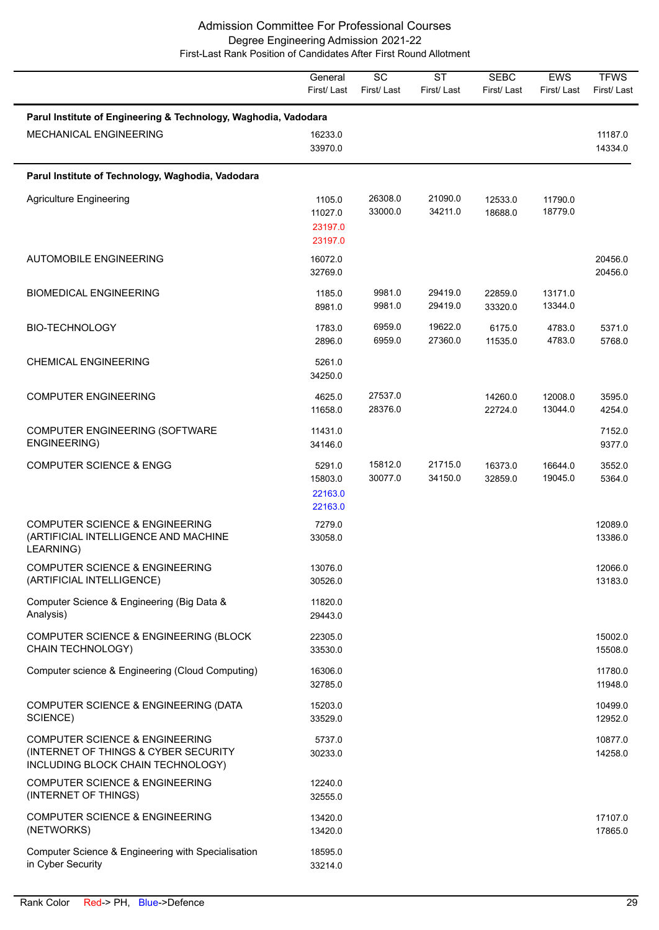|                                                                                                                        | General<br>First/Last                   | $\overline{SC}$<br>First/Last | <b>ST</b><br>First/Last | <b>SEBC</b><br>First/Last | EWS<br>First/Last  | <b>TFWS</b><br>First/Last |
|------------------------------------------------------------------------------------------------------------------------|-----------------------------------------|-------------------------------|-------------------------|---------------------------|--------------------|---------------------------|
| Parul Institute of Engineering & Technology, Waghodia, Vadodara                                                        |                                         |                               |                         |                           |                    |                           |
| MECHANICAL ENGINEERING                                                                                                 | 16233.0<br>33970.0                      |                               |                         |                           |                    | 11187.0<br>14334.0        |
| Parul Institute of Technology, Waghodia, Vadodara                                                                      |                                         |                               |                         |                           |                    |                           |
| <b>Agriculture Engineering</b>                                                                                         | 1105.0<br>11027.0<br>23197.0<br>23197.0 | 26308.0<br>33000.0            | 21090.0<br>34211.0      | 12533.0<br>18688.0        | 11790.0<br>18779.0 |                           |
| <b>AUTOMOBILE ENGINEERING</b>                                                                                          | 16072.0<br>32769.0                      |                               |                         |                           |                    | 20456.0<br>20456.0        |
| <b>BIOMEDICAL ENGINEERING</b>                                                                                          | 1185.0<br>8981.0                        | 9981.0<br>9981.0              | 29419.0<br>29419.0      | 22859.0<br>33320.0        | 13171.0<br>13344.0 |                           |
| <b>BIO-TECHNOLOGY</b>                                                                                                  | 1783.0<br>2896.0                        | 6959.0<br>6959.0              | 19622.0<br>27360.0      | 6175.0<br>11535.0         | 4783.0<br>4783.0   | 5371.0<br>5768.0          |
| <b>CHEMICAL ENGINEERING</b>                                                                                            | 5261.0<br>34250.0                       |                               |                         |                           |                    |                           |
| <b>COMPUTER ENGINEERING</b>                                                                                            | 4625.0<br>11658.0                       | 27537.0<br>28376.0            |                         | 14260.0<br>22724.0        | 12008.0<br>13044.0 | 3595.0<br>4254.0          |
| COMPUTER ENGINEERING (SOFTWARE<br>ENGINEERING)                                                                         | 11431.0<br>34146.0                      |                               |                         |                           |                    | 7152.0<br>9377.0          |
| <b>COMPUTER SCIENCE &amp; ENGG</b>                                                                                     | 5291.0<br>15803.0<br>22163.0<br>22163.0 | 15812.0<br>30077.0            | 21715.0<br>34150.0      | 16373.0<br>32859.0        | 16644.0<br>19045.0 | 3552.0<br>5364.0          |
| <b>COMPUTER SCIENCE &amp; ENGINEERING</b><br>(ARTIFICIAL INTELLIGENCE AND MACHINE<br>LEARNING)                         | 7279.0<br>33058.0                       |                               |                         |                           |                    | 12089.0<br>13386.0        |
| <b>COMPUTER SCIENCE &amp; ENGINEERING</b><br>(ARTIFICIAL INTELLIGENCE)                                                 | 13076.0<br>30526.0                      |                               |                         |                           |                    | 12066.0<br>13183.0        |
| Computer Science & Engineering (Big Data &<br>Analysis)                                                                | 11820.0<br>29443.0                      |                               |                         |                           |                    |                           |
| COMPUTER SCIENCE & ENGINEERING (BLOCK<br>CHAIN TECHNOLOGY)                                                             | 22305.0<br>33530.0                      |                               |                         |                           |                    | 15002.0<br>15508.0        |
| Computer science & Engineering (Cloud Computing)                                                                       | 16306.0<br>32785.0                      |                               |                         |                           |                    | 11780.0<br>11948.0        |
| COMPUTER SCIENCE & ENGINEERING (DATA<br>SCIENCE)                                                                       | 15203.0<br>33529.0                      |                               |                         |                           |                    | 10499.0<br>12952.0        |
| <b>COMPUTER SCIENCE &amp; ENGINEERING</b><br>(INTERNET OF THINGS & CYBER SECURITY<br>INCLUDING BLOCK CHAIN TECHNOLOGY) | 5737.0<br>30233.0                       |                               |                         |                           |                    | 10877.0<br>14258.0        |
| <b>COMPUTER SCIENCE &amp; ENGINEERING</b><br>(INTERNET OF THINGS)                                                      | 12240.0<br>32555.0                      |                               |                         |                           |                    |                           |
| <b>COMPUTER SCIENCE &amp; ENGINEERING</b><br>(NETWORKS)                                                                | 13420.0<br>13420.0                      |                               |                         |                           |                    | 17107.0<br>17865.0        |
| Computer Science & Engineering with Specialisation<br>in Cyber Security                                                | 18595.0<br>33214.0                      |                               |                         |                           |                    |                           |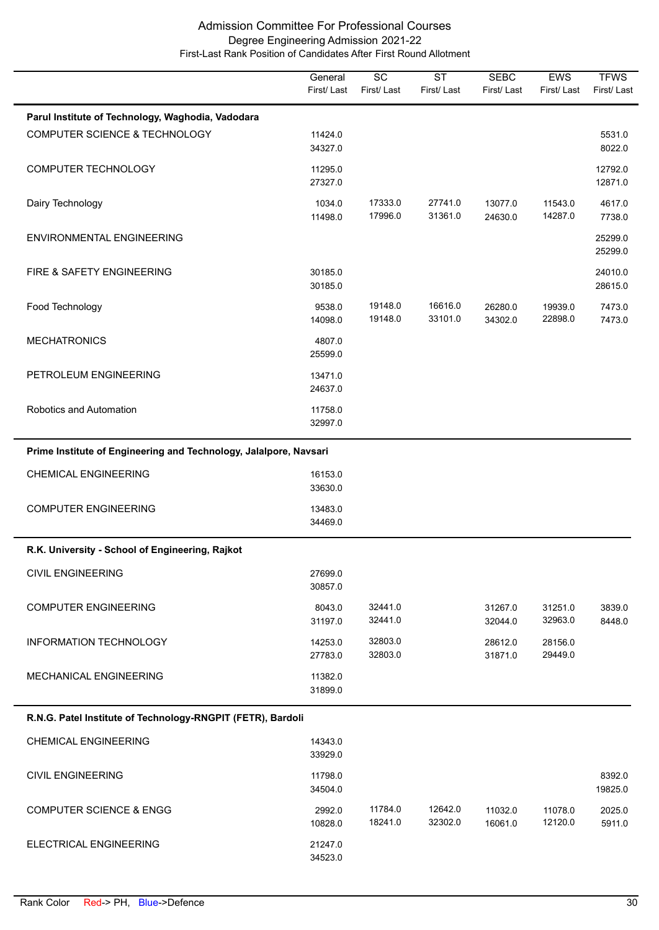|                                                                   | General<br>First/Last | $\overline{SC}$<br>First/Last | $\overline{\text{ST}}$<br>First/Last | <b>SEBC</b><br>First/Last | <b>EWS</b><br>First/Last | <b>TFWS</b><br>First/Last |
|-------------------------------------------------------------------|-----------------------|-------------------------------|--------------------------------------|---------------------------|--------------------------|---------------------------|
| Parul Institute of Technology, Waghodia, Vadodara                 |                       |                               |                                      |                           |                          |                           |
| COMPUTER SCIENCE & TECHNOLOGY                                     | 11424.0<br>34327.0    |                               |                                      |                           |                          | 5531.0<br>8022.0          |
| <b>COMPUTER TECHNOLOGY</b>                                        | 11295.0<br>27327.0    |                               |                                      |                           |                          | 12792.0<br>12871.0        |
| Dairy Technology                                                  | 1034.0<br>11498.0     | 17333.0<br>17996.0            | 27741.0<br>31361.0                   | 13077.0<br>24630.0        | 11543.0<br>14287.0       | 4617.0<br>7738.0          |
| ENVIRONMENTAL ENGINEERING                                         |                       |                               |                                      |                           |                          | 25299.0<br>25299.0        |
| FIRE & SAFETY ENGINEERING                                         | 30185.0<br>30185.0    |                               |                                      |                           |                          | 24010.0<br>28615.0        |
| Food Technology                                                   | 9538.0<br>14098.0     | 19148.0<br>19148.0            | 16616.0<br>33101.0                   | 26280.0<br>34302.0        | 19939.0<br>22898.0       | 7473.0<br>7473.0          |
| <b>MECHATRONICS</b>                                               | 4807.0<br>25599.0     |                               |                                      |                           |                          |                           |
| PETROLEUM ENGINEERING                                             | 13471.0<br>24637.0    |                               |                                      |                           |                          |                           |
| Robotics and Automation                                           | 11758.0<br>32997.0    |                               |                                      |                           |                          |                           |
| Prime Institute of Engineering and Technology, Jalalpore, Navsari |                       |                               |                                      |                           |                          |                           |
| <b>CHEMICAL ENGINEERING</b>                                       | 16153.0<br>33630.0    |                               |                                      |                           |                          |                           |
| <b>COMPUTER ENGINEERING</b>                                       | 13483.0<br>34469.0    |                               |                                      |                           |                          |                           |
| R.K. University - School of Engineering, Rajkot                   |                       |                               |                                      |                           |                          |                           |
| <b>CIVIL ENGINEERING</b>                                          | 27699.0<br>30857.0    |                               |                                      |                           |                          |                           |
| <b>COMPUTER ENGINEERING</b>                                       | 8043.0<br>31197.0     | 32441.0<br>32441.0            |                                      | 31267.0<br>32044.0        | 31251.0<br>32963.0       | 3839.0<br>8448.0          |
| <b>INFORMATION TECHNOLOGY</b>                                     | 14253.0<br>27783.0    | 32803.0<br>32803.0            |                                      | 28612.0<br>31871.0        | 28156.0<br>29449.0       |                           |
| MECHANICAL ENGINEERING                                            | 11382.0<br>31899.0    |                               |                                      |                           |                          |                           |
| R.N.G. Patel Institute of Technology-RNGPIT (FETR), Bardoli       |                       |                               |                                      |                           |                          |                           |
| <b>CHEMICAL ENGINEERING</b>                                       | 14343.0<br>33929.0    |                               |                                      |                           |                          |                           |
| <b>CIVIL ENGINEERING</b>                                          | 11798.0<br>34504.0    |                               |                                      |                           |                          | 8392.0<br>19825.0         |
| <b>COMPUTER SCIENCE &amp; ENGG</b>                                | 2992.0<br>10828.0     | 11784.0<br>18241.0            | 12642.0<br>32302.0                   | 11032.0<br>16061.0        | 11078.0<br>12120.0       | 2025.0<br>5911.0          |
| ELECTRICAL ENGINEERING                                            | 21247.0<br>34523.0    |                               |                                      |                           |                          |                           |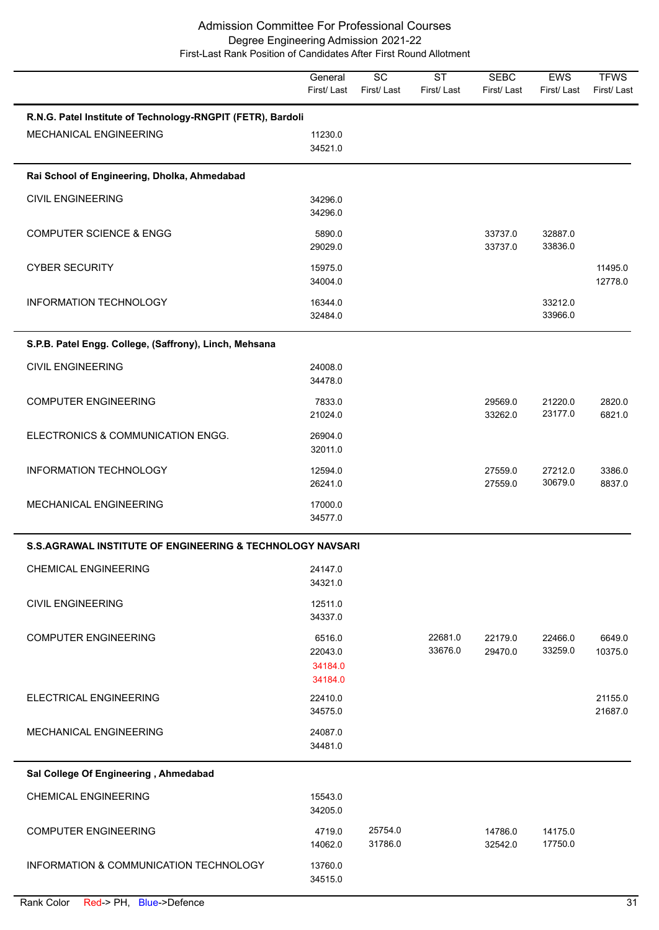|                                                                                              | General<br>First/Last                   | $\overline{SC}$<br>First/Last | $\overline{\text{ST}}$<br>First/Last | <b>SEBC</b><br>First/Last | EWS<br>First/Last  | <b>TFWS</b><br>First/Last |
|----------------------------------------------------------------------------------------------|-----------------------------------------|-------------------------------|--------------------------------------|---------------------------|--------------------|---------------------------|
| R.N.G. Patel Institute of Technology-RNGPIT (FETR), Bardoli<br><b>MECHANICAL ENGINEERING</b> | 11230.0                                 |                               |                                      |                           |                    |                           |
| Rai School of Engineering, Dholka, Ahmedabad                                                 | 34521.0                                 |                               |                                      |                           |                    |                           |
| <b>CIVIL ENGINEERING</b>                                                                     | 34296.0<br>34296.0                      |                               |                                      |                           |                    |                           |
| <b>COMPUTER SCIENCE &amp; ENGG</b>                                                           | 5890.0<br>29029.0                       |                               |                                      | 33737.0<br>33737.0        | 32887.0<br>33836.0 |                           |
| <b>CYBER SECURITY</b>                                                                        | 15975.0<br>34004.0                      |                               |                                      |                           |                    | 11495.0<br>12778.0        |
| INFORMATION TECHNOLOGY                                                                       | 16344.0<br>32484.0                      |                               |                                      |                           | 33212.0<br>33966.0 |                           |
| S.P.B. Patel Engg. College, (Saffrony), Linch, Mehsana                                       |                                         |                               |                                      |                           |                    |                           |
| <b>CIVIL ENGINEERING</b>                                                                     | 24008.0<br>34478.0                      |                               |                                      |                           |                    |                           |
| <b>COMPUTER ENGINEERING</b>                                                                  | 7833.0<br>21024.0                       |                               |                                      | 29569.0<br>33262.0        | 21220.0<br>23177.0 | 2820.0<br>6821.0          |
| ELECTRONICS & COMMUNICATION ENGG.                                                            | 26904.0<br>32011.0                      |                               |                                      |                           |                    |                           |
| INFORMATION TECHNOLOGY                                                                       | 12594.0<br>26241.0                      |                               |                                      | 27559.0<br>27559.0        | 27212.0<br>30679.0 | 3386.0<br>8837.0          |
| MECHANICAL ENGINEERING                                                                       | 17000.0<br>34577.0                      |                               |                                      |                           |                    |                           |
| <b>S.S.AGRAWAL INSTITUTE OF ENGINEERING &amp; TECHNOLOGY NAVSARI</b>                         |                                         |                               |                                      |                           |                    |                           |
| <b>CHEMICAL ENGINEERING</b>                                                                  | 24147.0<br>34321.0                      |                               |                                      |                           |                    |                           |
| <b>CIVIL ENGINEERING</b>                                                                     | 12511.0<br>34337.0                      |                               |                                      |                           |                    |                           |
| <b>COMPUTER ENGINEERING</b>                                                                  | 6516.0<br>22043.0<br>34184.0<br>34184.0 |                               | 22681.0<br>33676.0                   | 22179.0<br>29470.0        | 22466.0<br>33259.0 | 6649.0<br>10375.0         |
| ELECTRICAL ENGINEERING                                                                       | 22410.0<br>34575.0                      |                               |                                      |                           |                    | 21155.0<br>21687.0        |
| MECHANICAL ENGINEERING                                                                       | 24087.0<br>34481.0                      |                               |                                      |                           |                    |                           |
| Sal College Of Engineering, Ahmedabad                                                        |                                         |                               |                                      |                           |                    |                           |
| <b>CHEMICAL ENGINEERING</b>                                                                  | 15543.0<br>34205.0                      |                               |                                      |                           |                    |                           |
| <b>COMPUTER ENGINEERING</b>                                                                  | 4719.0<br>14062.0                       | 25754.0<br>31786.0            |                                      | 14786.0<br>32542.0        | 14175.0<br>17750.0 |                           |
| INFORMATION & COMMUNICATION TECHNOLOGY                                                       | 13760.0<br>34515.0                      |                               |                                      |                           |                    |                           |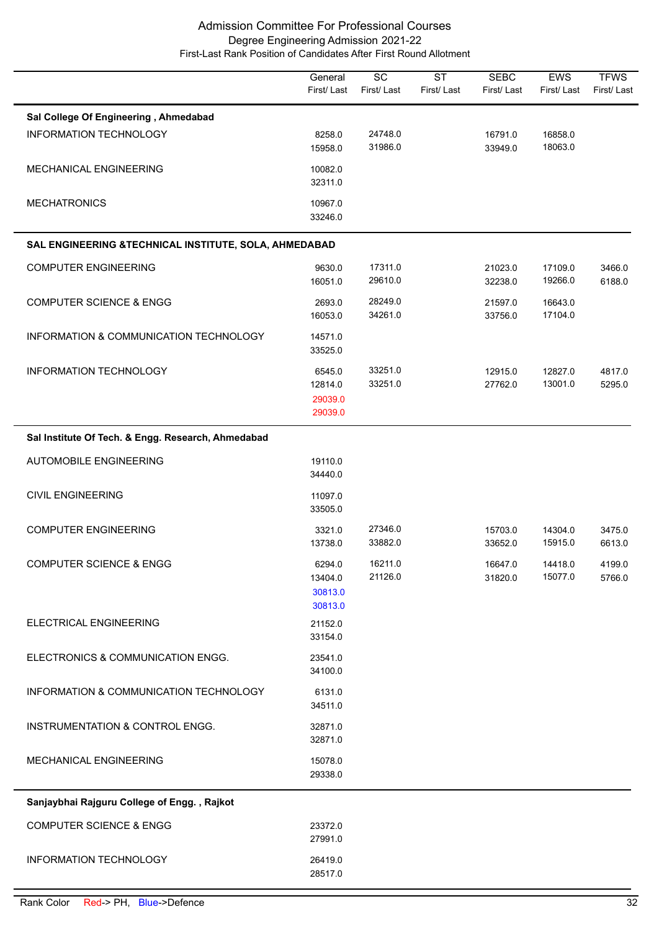|                                                        | General<br>First/Last                   | $\overline{SC}$<br>First/Last | $\overline{\text{ST}}$<br>First/Last | <b>SEBC</b><br>First/Last | <b>EWS</b><br>First/Last | <b>TFWS</b><br>First/Last |
|--------------------------------------------------------|-----------------------------------------|-------------------------------|--------------------------------------|---------------------------|--------------------------|---------------------------|
| Sal College Of Engineering, Ahmedabad                  |                                         |                               |                                      |                           |                          |                           |
| <b>INFORMATION TECHNOLOGY</b>                          | 8258.0<br>15958.0                       | 24748.0<br>31986.0            |                                      | 16791.0<br>33949.0        | 16858.0<br>18063.0       |                           |
| MECHANICAL ENGINEERING                                 | 10082.0<br>32311.0                      |                               |                                      |                           |                          |                           |
| <b>MECHATRONICS</b>                                    | 10967.0<br>33246.0                      |                               |                                      |                           |                          |                           |
| SAL ENGINEERING & TECHNICAL INSTITUTE, SOLA, AHMEDABAD |                                         |                               |                                      |                           |                          |                           |
| <b>COMPUTER ENGINEERING</b>                            | 9630.0<br>16051.0                       | 17311.0<br>29610.0            |                                      | 21023.0<br>32238.0        | 17109.0<br>19266.0       | 3466.0<br>6188.0          |
| <b>COMPUTER SCIENCE &amp; ENGG</b>                     | 2693.0<br>16053.0                       | 28249.0<br>34261.0            |                                      | 21597.0<br>33756.0        | 16643.0<br>17104.0       |                           |
| INFORMATION & COMMUNICATION TECHNOLOGY                 | 14571.0<br>33525.0                      |                               |                                      |                           |                          |                           |
| <b>INFORMATION TECHNOLOGY</b>                          | 6545.0<br>12814.0<br>29039.0<br>29039.0 | 33251.0<br>33251.0            |                                      | 12915.0<br>27762.0        | 12827.0<br>13001.0       | 4817.0<br>5295.0          |
| Sal Institute Of Tech. & Engg. Research, Ahmedabad     |                                         |                               |                                      |                           |                          |                           |
| <b>AUTOMOBILE ENGINEERING</b>                          | 19110.0<br>34440.0                      |                               |                                      |                           |                          |                           |
| <b>CIVIL ENGINEERING</b>                               | 11097.0<br>33505.0                      |                               |                                      |                           |                          |                           |
| <b>COMPUTER ENGINEERING</b>                            | 3321.0<br>13738.0                       | 27346.0<br>33882.0            |                                      | 15703.0<br>33652.0        | 14304.0<br>15915.0       | 3475.0<br>6613.0          |
| <b>COMPUTER SCIENCE &amp; ENGG</b>                     | 6294.0<br>13404.0<br>30813.0<br>30813.0 | 16211.0<br>21126.0            |                                      | 16647.0<br>31820.0        | 14418.0<br>15077.0       | 4199.0<br>5766.0          |
| ELECTRICAL ENGINEERING                                 | 21152.0<br>33154.0                      |                               |                                      |                           |                          |                           |
| ELECTRONICS & COMMUNICATION ENGG.                      | 23541.0<br>34100.0                      |                               |                                      |                           |                          |                           |
| INFORMATION & COMMUNICATION TECHNOLOGY                 | 6131.0<br>34511.0                       |                               |                                      |                           |                          |                           |
| INSTRUMENTATION & CONTROL ENGG.                        | 32871.0<br>32871.0                      |                               |                                      |                           |                          |                           |
| MECHANICAL ENGINEERING                                 | 15078.0<br>29338.0                      |                               |                                      |                           |                          |                           |
| Sanjaybhai Rajguru College of Engg., Rajkot            |                                         |                               |                                      |                           |                          |                           |
| <b>COMPUTER SCIENCE &amp; ENGG</b>                     | 23372.0<br>27991.0                      |                               |                                      |                           |                          |                           |
| INFORMATION TECHNOLOGY                                 | 26419.0<br>28517.0                      |                               |                                      |                           |                          |                           |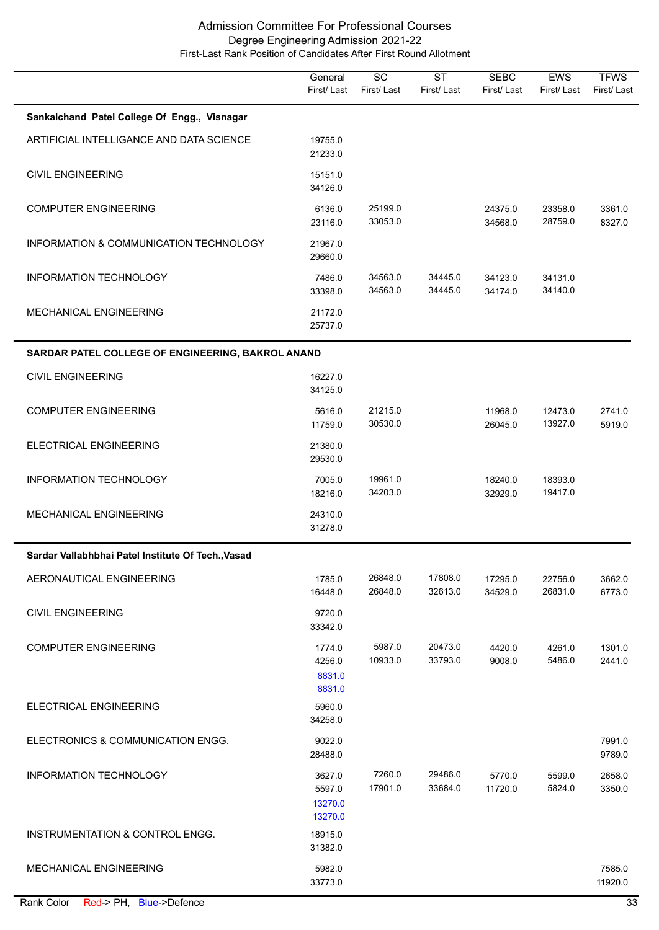|                                                    | General<br>First/Last                  | $\overline{SC}$<br>First/Last | $\overline{\text{ST}}$<br>First/Last | <b>SEBC</b><br>First/Last | EWS<br>First/Last  | <b>TFWS</b><br>First/Last |
|----------------------------------------------------|----------------------------------------|-------------------------------|--------------------------------------|---------------------------|--------------------|---------------------------|
| Sankalchand Patel College Of Engg., Visnagar       |                                        |                               |                                      |                           |                    |                           |
| ARTIFICIAL INTELLIGANCE AND DATA SCIENCE           | 19755.0<br>21233.0                     |                               |                                      |                           |                    |                           |
| <b>CIVIL ENGINEERING</b>                           | 15151.0<br>34126.0                     |                               |                                      |                           |                    |                           |
| <b>COMPUTER ENGINEERING</b>                        | 6136.0<br>23116.0                      | 25199.0<br>33053.0            |                                      | 24375.0<br>34568.0        | 23358.0<br>28759.0 | 3361.0<br>8327.0          |
| INFORMATION & COMMUNICATION TECHNOLOGY             | 21967.0<br>29660.0                     |                               |                                      |                           |                    |                           |
| INFORMATION TECHNOLOGY                             | 7486.0<br>33398.0                      | 34563.0<br>34563.0            | 34445.0<br>34445.0                   | 34123.0<br>34174.0        | 34131.0<br>34140.0 |                           |
| MECHANICAL ENGINEERING                             | 21172.0<br>25737.0                     |                               |                                      |                           |                    |                           |
| SARDAR PATEL COLLEGE OF ENGINEERING, BAKROL ANAND  |                                        |                               |                                      |                           |                    |                           |
| <b>CIVIL ENGINEERING</b>                           | 16227.0<br>34125.0                     |                               |                                      |                           |                    |                           |
| <b>COMPUTER ENGINEERING</b>                        | 5616.0<br>11759.0                      | 21215.0<br>30530.0            |                                      | 11968.0<br>26045.0        | 12473.0<br>13927.0 | 2741.0<br>5919.0          |
| ELECTRICAL ENGINEERING                             | 21380.0<br>29530.0                     |                               |                                      |                           |                    |                           |
| INFORMATION TECHNOLOGY                             | 7005.0<br>18216.0                      | 19961.0<br>34203.0            |                                      | 18240.0<br>32929.0        | 18393.0<br>19417.0 |                           |
| MECHANICAL ENGINEERING                             | 24310.0<br>31278.0                     |                               |                                      |                           |                    |                           |
| Sardar Vallabhbhai Patel Institute Of Tech., Vasad |                                        |                               |                                      |                           |                    |                           |
| AERONAUTICAL ENGINEERING                           | 1785.0<br>16448.0                      | 26848.0<br>26848.0            | 17808.0<br>32613.0                   | 17295.0<br>34529.0        | 22756.0<br>26831.0 | 3662.0<br>6773.0          |
| <b>CIVIL ENGINEERING</b>                           | 9720.0<br>33342.0                      |                               |                                      |                           |                    |                           |
| <b>COMPUTER ENGINEERING</b>                        | 1774.0<br>4256.0<br>8831.0<br>8831.0   | 5987.0<br>10933.0             | 20473.0<br>33793.0                   | 4420.0<br>9008.0          | 4261.0<br>5486.0   | 1301.0<br>2441.0          |
| <b>ELECTRICAL ENGINEERING</b>                      | 5960.0<br>34258.0                      |                               |                                      |                           |                    |                           |
| ELECTRONICS & COMMUNICATION ENGG.                  | 9022.0<br>28488.0                      |                               |                                      |                           |                    | 7991.0<br>9789.0          |
| <b>INFORMATION TECHNOLOGY</b>                      | 3627.0<br>5597.0<br>13270.0<br>13270.0 | 7260.0<br>17901.0             | 29486.0<br>33684.0                   | 5770.0<br>11720.0         | 5599.0<br>5824.0   | 2658.0<br>3350.0          |
| INSTRUMENTATION & CONTROL ENGG.                    | 18915.0<br>31382.0                     |                               |                                      |                           |                    |                           |
| <b>MECHANICAL ENGINEERING</b>                      | 5982.0<br>33773.0                      |                               |                                      |                           |                    | 7585.0<br>11920.0         |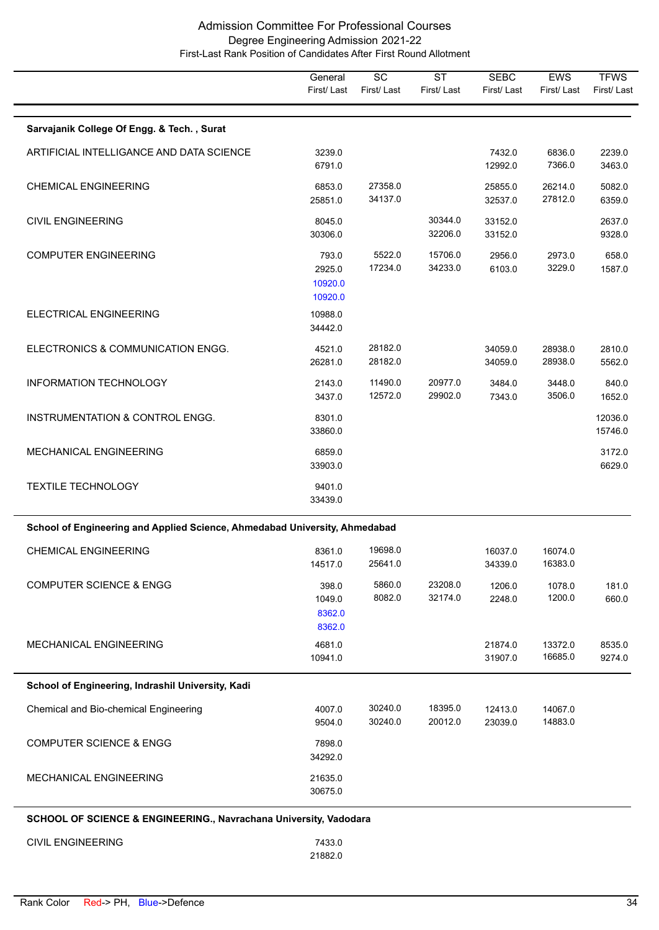|                                                                            | General<br>First/Last                 | $\overline{SC}$<br>First/Last | $\overline{\text{ST}}$<br>First/Last | <b>SEBC</b><br>First/Last | EWS<br>First/Last  | <b>TFWS</b><br>First/Last |
|----------------------------------------------------------------------------|---------------------------------------|-------------------------------|--------------------------------------|---------------------------|--------------------|---------------------------|
| Sarvajanik College Of Engg. & Tech., Surat                                 |                                       |                               |                                      |                           |                    |                           |
| ARTIFICIAL INTELLIGANCE AND DATA SCIENCE                                   | 3239.0<br>6791.0                      |                               |                                      | 7432.0<br>12992.0         | 6836.0<br>7366.0   | 2239.0<br>3463.0          |
| <b>CHEMICAL ENGINEERING</b>                                                | 6853.0<br>25851.0                     | 27358.0<br>34137.0            |                                      | 25855.0<br>32537.0        | 26214.0<br>27812.0 | 5082.0<br>6359.0          |
| <b>CIVIL ENGINEERING</b>                                                   | 8045.0<br>30306.0                     |                               | 30344.0<br>32206.0                   | 33152.0<br>33152.0        |                    | 2637.0<br>9328.0          |
| <b>COMPUTER ENGINEERING</b>                                                | 793.0<br>2925.0<br>10920.0<br>10920.0 | 5522.0<br>17234.0             | 15706.0<br>34233.0                   | 2956.0<br>6103.0          | 2973.0<br>3229.0   | 658.0<br>1587.0           |
| ELECTRICAL ENGINEERING                                                     | 10988.0<br>34442.0                    |                               |                                      |                           |                    |                           |
| ELECTRONICS & COMMUNICATION ENGG.                                          | 4521.0<br>26281.0                     | 28182.0<br>28182.0            |                                      | 34059.0<br>34059.0        | 28938.0<br>28938.0 | 2810.0<br>5562.0          |
| INFORMATION TECHNOLOGY                                                     | 2143.0<br>3437.0                      | 11490.0<br>12572.0            | 20977.0<br>29902.0                   | 3484.0<br>7343.0          | 3448.0<br>3506.0   | 840.0<br>1652.0           |
| INSTRUMENTATION & CONTROL ENGG.                                            | 8301.0<br>33860.0                     |                               |                                      |                           |                    | 12036.0<br>15746.0        |
| MECHANICAL ENGINEERING                                                     | 6859.0<br>33903.0                     |                               |                                      |                           |                    | 3172.0<br>6629.0          |
| <b>TEXTILE TECHNOLOGY</b>                                                  | 9401.0<br>33439.0                     |                               |                                      |                           |                    |                           |
| School of Engineering and Applied Science, Ahmedabad University, Ahmedabad |                                       |                               |                                      |                           |                    |                           |
| <b>CHEMICAL ENGINEERING</b>                                                | 8361.0<br>14517.0                     | 19698.0<br>25641.0            |                                      | 16037.0<br>34339.0        | 16074.0<br>16383.0 |                           |
| <b>COMPUTER SCIENCE &amp; ENGG</b>                                         | 398.0<br>1049.0<br>8362.0<br>8362.0   | 5860.0<br>8082.0              | 23208.0<br>32174.0                   | 1206.0<br>2248.0          | 1078.0<br>1200.0   | 181.0<br>660.0            |
| MECHANICAL ENGINEERING                                                     | 4681.0<br>10941.0                     |                               |                                      | 21874.0<br>31907.0        | 13372.0<br>16685.0 | 8535.0<br>9274.0          |
| School of Engineering, Indrashil University, Kadi                          |                                       |                               |                                      |                           |                    |                           |
| Chemical and Bio-chemical Engineering                                      | 4007.0<br>9504.0                      | 30240.0<br>30240.0            | 18395.0<br>20012.0                   | 12413.0<br>23039.0        | 14067.0<br>14883.0 |                           |
| <b>COMPUTER SCIENCE &amp; ENGG</b>                                         | 7898.0<br>34292.0                     |                               |                                      |                           |                    |                           |
| MECHANICAL ENGINEERING                                                     | 21635.0<br>30675.0                    |                               |                                      |                           |                    |                           |
| SCHOOL OF SCIENCE & ENGINEERING., Navrachana University, Vadodara          |                                       |                               |                                      |                           |                    |                           |
| <b>CIVIL ENGINEERING</b>                                                   | 7433.0                                |                               |                                      |                           |                    |                           |

21882.0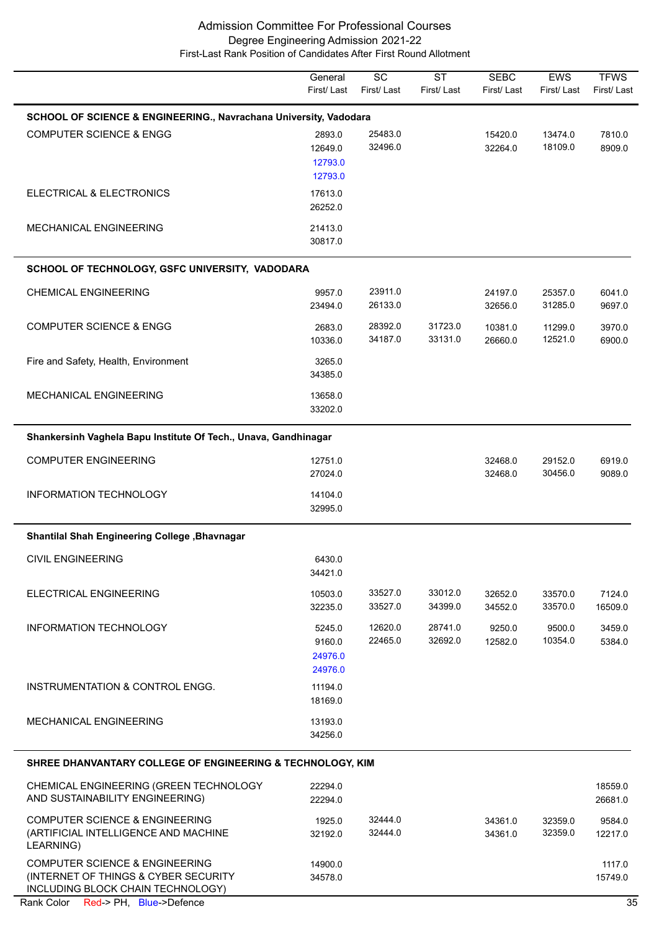|                                                                                                | General<br>First/Last                   | SC<br>First/Last   | <b>ST</b><br>First/Last | <b>SEBC</b><br>First/Last | <b>EWS</b><br>First/Last | <b>TFWS</b><br>First/Last |
|------------------------------------------------------------------------------------------------|-----------------------------------------|--------------------|-------------------------|---------------------------|--------------------------|---------------------------|
| SCHOOL OF SCIENCE & ENGINEERING., Navrachana University, Vadodara                              |                                         |                    |                         |                           |                          |                           |
| <b>COMPUTER SCIENCE &amp; ENGG</b>                                                             | 2893.0<br>12649.0<br>12793.0<br>12793.0 | 25483.0<br>32496.0 |                         | 15420.0<br>32264.0        | 13474.0<br>18109.0       | 7810.0<br>8909.0          |
| ELECTRICAL & ELECTRONICS                                                                       | 17613.0<br>26252.0                      |                    |                         |                           |                          |                           |
| <b>MECHANICAL ENGINEERING</b>                                                                  | 21413.0<br>30817.0                      |                    |                         |                           |                          |                           |
| SCHOOL OF TECHNOLOGY, GSFC UNIVERSITY, VADODARA                                                |                                         |                    |                         |                           |                          |                           |
| <b>CHEMICAL ENGINEERING</b>                                                                    | 9957.0<br>23494.0                       | 23911.0<br>26133.0 |                         | 24197.0<br>32656.0        | 25357.0<br>31285.0       | 6041.0<br>9697.0          |
| <b>COMPUTER SCIENCE &amp; ENGG</b>                                                             | 2683.0<br>10336.0                       | 28392.0<br>34187.0 | 31723.0<br>33131.0      | 10381.0<br>26660.0        | 11299.0<br>12521.0       | 3970.0<br>6900.0          |
| Fire and Safety, Health, Environment                                                           | 3265.0<br>34385.0                       |                    |                         |                           |                          |                           |
| MECHANICAL ENGINEERING                                                                         | 13658.0<br>33202.0                      |                    |                         |                           |                          |                           |
| Shankersinh Vaghela Bapu Institute Of Tech., Unava, Gandhinagar                                |                                         |                    |                         |                           |                          |                           |
| <b>COMPUTER ENGINEERING</b>                                                                    | 12751.0<br>27024.0                      |                    |                         | 32468.0<br>32468.0        | 29152.0<br>30456.0       | 6919.0<br>9089.0          |
| INFORMATION TECHNOLOGY                                                                         | 14104.0<br>32995.0                      |                    |                         |                           |                          |                           |
| Shantilal Shah Engineering College , Bhavnagar                                                 |                                         |                    |                         |                           |                          |                           |
| <b>CIVIL ENGINEERING</b>                                                                       | 6430.0<br>34421.0                       |                    |                         |                           |                          |                           |
| ELECTRICAL ENGINEERING                                                                         | 10503.0<br>32235.0                      | 33527.0<br>33527.0 | 33012.0<br>34399.0      | 32652.0<br>34552.0        | 33570.0<br>33570.0       | 7124.0<br>16509.0         |
| <b>INFORMATION TECHNOLOGY</b>                                                                  | 5245.0<br>9160.0<br>24976.0<br>24976.0  | 12620.0<br>22465.0 | 28741.0<br>32692.0      | 9250.0<br>12582.0         | 9500.0<br>10354.0        | 3459.0<br>5384.0          |
| INSTRUMENTATION & CONTROL ENGG.                                                                | 11194.0<br>18169.0                      |                    |                         |                           |                          |                           |
| <b>MECHANICAL ENGINEERING</b>                                                                  | 13193.0<br>34256.0                      |                    |                         |                           |                          |                           |
| SHREE DHANVANTARY COLLEGE OF ENGINEERING & TECHNOLOGY, KIM                                     |                                         |                    |                         |                           |                          |                           |
| CHEMICAL ENGINEERING (GREEN TECHNOLOGY<br>AND SUSTAINABILITY ENGINEERING)                      | 22294.0<br>22294.0                      |                    |                         |                           |                          | 18559.0<br>26681.0        |
| <b>COMPUTER SCIENCE &amp; ENGINEERING</b><br>(ARTIFICIAL INTELLIGENCE AND MACHINE<br>LEARNING) | 1925.0<br>32192.0                       | 32444.0<br>32444.0 |                         | 34361.0<br>34361.0        | 32359.0<br>32359.0       | 9584.0<br>12217.0         |
| COMPUTER SCIENCE & ENGINEERING                                                                 | 14900.0                                 |                    |                         |                           |                          | 1117.0                    |

(INTERNET OF THINGS & CYBER SECURITY

34578.0 15749.0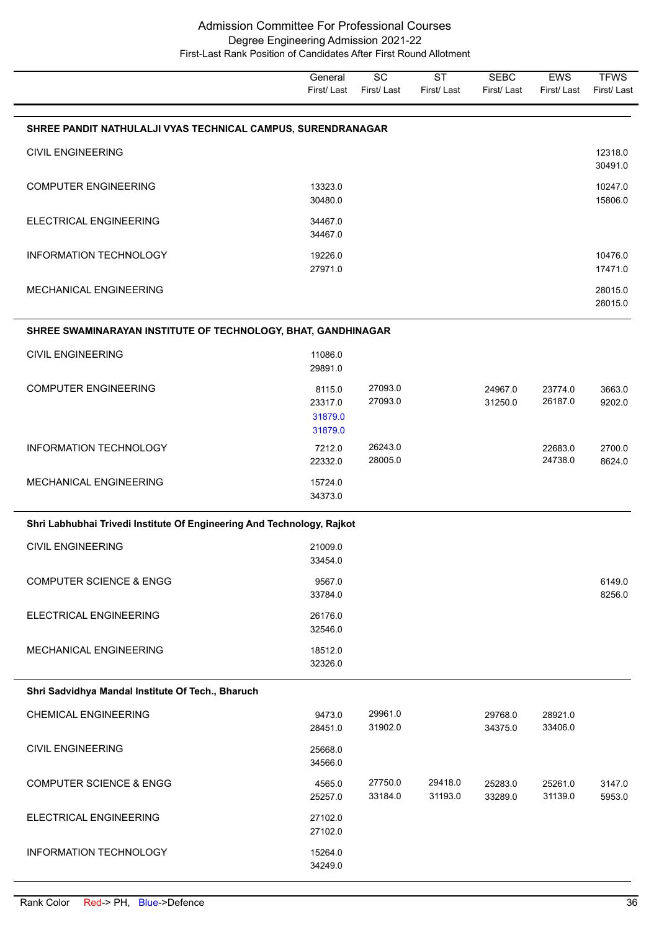**TFWS** First/ Last EWS First/ Last **SEBC** First/ Last **ST** First/ Last **SC** First/ Last **General** First/ Last **SHREE PANDIT NATHULALJI VYAS TECHNICAL CAMPUS, SURENDRANAGAR** 30491.0 CIVIL ENGINEERING 12318.0 30480.0 15806.0 COMPUTER ENGINEERING 13323.0 10247.0 34467.0 ELECTRICAL ENGINEERING 34467.0 27971.0 17471.0 INFORMATION TECHNOLOGY 19226.0 10476.0 28015.0 MECHANICAL ENGINEERING 28015.0 **SHREE SWAMINARAYAN INSTITUTE OF TECHNOLOGY, BHAT, GANDHINAGAR** 29891.0 CIVIL ENGINEERING 11086.0 23317.0 27093.0 31250.0 26187.0 9202.0 COMPUTER ENGINEERING 8115.0 27093.0 24967.0 23774.0 3663.0 31879.0 31879.0 22332.0 28005.0 24738.0 8624.0 INFORMATION TECHNOLOGY 7212.0 26243.0 22683.0 2700.0 34373.0 MECHANICAL ENGINEERING 15724.0 **Shri Labhubhai Trivedi Institute Of Engineering And Technology, Rajkot** 33454.0 CIVIL ENGINEERING 21009.0 33784.0 8256.0 COMPUTER SCIENCE & ENGG 9567.0 6149.0 32546.0 ELECTRICAL ENGINEERING 26176.0 32326.0 MECHANICAL ENGINEERING 18512.0 **Shri Sadvidhya Mandal Institute Of Tech., Bharuch** 28451.0 31902.0 34375.0 33406.0 CHEMICAL ENGINEERING 9473.0 29961.0 29768.0 28921.0 34566.0 CIVIL ENGINEERING 25668.0 25257.0 33184.0 31193.0 33289.0 31139.0 5953.0 COMPUTER SCIENCE & ENGG 4565.0 27750.0 29418.0 25283.0 25261.0 3147.0 27102.0 ELECTRICAL ENGINEERING 27102.0 34249.0 INFORMATION TECHNOLOGY 15264.0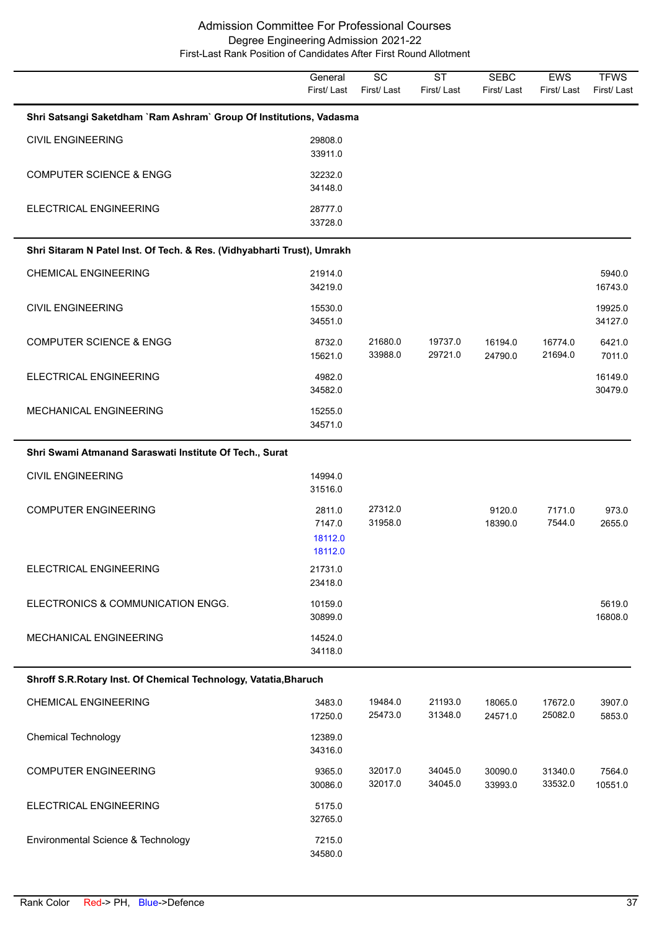|                                                                         | General<br>First/Last                  | $\overline{SC}$<br>First/Last | <b>ST</b><br>First/Last | <b>SEBC</b><br>First/Last | EWS<br>First/Last  | <b>TFWS</b><br>First/Last |
|-------------------------------------------------------------------------|----------------------------------------|-------------------------------|-------------------------|---------------------------|--------------------|---------------------------|
| Shri Satsangi Saketdham `Ram Ashram` Group Of Institutions, Vadasma     |                                        |                               |                         |                           |                    |                           |
| <b>CIVIL ENGINEERING</b>                                                | 29808.0<br>33911.0                     |                               |                         |                           |                    |                           |
| <b>COMPUTER SCIENCE &amp; ENGG</b>                                      | 32232.0<br>34148.0                     |                               |                         |                           |                    |                           |
| ELECTRICAL ENGINEERING                                                  | 28777.0<br>33728.0                     |                               |                         |                           |                    |                           |
| Shri Sitaram N Patel Inst. Of Tech. & Res. (Vidhyabharti Trust), Umrakh |                                        |                               |                         |                           |                    |                           |
| <b>CHEMICAL ENGINEERING</b>                                             | 21914.0<br>34219.0                     |                               |                         |                           |                    | 5940.0<br>16743.0         |
| <b>CIVIL ENGINEERING</b>                                                | 15530.0<br>34551.0                     |                               |                         |                           |                    | 19925.0<br>34127.0        |
| <b>COMPUTER SCIENCE &amp; ENGG</b>                                      | 8732.0<br>15621.0                      | 21680.0<br>33988.0            | 19737.0<br>29721.0      | 16194.0<br>24790.0        | 16774.0<br>21694.0 | 6421.0<br>7011.0          |
| <b>ELECTRICAL ENGINEERING</b>                                           | 4982.0<br>34582.0                      |                               |                         |                           |                    | 16149.0<br>30479.0        |
| <b>MECHANICAL ENGINEERING</b>                                           | 15255.0<br>34571.0                     |                               |                         |                           |                    |                           |
| Shri Swami Atmanand Saraswati Institute Of Tech., Surat                 |                                        |                               |                         |                           |                    |                           |
| <b>CIVIL ENGINEERING</b>                                                | 14994.0<br>31516.0                     |                               |                         |                           |                    |                           |
| <b>COMPUTER ENGINEERING</b>                                             | 2811.0<br>7147.0<br>18112.0<br>18112.0 | 27312.0<br>31958.0            |                         | 9120.0<br>18390.0         | 7171.0<br>7544.0   | 973.0<br>2655.0           |
| ELECTRICAL ENGINEERING                                                  | 21731.0<br>23418.0                     |                               |                         |                           |                    |                           |
| ELECTRONICS & COMMUNICATION ENGG.                                       | 10159.0<br>30899.0                     |                               |                         |                           |                    | 5619.0<br>16808.0         |
| MECHANICAL ENGINEERING                                                  | 14524.0<br>34118.0                     |                               |                         |                           |                    |                           |
| Shroff S.R.Rotary Inst. Of Chemical Technology, Vatatia, Bharuch        |                                        |                               |                         |                           |                    |                           |
| <b>CHEMICAL ENGINEERING</b>                                             | 3483.0<br>17250.0                      | 19484.0<br>25473.0            | 21193.0<br>31348.0      | 18065.0<br>24571.0        | 17672.0<br>25082.0 | 3907.0<br>5853.0          |
| <b>Chemical Technology</b>                                              | 12389.0<br>34316.0                     |                               |                         |                           |                    |                           |
| <b>COMPUTER ENGINEERING</b>                                             | 9365.0<br>30086.0                      | 32017.0<br>32017.0            | 34045.0<br>34045.0      | 30090.0<br>33993.0        | 31340.0<br>33532.0 | 7564.0<br>10551.0         |
| ELECTRICAL ENGINEERING                                                  | 5175.0<br>32765.0                      |                               |                         |                           |                    |                           |
| Environmental Science & Technology                                      | 7215.0<br>34580.0                      |                               |                         |                           |                    |                           |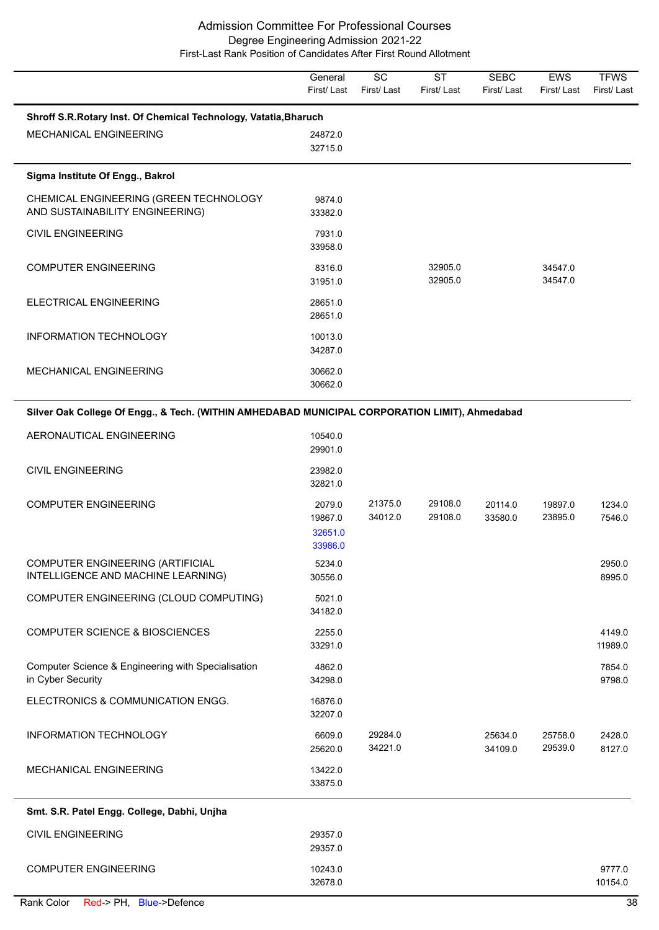|                                                                                                | General<br>First/Last                   | $\overline{SC}$<br>First/Last | $\overline{\text{ST}}$<br>First/Last | <b>SEBC</b><br>First/Last | EWS<br>First/Last  | <b>TFWS</b><br>First/Last |
|------------------------------------------------------------------------------------------------|-----------------------------------------|-------------------------------|--------------------------------------|---------------------------|--------------------|---------------------------|
| Shroff S.R.Rotary Inst. Of Chemical Technology, Vatatia, Bharuch                               |                                         |                               |                                      |                           |                    |                           |
| MECHANICAL ENGINEERING                                                                         | 24872.0<br>32715.0                      |                               |                                      |                           |                    |                           |
| Sigma Institute Of Engg., Bakrol                                                               |                                         |                               |                                      |                           |                    |                           |
| CHEMICAL ENGINEERING (GREEN TECHNOLOGY<br>AND SUSTAINABILITY ENGINEERING)                      | 9874.0<br>33382.0                       |                               |                                      |                           |                    |                           |
| <b>CIVIL ENGINEERING</b>                                                                       | 7931.0<br>33958.0                       |                               |                                      |                           |                    |                           |
| <b>COMPUTER ENGINEERING</b>                                                                    | 8316.0<br>31951.0                       |                               | 32905.0<br>32905.0                   |                           | 34547.0<br>34547.0 |                           |
| ELECTRICAL ENGINEERING                                                                         | 28651.0<br>28651.0                      |                               |                                      |                           |                    |                           |
| INFORMATION TECHNOLOGY                                                                         | 10013.0<br>34287.0                      |                               |                                      |                           |                    |                           |
| MECHANICAL ENGINEERING                                                                         | 30662.0<br>30662.0                      |                               |                                      |                           |                    |                           |
| Silver Oak College Of Engg., & Tech. (WITHIN AMHEDABAD MUNICIPAL CORPORATION LIMIT), Ahmedabad |                                         |                               |                                      |                           |                    |                           |
| AERONAUTICAL ENGINEERING                                                                       | 10540.0<br>29901.0                      |                               |                                      |                           |                    |                           |
| <b>CIVIL ENGINEERING</b>                                                                       | 23982.0<br>32821.0                      |                               |                                      |                           |                    |                           |
| <b>COMPUTER ENGINEERING</b>                                                                    | 2079.0<br>19867.0<br>32651.0<br>33986.0 | 21375.0<br>34012.0            | 29108.0<br>29108.0                   | 20114.0<br>33580.0        | 19897.0<br>23895.0 | 1234.0<br>7546.0          |
| COMPUTER ENGINEERING (ARTIFICIAL<br>INTELLIGENCE AND MACHINE LEARNING)                         | 5234.0<br>30556.0                       |                               |                                      |                           |                    | 2950.0<br>8995.0          |
| COMPUTER ENGINEERING (CLOUD COMPUTING)                                                         | 5021.0<br>34182.0                       |                               |                                      |                           |                    |                           |
| <b>COMPUTER SCIENCE &amp; BIOSCIENCES</b>                                                      | 2255.0<br>33291.0                       |                               |                                      |                           |                    | 4149.0<br>11989.0         |
| Computer Science & Engineering with Specialisation<br>in Cyber Security                        | 4862.0<br>34298.0                       |                               |                                      |                           |                    | 7854.0<br>9798.0          |
| ELECTRONICS & COMMUNICATION ENGG.                                                              | 16876.0<br>32207.0                      |                               |                                      |                           |                    |                           |
| INFORMATION TECHNOLOGY                                                                         | 6609.0<br>25620.0                       | 29284.0<br>34221.0            |                                      | 25634.0<br>34109.0        | 25758.0<br>29539.0 | 2428.0<br>8127.0          |
| MECHANICAL ENGINEERING                                                                         | 13422.0<br>33875.0                      |                               |                                      |                           |                    |                           |
| Smt. S.R. Patel Engg. College, Dabhi, Unjha                                                    |                                         |                               |                                      |                           |                    |                           |
| <b>CIVIL ENGINEERING</b>                                                                       | 29357.0<br>29357.0                      |                               |                                      |                           |                    |                           |
| <b>COMPUTER ENGINEERING</b>                                                                    | 10243.0<br>32678.0                      |                               |                                      |                           |                    | 9777.0<br>10154.0         |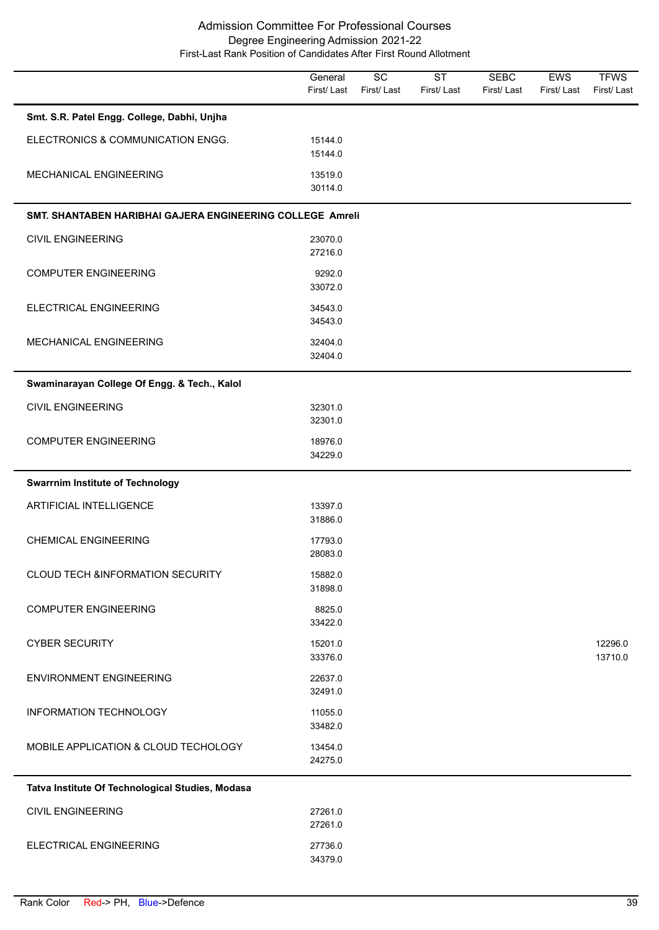|                                                           | General<br>First/Last | $\overline{SC}$<br>First/Last | <b>ST</b><br>First/Last | <b>SEBC</b><br>First/Last | EWS<br>First/Last | <b>TFWS</b><br>First/Last |
|-----------------------------------------------------------|-----------------------|-------------------------------|-------------------------|---------------------------|-------------------|---------------------------|
| Smt. S.R. Patel Engg. College, Dabhi, Unjha               |                       |                               |                         |                           |                   |                           |
| ELECTRONICS & COMMUNICATION ENGG.                         | 15144.0<br>15144.0    |                               |                         |                           |                   |                           |
| MECHANICAL ENGINEERING                                    | 13519.0<br>30114.0    |                               |                         |                           |                   |                           |
| SMT. SHANTABEN HARIBHAI GAJERA ENGINEERING COLLEGE Amreli |                       |                               |                         |                           |                   |                           |
| <b>CIVIL ENGINEERING</b>                                  | 23070.0<br>27216.0    |                               |                         |                           |                   |                           |
| <b>COMPUTER ENGINEERING</b>                               | 9292.0<br>33072.0     |                               |                         |                           |                   |                           |
| ELECTRICAL ENGINEERING                                    | 34543.0<br>34543.0    |                               |                         |                           |                   |                           |
| MECHANICAL ENGINEERING                                    | 32404.0<br>32404.0    |                               |                         |                           |                   |                           |
| Swaminarayan College Of Engg. & Tech., Kalol              |                       |                               |                         |                           |                   |                           |
| <b>CIVIL ENGINEERING</b>                                  | 32301.0<br>32301.0    |                               |                         |                           |                   |                           |
| <b>COMPUTER ENGINEERING</b>                               | 18976.0<br>34229.0    |                               |                         |                           |                   |                           |
| <b>Swarrnim Institute of Technology</b>                   |                       |                               |                         |                           |                   |                           |
| <b>ARTIFICIAL INTELLIGENCE</b>                            | 13397.0<br>31886.0    |                               |                         |                           |                   |                           |
| <b>CHEMICAL ENGINEERING</b>                               | 17793.0<br>28083.0    |                               |                         |                           |                   |                           |
| <b>CLOUD TECH &amp;INFORMATION SECURITY</b>               | 15882.0<br>31898.0    |                               |                         |                           |                   |                           |
| <b>COMPUTER ENGINEERING</b>                               | 8825.0<br>33422.0     |                               |                         |                           |                   |                           |
| <b>CYBER SECURITY</b>                                     | 15201.0<br>33376.0    |                               |                         |                           |                   | 12296.0<br>13710.0        |
| <b>ENVIRONMENT ENGINEERING</b>                            | 22637.0<br>32491.0    |                               |                         |                           |                   |                           |
| <b>INFORMATION TECHNOLOGY</b>                             | 11055.0<br>33482.0    |                               |                         |                           |                   |                           |
| MOBILE APPLICATION & CLOUD TECHOLOGY                      | 13454.0<br>24275.0    |                               |                         |                           |                   |                           |
| Tatva Institute Of Technological Studies, Modasa          |                       |                               |                         |                           |                   |                           |
| <b>CIVIL ENGINEERING</b>                                  | 27261.0<br>27261.0    |                               |                         |                           |                   |                           |
| ELECTRICAL ENGINEERING                                    | 27736.0<br>34379.0    |                               |                         |                           |                   |                           |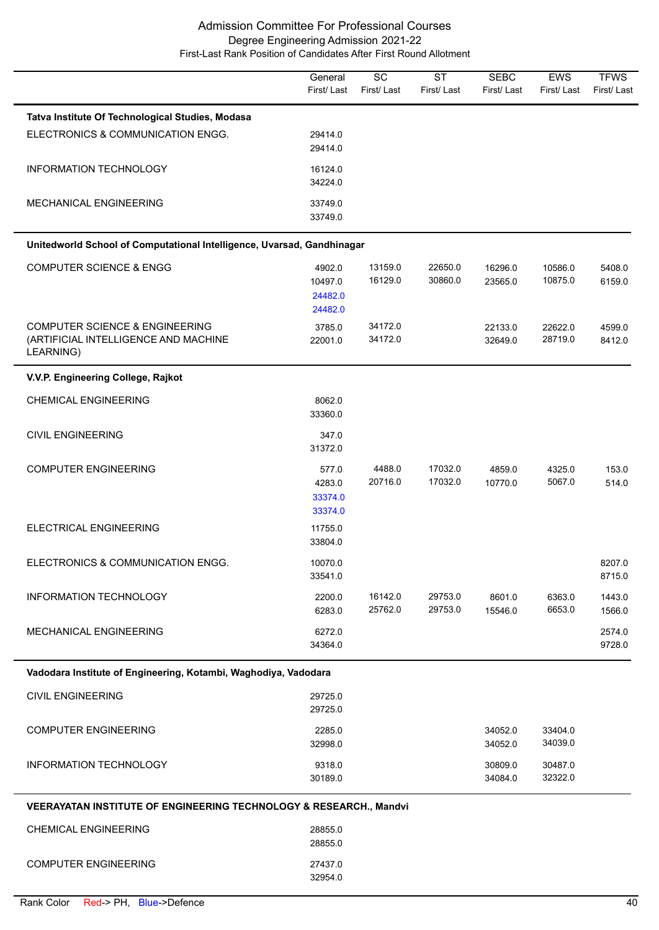|                                                                                                | General<br>First/Last                   | $\overline{SC}$<br>First/Last | <b>ST</b><br>First/Last | <b>SEBC</b><br>First/Last | EWS<br>First/Last  | <b>TFWS</b><br>First/Last |
|------------------------------------------------------------------------------------------------|-----------------------------------------|-------------------------------|-------------------------|---------------------------|--------------------|---------------------------|
| Tatva Institute Of Technological Studies, Modasa                                               |                                         |                               |                         |                           |                    |                           |
| ELECTRONICS & COMMUNICATION ENGG.                                                              | 29414.0<br>29414.0                      |                               |                         |                           |                    |                           |
| INFORMATION TECHNOLOGY                                                                         | 16124.0<br>34224.0                      |                               |                         |                           |                    |                           |
| MECHANICAL ENGINEERING                                                                         | 33749.0<br>33749.0                      |                               |                         |                           |                    |                           |
| Unitedworld School of Computational Intelligence, Uvarsad, Gandhinagar                         |                                         |                               |                         |                           |                    |                           |
| <b>COMPUTER SCIENCE &amp; ENGG</b>                                                             | 4902.0<br>10497.0<br>24482.0<br>24482.0 | 13159.0<br>16129.0            | 22650.0<br>30860.0      | 16296.0<br>23565.0        | 10586.0<br>10875.0 | 5408.0<br>6159.0          |
| <b>COMPUTER SCIENCE &amp; ENGINEERING</b><br>(ARTIFICIAL INTELLIGENCE AND MACHINE<br>LEARNING) | 3785.0<br>22001.0                       | 34172.0<br>34172.0            |                         | 22133.0<br>32649.0        | 22622.0<br>28719.0 | 4599.0<br>8412.0          |
| V.V.P. Engineering College, Rajkot                                                             |                                         |                               |                         |                           |                    |                           |
| <b>CHEMICAL ENGINEERING</b>                                                                    | 8062.0<br>33360.0                       |                               |                         |                           |                    |                           |
| <b>CIVIL ENGINEERING</b>                                                                       | 347.0<br>31372.0                        |                               |                         |                           |                    |                           |
| <b>COMPUTER ENGINEERING</b>                                                                    | 577.0<br>4283.0<br>33374.0<br>33374.0   | 4488.0<br>20716.0             | 17032.0<br>17032.0      | 4859.0<br>10770.0         | 4325.0<br>5067.0   | 153.0<br>514.0            |
| ELECTRICAL ENGINEERING                                                                         | 11755.0<br>33804.0                      |                               |                         |                           |                    |                           |
| ELECTRONICS & COMMUNICATION ENGG.                                                              | 10070.0<br>33541.0                      |                               |                         |                           |                    | 8207.0<br>8715.0          |
| INFORMATION TECHNOLOGY                                                                         | 2200.0<br>6283.0                        | 16142.0<br>25762.0            | 29753.0<br>29753.0      | 8601.0<br>15546.0         | 6363.0<br>6653.0   | 1443.0<br>1566.0          |
| MECHANICAL ENGINEERING                                                                         | 6272.0<br>34364.0                       |                               |                         |                           |                    | 2574.0<br>9728.0          |
| Vadodara Institute of Engineering, Kotambi, Waghodiya, Vadodara                                |                                         |                               |                         |                           |                    |                           |
| <b>CIVIL ENGINEERING</b>                                                                       | 29725.0<br>29725.0                      |                               |                         |                           |                    |                           |
| <b>COMPUTER ENGINEERING</b>                                                                    | 2285.0<br>32998.0                       |                               |                         | 34052.0<br>34052.0        | 33404.0<br>34039.0 |                           |
| INFORMATION TECHNOLOGY                                                                         | 9318.0<br>30189.0                       |                               |                         | 30809.0<br>34084.0        | 30487.0<br>32322.0 |                           |
| <b>VEERAYATAN INSTITUTE OF ENGINEERING TECHNOLOGY &amp; RESEARCH., Mandvi</b>                  |                                         |                               |                         |                           |                    |                           |
| <b>CHEMICAL ENGINEERING</b>                                                                    | 28855.0<br>28855.0                      |                               |                         |                           |                    |                           |
| <b>COMPUTER ENGINEERING</b>                                                                    | 27437.0                                 |                               |                         |                           |                    |                           |

32954.0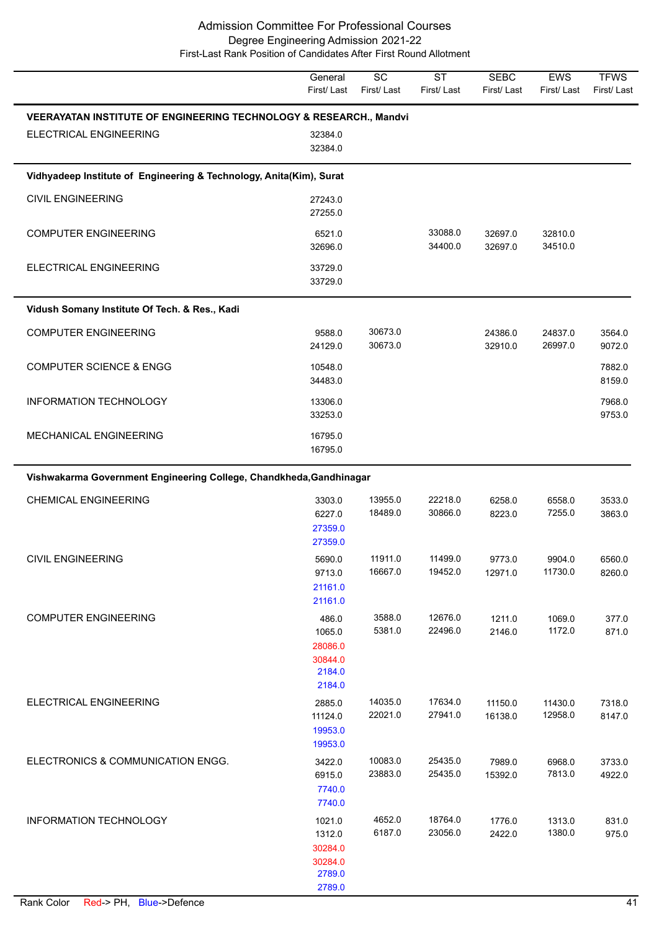|                                                                               | General<br>First/Last                                      | $\overline{SC}$<br>First/Last | $\overline{\text{ST}}$<br>First/Last | <b>SEBC</b><br>First/Last | <b>EWS</b><br>First/Last | <b>TFWS</b><br>First/Last |
|-------------------------------------------------------------------------------|------------------------------------------------------------|-------------------------------|--------------------------------------|---------------------------|--------------------------|---------------------------|
| <b>VEERAYATAN INSTITUTE OF ENGINEERING TECHNOLOGY &amp; RESEARCH., Mandvi</b> |                                                            |                               |                                      |                           |                          |                           |
| ELECTRICAL ENGINEERING                                                        | 32384.0<br>32384.0                                         |                               |                                      |                           |                          |                           |
| Vidhyadeep Institute of Engineering & Technology, Anita(Kim), Surat           |                                                            |                               |                                      |                           |                          |                           |
| <b>CIVIL ENGINEERING</b>                                                      | 27243.0<br>27255.0                                         |                               |                                      |                           |                          |                           |
| <b>COMPUTER ENGINEERING</b>                                                   | 6521.0<br>32696.0                                          |                               | 33088.0<br>34400.0                   | 32697.0<br>32697.0        | 32810.0<br>34510.0       |                           |
| ELECTRICAL ENGINEERING                                                        | 33729.0<br>33729.0                                         |                               |                                      |                           |                          |                           |
| Vidush Somany Institute Of Tech. & Res., Kadi                                 |                                                            |                               |                                      |                           |                          |                           |
| <b>COMPUTER ENGINEERING</b>                                                   | 9588.0<br>24129.0                                          | 30673.0<br>30673.0            |                                      | 24386.0<br>32910.0        | 24837.0<br>26997.0       | 3564.0<br>9072.0          |
| <b>COMPUTER SCIENCE &amp; ENGG</b>                                            | 10548.0<br>34483.0                                         |                               |                                      |                           |                          | 7882.0<br>8159.0          |
| <b>INFORMATION TECHNOLOGY</b>                                                 | 13306.0<br>33253.0                                         |                               |                                      |                           |                          | 7968.0<br>9753.0          |
| MECHANICAL ENGINEERING                                                        | 16795.0<br>16795.0                                         |                               |                                      |                           |                          |                           |
| Vishwakarma Government Engineering College, Chandkheda, Gandhinagar           |                                                            |                               |                                      |                           |                          |                           |
| <b>CHEMICAL ENGINEERING</b>                                                   | 3303.0<br>6227.0<br>27359.0<br>27359.0                     | 13955.0<br>18489.0            | 22218.0<br>30866.0                   | 6258.0<br>8223.0          | 6558.0<br>7255.0         | 3533.0<br>3863.0          |
| <b>CIVIL ENGINEERING</b>                                                      | 5690.0<br>9713.0<br>21161.0<br>21161.0                     | 11911.0<br>16667.0            | 11499.0<br>19452.0                   | 9773.0<br>12971.0         | 9904.0<br>11730.0        | 6560.0<br>8260.0          |
| <b>COMPUTER ENGINEERING</b>                                                   | 486.0<br>1065.0<br>28086.0<br>30844.0<br>2184.0<br>2184.0  | 3588.0<br>5381.0              | 12676.0<br>22496.0                   | 1211.0<br>2146.0          | 1069.0<br>1172.0         | 377.0<br>871.0            |
| ELECTRICAL ENGINEERING                                                        | 2885.0<br>11124.0<br>19953.0<br>19953.0                    | 14035.0<br>22021.0            | 17634.0<br>27941.0                   | 11150.0<br>16138.0        | 11430.0<br>12958.0       | 7318.0<br>8147.0          |
| ELECTRONICS & COMMUNICATION ENGG.                                             | 3422.0<br>6915.0<br>7740.0<br>7740.0                       | 10083.0<br>23883.0            | 25435.0<br>25435.0                   | 7989.0<br>15392.0         | 6968.0<br>7813.0         | 3733.0<br>4922.0          |
| INFORMATION TECHNOLOGY                                                        | 1021.0<br>1312.0<br>30284.0<br>30284.0<br>2789.0<br>2789.0 | 4652.0<br>6187.0              | 18764.0<br>23056.0                   | 1776.0<br>2422.0          | 1313.0<br>1380.0         | 831.0<br>975.0            |